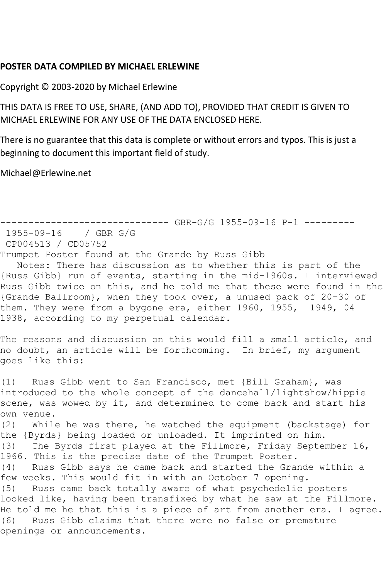## **POSTER DATA COMPILED BY MICHAEL ERLEWINE**

Copyright © 2003-2020 by Michael Erlewine

THIS DATA IS FREE TO USE, SHARE, (AND ADD TO), PROVIDED THAT CREDIT IS GIVEN TO MICHAEL ERLEWINE FOR ANY USE OF THE DATA ENCLOSED HERE.

There is no guarantee that this data is complete or without errors and typos. This is just a beginning to document this important field of study.

Michael@Erlewine.net

------------------------------ GBR-G/G 1955-09-16 P-1 --------- 1955-09-16 / GBR G/G CP004513 / CD05752 Trumpet Poster found at the Grande by Russ Gibb Notes: There has discussion as to whether this is part of the {Russ Gibb} run of events, starting in the mid-1960s. I interviewed Russ Gibb twice on this, and he told me that these were found in the {Grande Ballroom}, when they took over, a unused pack of 20-30 of them. They were from a bygone era, either 1960, 1955, 1949, 04 1938, according to my perpetual calendar. The reasons and discussion on this would fill a small article, and no doubt, an article will be forthcoming. In brief, my argument goes like this: (1) Russ Gibb went to San Francisco, met {Bill Graham}, was introduced to the whole concept of the dancehall/lightshow/hippie scene, was wowed by it, and determined to come back and start his own venue. (2) While he was there, he watched the equipment (backstage) for the {Byrds} being loaded or unloaded. It imprinted on him. (3) The Byrds first played at the Fillmore, Friday September 16, 1966. This is the precise date of the Trumpet Poster. (4) Russ Gibb says he came back and started the Grande within a few weeks. This would fit in with an October 7 opening. (5) Russ came back totally aware of what psychedelic posters looked like, having been transfixed by what he saw at the Fillmore. He told me he that this is a piece of art from another era. I agree. (6) Russ Gibb claims that there were no false or premature openings or announcements.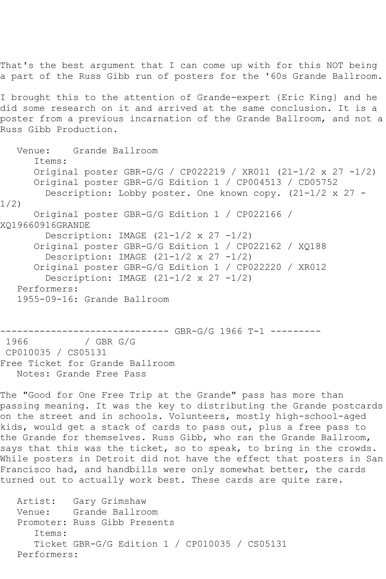That's the best argument that I can come up with for this NOT being a part of the Russ Gibb run of posters for the '60s Grande Ballroom.

I brought this to the attention of Grande-expert {Eric King} and he did some research on it and arrived at the same conclusion. It is a poster from a previous incarnation of the Grande Ballroom, and not a Russ Gibb Production.

 Venue: Grande Ballroom Items: Original poster GBR-G/G / CP022219 / XR011 (21-1/2 x 27 -1/2) Original poster GBR-G/G Edition 1 / CP004513 / CD05752 Description: Lobby poster. One known copy. (21-1/2 x 27 - 1/2) Original poster GBR-G/G Edition 1 / CP022166 / XQ19660916GRANDE Description: IMAGE  $(21-1/2 \times 27 -1/2)$  Original poster GBR-G/G Edition 1 / CP022162 / XQ188 Description: IMAGE  $(21-1/2 \times 27 -1/2)$  Original poster GBR-G/G Edition 1 / CP022220 / XR012 Description: IMAGE  $(21-1/2 \times 27 -1/2)$  Performers: 1955-09-16: Grande Ballroom

------------------------------ GBR-G/G 1966 T-1 ---------  $/$  GBR G/G CP010035 / CS05131 Free Ticket for Grande Ballroom Notes: Grande Free Pass

The "Good for One Free Trip at the Grande" pass has more than passing meaning. It was the key to distributing the Grande postcards on the street and in schools. Volunteers, mostly high-school-aged kids, would get a stack of cards to pass out, plus a free pass to the Grande for themselves. Russ Gibb, who ran the Grande Ballroom, says that this was the ticket, so to speak, to bring in the crowds. While posters in Detroit did not have the effect that posters in San Francisco had, and handbills were only somewhat better, the cards turned out to actually work best. These cards are quite rare.

 Artist: Gary Grimshaw Venue: Grande Ballroom Promoter: Russ Gibb Presents Items: Ticket GBR-G/G Edition 1 / CP010035 / CS05131 Performers: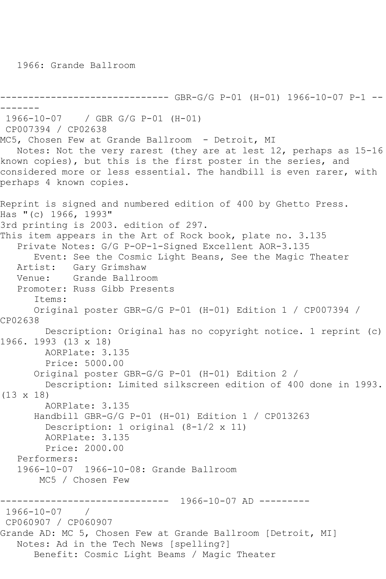1966: Grande Ballroom

```
------------------------------ GBR-G/G P-01 (H-01) 1966-10-07 P-1 --
-------
1966-10-07 / GBR G/G P-01 (H-01)
CP007394 / CP02638
MC5, Chosen Few at Grande Ballroom - Detroit, MI
   Notes: Not the very rarest (they are at lest 12, perhaps as 15-16 
known copies), but this is the first poster in the series, and 
considered more or less essential. The handbill is even rarer, with 
perhaps 4 known copies.
Reprint is signed and numbered edition of 400 by Ghetto Press.
Has "(c) 1966, 1993"
3rd printing is 2003. edition of 297.
This item appears in the Art of Rock book, plate no. 3.135
   Private Notes: G/G P-OP-1-Signed Excellent AOR-3.135
      Event: See the Cosmic Light Beans, See the Magic Theater
   Artist: Gary Grimshaw
   Venue: Grande Ballroom
   Promoter: Russ Gibb Presents
       Items:
       Original poster GBR-G/G P-01 (H-01) Edition 1 / CP007394 / 
CP02638
         Description: Original has no copyright notice. 1 reprint (c) 
1966. 1993 (13 x 18)
        AORPlate: 3.135 
         Price: 5000.00
       Original poster GBR-G/G P-01 (H-01) Edition 2 / 
         Description: Limited silkscreen edition of 400 done in 1993. 
(13 x 18)
         AORPlate: 3.135 
       Handbill GBR-G/G P-01 (H-01) Edition 1 / CP013263
         Description: 1 original (8-1/2 x 11)
         AORPlate: 3.135 
         Price: 2000.00
   Performers:
   1966-10-07 1966-10-08: Grande Ballroom
        MC5 / Chosen Few
                ------------------------------ 1966-10-07 AD ---------
1966-10-07 / 
CP060907 / CP060907
Grande AD: MC 5, Chosen Few at Grande Ballroom [Detroit, MI]
   Notes: Ad in the Tech News [spelling?]
       Benefit: Cosmic Light Beams / Magic Theater
```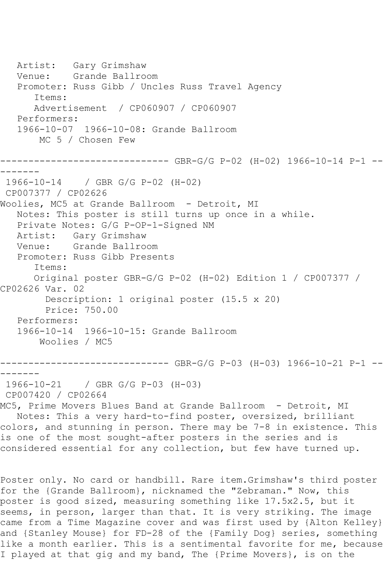Artist: Gary Grimshaw Venue: Grande Ballroom Promoter: Russ Gibb / Uncles Russ Travel Agency Items: Advertisement / CP060907 / CP060907 Performers: 1966-10-07 1966-10-08: Grande Ballroom MC 5 / Chosen Few ------------------------------ GBR-G/G P-02 (H-02) 1966-10-14 P-1 -- ------- 1966-10-14 / GBR G/G P-02 (H-02) CP007377 / CP02626 Woolies, MC5 at Grande Ballroom - Detroit, MI Notes: This poster is still turns up once in a while. Private Notes: G/G P-OP-1-Signed NM Artist: Gary Grimshaw Venue: Grande Ballroom Promoter: Russ Gibb Presents Items: Original poster GBR-G/G P-02 (H-02) Edition 1 / CP007377 / CP02626 Var. 02 Description: 1 original poster (15.5 x 20) Price: 750.00 Performers: 1966-10-14 1966-10-15: Grande Ballroom Woolies / MC5 ------------------------------ GBR-G/G P-03 (H-03) 1966-10-21 P-1 -- ------- 1966-10-21 / GBR G/G P-03 (H-03) CP007420 / CP02664 MC5, Prime Movers Blues Band at Grande Ballroom - Detroit, MI Notes: This a very hard-to-find poster, oversized, brilliant colors, and stunning in person. There may be 7-8 in existence. This is one of the most sought-after posters in the series and is considered essential for any collection, but few have turned up. Poster only. No card or handbill. Rare item.Grimshaw's third poster

for the {Grande Ballroom}, nicknamed the "Zebraman." Now, this poster is good sized, measuring something like 17.5x2.5, but it seems, in person, larger than that. It is very striking. The image came from a Time Magazine cover and was first used by {Alton Kelley} and {Stanley Mouse} for FD-28 of the {Family Dog} series, something like a month earlier. This is a sentimental favorite for me, because I played at that gig and my band, The {Prime Movers}, is on the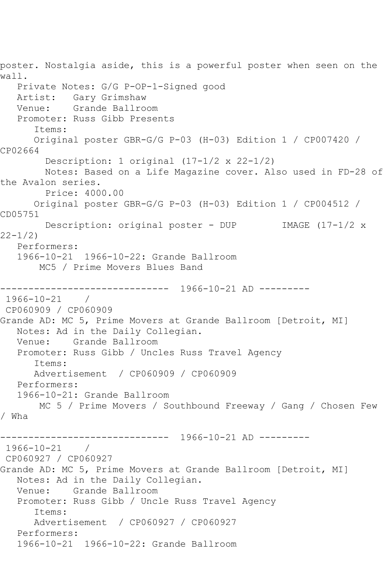poster. Nostalgia aside, this is a powerful poster when seen on the wall. Private Notes: G/G P-OP-1-Signed good Artist: Gary Grimshaw<br>Venue: Grande Ballro Grande Ballroom Promoter: Russ Gibb Presents Items: Original poster GBR-G/G P-03 (H-03) Edition 1 / CP007420 / CP02664 Description: 1 original (17-1/2 x 22-1/2) Notes: Based on a Life Magazine cover. Also used in FD-28 of the Avalon series. Price: 4000.00 Original poster GBR-G/G P-03 (H-03) Edition 1 / CP004512 / CD05751 Description: original poster - DUP IMAGE (17-1/2 x 22-1/2) Performers: 1966-10-21 1966-10-22: Grande Ballroom MC5 / Prime Movers Blues Band ------------------------------ 1966-10-21 AD --------- 1966-10-21 / CP060909 / CP060909 Grande AD: MC 5, Prime Movers at Grande Ballroom [Detroit, MI] Notes: Ad in the Daily Collegian. Venue: Grande Ballroom Promoter: Russ Gibb / Uncles Russ Travel Agency Items: Advertisement / CP060909 / CP060909 Performers: 1966-10-21: Grande Ballroom MC 5 / Prime Movers / Southbound Freeway / Gang / Chosen Few / Wha ------------------------------ 1966-10-21 AD --------- 1966-10-21 / CP060927 / CP060927 Grande AD: MC 5, Prime Movers at Grande Ballroom [Detroit, MI] Notes: Ad in the Daily Collegian.<br>Venue: Grande Ballroom Grande Ballroom Promoter: Russ Gibb / Uncle Russ Travel Agency Items: Advertisement / CP060927 / CP060927 Performers: 1966-10-21 1966-10-22: Grande Ballroom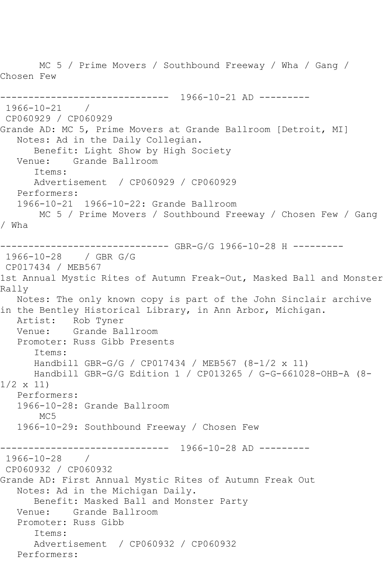MC 5 / Prime Movers / Southbound Freeway / Wha / Gang / Chosen Few ------------------------------ 1966-10-21 AD --------- 1966-10-21 / CP060929 / CP060929 Grande AD: MC 5, Prime Movers at Grande Ballroom [Detroit, MI] Notes: Ad in the Daily Collegian. Benefit: Light Show by High Society Venue: Grande Ballroom Items: Advertisement / CP060929 / CP060929 Performers: 1966-10-21 1966-10-22: Grande Ballroom MC 5 / Prime Movers / Southbound Freeway / Chosen Few / Gang / Wha ------------------------------ GBR-G/G 1966-10-28 H --------- 1966-10-28 / GBR G/G CP017434 / MEB567 1st Annual Mystic Rites of Autumn Freak-Out, Masked Ball and Monster Rally Notes: The only known copy is part of the John Sinclair archive in the Bentley Historical Library, in Ann Arbor, Michigan. Artist: Rob Tyner<br>Venue: Grande Bal Grande Ballroom Promoter: Russ Gibb Presents Items: Handbill GBR-G/G / CP017434 / MEB567 (8-1/2 x 11) Handbill GBR-G/G Edition 1 / CP013265 / G-G-661028-OHB-A (8- 1/2 x 11) Performers: 1966-10-28: Grande Ballroom MC<sub>5</sub> 1966-10-29: Southbound Freeway / Chosen Few ------------------------------ 1966-10-28 AD --------- 1966-10-28 / CP060932 / CP060932 Grande AD: First Annual Mystic Rites of Autumn Freak Out Notes: Ad in the Michigan Daily. Benefit: Masked Ball and Monster Party Venue: Grande Ballroom Promoter: Russ Gibb Items: Advertisement / CP060932 / CP060932 Performers: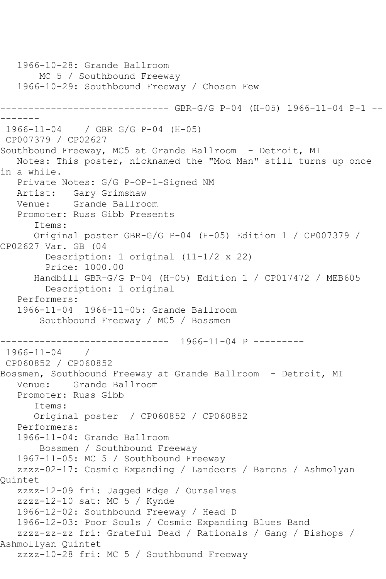1966-10-28: Grande Ballroom MC 5 / Southbound Freeway 1966-10-29: Southbound Freeway / Chosen Few ------------------------------ GBR-G/G P-04 (H-05) 1966-11-04 P-1 -- ------- 1966-11-04 / GBR G/G P-04 (H-05) CP007379 / CP02627 Southbound Freeway, MC5 at Grande Ballroom - Detroit, MI Notes: This poster, nicknamed the "Mod Man" still turns up once in a while. Private Notes: G/G P-OP-1-Signed NM Artist: Gary Grimshaw Venue: Grande Ballroom Promoter: Russ Gibb Presents Items: Original poster GBR-G/G P-04 (H-05) Edition 1 / CP007379 / CP02627 Var. GB (04 Description: 1 original (11-1/2 x 22) Price: 1000.00 Handbill GBR-G/G P-04 (H-05) Edition 1 / CP017472 / MEB605 Description: 1 original Performers: 1966-11-04 1966-11-05: Grande Ballroom Southbound Freeway / MC5 / Bossmen ------------------------------ 1966-11-04 P --------- 1966-11-04 / CP060852 / CP060852 Bossmen, Southbound Freeway at Grande Ballroom - Detroit, MI Venue: Grande Ballroom Promoter: Russ Gibb Items: Original poster / CP060852 / CP060852 Performers: 1966-11-04: Grande Ballroom Bossmen / Southbound Freeway 1967-11-05: MC 5 / Southbound Freeway zzzz-02-17: Cosmic Expanding / Landeers / Barons / Ashmolyan Quintet zzzz-12-09 fri: Jagged Edge / Ourselves zzzz-12-10 sat: MC 5 / Kynde 1966-12-02: Southbound Freeway / Head D 1966-12-03: Poor Souls / Cosmic Expanding Blues Band zzzz-zz-zz fri: Grateful Dead / Rationals / Gang / Bishops / Ashmollyan Quintet zzzz-10-28 fri: MC 5 / Southbound Freeway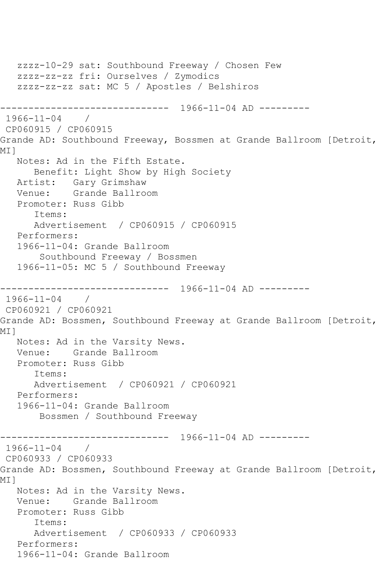```
 zzzz-10-29 sat: Southbound Freeway / Chosen Few
   zzzz-zz-zz fri: Ourselves / Zymodics
   zzzz-zz-zz sat: MC 5 / Apostles / Belshiros
------------------------------ 1966-11-04 AD ---------
1966-11-04 / 
CP060915 / CP060915
Grande AD: Southbound Freeway, Bossmen at Grande Ballroom [Detroit,
<code>MI</code> 1
   Notes: Ad in the Fifth Estate.
       Benefit: Light Show by High Society
  Artist: Gary Grimshaw<br>Venue: Grande Ballroo
            Grande Ballroom
   Promoter: Russ Gibb
       Items:
       Advertisement / CP060915 / CP060915
   Performers:
    1966-11-04: Grande Ballroom
        Southbound Freeway / Bossmen
    1966-11-05: MC 5 / Southbound Freeway
     ------------------------------ 1966-11-04 AD ---------
1966-11-04 / 
CP060921 / CP060921
Grande AD: Bossmen, Southbound Freeway at Grande Ballroom [Detroit, 
MI]
   Notes: Ad in the Varsity News.
   Venue: Grande Ballroom
   Promoter: Russ Gibb
       Items:
      Advertisement / CP060921 / CP060921
   Performers:
    1966-11-04: Grande Ballroom
        Bossmen / Southbound Freeway
------------------------------ 1966-11-04 AD ---------
1966-11-04 / 
CP060933 / CP060933
Grande AD: Bossmen, Southbound Freeway at Grande Ballroom [Detroit, 
MI 1
   Notes: Ad in the Varsity News.
   Venue: Grande Ballroom
   Promoter: Russ Gibb
       Items:
       Advertisement / CP060933 / CP060933
   Performers:
    1966-11-04: Grande Ballroom
```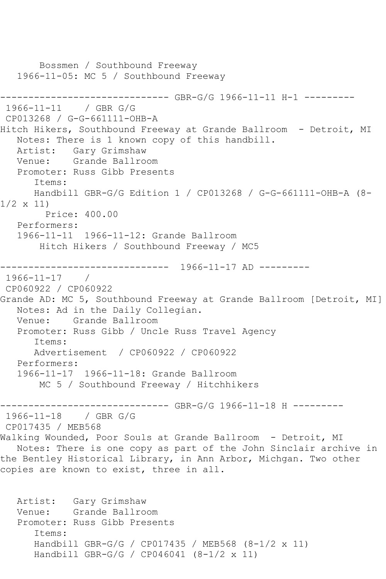```
 Bossmen / Southbound Freeway
   1966-11-05: MC 5 / Southbound Freeway
------------------------------ GBR-G/G 1966-11-11 H-1 ---------
1966-11-11 / GBR G/G
CP013268 / G-G-661111-OHB-A
Hitch Hikers, Southbound Freeway at Grande Ballroom - Detroit, MI
   Notes: There is 1 known copy of this handbill.
   Artist: Gary Grimshaw
   Venue: Grande Ballroom
   Promoter: Russ Gibb Presents
       Items:
      Handbill GBR-G/G Edition 1 / CP013268 / G-G-661111-OHB-A (8-
1/2 x 11)
        Price: 400.00
   Performers:
   1966-11-11 1966-11-12: Grande Ballroom
       Hitch Hikers / Southbound Freeway / MC5
              ------------------------------ 1966-11-17 AD ---------
1966-11-17 / 
CP060922 / CP060922
Grande AD: MC 5, Southbound Freeway at Grande Ballroom [Detroit, MI]
   Notes: Ad in the Daily Collegian.
   Venue: Grande Ballroom
   Promoter: Russ Gibb / Uncle Russ Travel Agency
       Items:
      Advertisement / CP060922 / CP060922
   Performers:
   1966-11-17 1966-11-18: Grande Ballroom
       MC 5 / Southbound Freeway / Hitchhikers
------------------------------ GBR-G/G 1966-11-18 H ---------
1966-11-18 / GBR G/G
CP017435 / MEB568
Walking Wounded, Poor Souls at Grande Ballroom - Detroit, MI
   Notes: There is one copy as part of the John Sinclair archive in 
the Bentley Historical Library, in Ann Arbor, Michgan. Two other 
copies are known to exist, three in all.
   Artist: Gary Grimshaw
   Venue: Grande Ballroom
   Promoter: Russ Gibb Presents
       Items:
       Handbill GBR-G/G / CP017435 / MEB568 (8-1/2 x 11)
      Handbill GBR-G/G / CP046041 (8-1/2 x 11)
```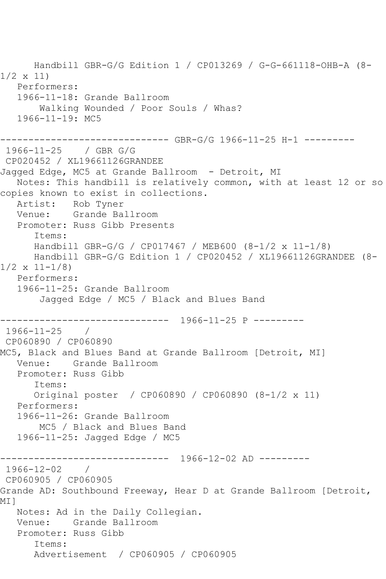Handbill GBR-G/G Edition 1 / CP013269 / G-G-661118-OHB-A (8- 1/2 x 11) Performers: 1966-11-18: Grande Ballroom Walking Wounded / Poor Souls / Whas? 1966-11-19: MC5 ------------------------------ GBR-G/G 1966-11-25 H-1 --------- 1966-11-25 / GBR G/G CP020452 / XL19661126GRANDEE Jagged Edge, MC5 at Grande Ballroom - Detroit, MI Notes: This handbill is relatively common, with at least 12 or so copies known to exist in collections. Artist: Rob Tyner Venue: Grande Ballroom Promoter: Russ Gibb Presents Items: Handbill GBR-G/G / CP017467 / MEB600 (8-1/2 x 11-1/8) Handbill GBR-G/G Edition 1 / CP020452 / XL19661126GRANDEE (8-  $1/2 \times 11 - 1/8$  Performers: 1966-11-25: Grande Ballroom Jagged Edge / MC5 / Black and Blues Band ------------------------------ 1966-11-25 P --------- 1966-11-25 / CP060890 / CP060890 MC5, Black and Blues Band at Grande Ballroom [Detroit, MI] Venue: Grande Ballroom Promoter: Russ Gibb Items: Original poster / CP060890 / CP060890 (8-1/2 x 11) Performers: 1966-11-26: Grande Ballroom MC5 / Black and Blues Band 1966-11-25: Jagged Edge / MC5 ------------------------------ 1966-12-02 AD --------- 1966-12-02 / CP060905 / CP060905 Grande AD: Southbound Freeway, Hear D at Grande Ballroom [Detroit, <code>MI</code> 1 Notes: Ad in the Daily Collegian. Venue: Grande Ballroom Promoter: Russ Gibb Items: Advertisement / CP060905 / CP060905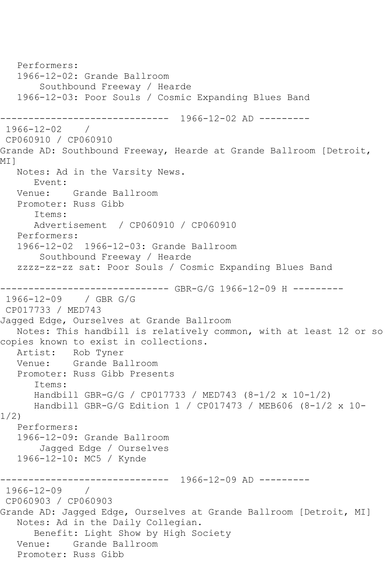```
 Performers:
   1966-12-02: Grande Ballroom
        Southbound Freeway / Hearde
   1966-12-03: Poor Souls / Cosmic Expanding Blues Band
                 ------------------------------ 1966-12-02 AD ---------
1966-12-02 / 
CP060910 / CP060910
Grande AD: Southbound Freeway, Hearde at Grande Ballroom [Detroit, 
MI]
   Notes: Ad in the Varsity News.
      Event: 
   Venue: Grande Ballroom
   Promoter: Russ Gibb
       Items:
      Advertisement / CP060910 / CP060910
   Performers:
   1966-12-02 1966-12-03: Grande Ballroom
        Southbound Freeway / Hearde
   zzzz-zz-zz sat: Poor Souls / Cosmic Expanding Blues Band
                        ------- GBR-G/G 1966-12-09 H ---------
1966-12-09 / GBR G/G
CP017733 / MED743
Jagged Edge, Ourselves at Grande Ballroom
   Notes: This handbill is relatively common, with at least 12 or so 
copies known to exist in collections.
   Artist: Rob Tyner
   Venue: Grande Ballroom
   Promoter: Russ Gibb Presents
       Items:
      Handbill GBR-G/G / CP017733 / MED743 (8-1/2 x 10-1/2)
      Handbill GBR-G/G Edition 1 / CP017473 / MEB606 (8-1/2 x 10-
1/2)
   Performers:
   1966-12-09: Grande Ballroom
        Jagged Edge / Ourselves
   1966-12-10: MC5 / Kynde
                --------- 1966-12-09 AD1966-12-09 / 
CP060903 / CP060903
Grande AD: Jagged Edge, Ourselves at Grande Ballroom [Detroit, MI]
   Notes: Ad in the Daily Collegian.
       Benefit: Light Show by High Society
   Venue: Grande Ballroom
   Promoter: Russ Gibb
```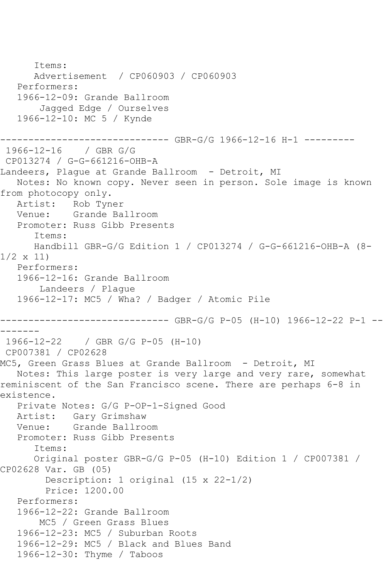```
 Items:
      Advertisement / CP060903 / CP060903
   Performers:
   1966-12-09: Grande Ballroom
        Jagged Edge / Ourselves
   1966-12-10: MC 5 / Kynde
------------------------------ GBR-G/G 1966-12-16 H-1 ---------
1966-12-16 / GBR G/G
CP013274 / G-G-661216-OHB-A
Landeers, Plaque at Grande Ballroom - Detroit, MI
   Notes: No known copy. Never seen in person. Sole image is known 
from photocopy only.
   Artist: Rob Tyner
   Venue: Grande Ballroom
   Promoter: Russ Gibb Presents
       Items:
      Handbill GBR-G/G Edition 1 / CP013274 / G-G-661216-OHB-A (8-
1/2 x 11)
   Performers:
   1966-12-16: Grande Ballroom
        Landeers / Plague
   1966-12-17: MC5 / Wha? / Badger / Atomic Pile
       ------------------------------ GBR-G/G P-05 (H-10) 1966-12-22 P-1 --
-------
1966-12-22 / GBR G/G P-05 (H-10)
CP007381 / CP02628
MC5, Green Grass Blues at Grande Ballroom - Detroit, MI
   Notes: This large poster is very large and very rare, somewhat 
reminiscent of the San Francisco scene. There are perhaps 6-8 in 
existence.
   Private Notes: G/G P-OP-1-Signed Good
   Artist: Gary Grimshaw
   Venue: Grande Ballroom
   Promoter: Russ Gibb Presents
       Items:
       Original poster GBR-G/G P-05 (H-10) Edition 1 / CP007381 / 
CP02628 Var. GB (05)
         Description: 1 original (15 x 22-1/2)
         Price: 1200.00
   Performers:
   1966-12-22: Grande Ballroom
        MC5 / Green Grass Blues
   1966-12-23: MC5 / Suburban Roots
   1966-12-29: MC5 / Black and Blues Band
   1966-12-30: Thyme / Taboos
```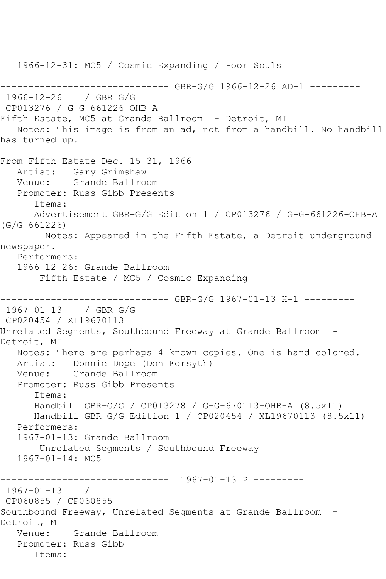1966-12-31: MC5 / Cosmic Expanding / Poor Souls ------------------------------ GBR-G/G 1966-12-26 AD-1 --------- 1966-12-26 / GBR G/G CP013276 / G-G-661226-OHB-A Fifth Estate, MC5 at Grande Ballroom - Detroit, MI Notes: This image is from an ad, not from a handbill. No handbill has turned up. From Fifth Estate Dec. 15-31, 1966 Artist: Gary Grimshaw Venue: Grande Ballroom Promoter: Russ Gibb Presents Items: Advertisement GBR-G/G Edition 1 / CP013276 / G-G-661226-OHB-A (G/G-661226) Notes: Appeared in the Fifth Estate, a Detroit underground newspaper. Performers: 1966-12-26: Grande Ballroom Fifth Estate / MC5 / Cosmic Expanding ------------------------------ GBR-G/G 1967-01-13 H-1 --------- 1967-01-13 / GBR G/G CP020454 / XL19670113 Unrelated Segments, Southbound Freeway at Grande Ballroom -Detroit, MI Notes: There are perhaps 4 known copies. One is hand colored. Artist: Donnie Dope (Don Forsyth) Venue: Grande Ballroom Promoter: Russ Gibb Presents Items: Handbill GBR-G/G / CP013278 / G-G-670113-OHB-A (8.5x11) Handbill GBR-G/G Edition 1 / CP020454 / XL19670113 (8.5x11) Performers: 1967-01-13: Grande Ballroom Unrelated Segments / Southbound Freeway 1967-01-14: MC5 ------------------------------ 1967-01-13 P --------- 1967-01-13 / CP060855 / CP060855 Southbound Freeway, Unrelated Segments at Grande Ballroom - Detroit, MI Venue: Grande Ballroom Promoter: Russ Gibb Items: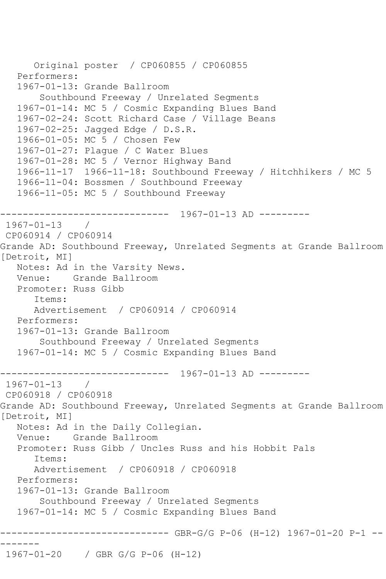```
 Original poster / CP060855 / CP060855
   Performers:
   1967-01-13: Grande Ballroom
        Southbound Freeway / Unrelated Segments
   1967-01-14: MC 5 / Cosmic Expanding Blues Band
   1967-02-24: Scott Richard Case / Village Beans
   1967-02-25: Jagged Edge / D.S.R.
   1966-01-05: MC 5 / Chosen Few
   1967-01-27: Plague / C Water Blues
   1967-01-28: MC 5 / Vernor Highway Band
   1966-11-17 1966-11-18: Southbound Freeway / Hitchhikers / MC 5
   1966-11-04: Bossmen / Southbound Freeway
   1966-11-05: MC 5 / Southbound Freeway
        ------------------------------ 1967-01-13 AD ---------
1967-01-13 / 
CP060914 / CP060914
Grande AD: Southbound Freeway, Unrelated Segments at Grande Ballroom 
[Detroit, MI]
   Notes: Ad in the Varsity News.
   Venue: Grande Ballroom
   Promoter: Russ Gibb
       Items:
      Advertisement / CP060914 / CP060914
   Performers:
   1967-01-13: Grande Ballroom
        Southbound Freeway / Unrelated Segments
   1967-01-14: MC 5 / Cosmic Expanding Blues Band
------------------------------ 1967-01-13 AD ---------
1967-01-13 / 
CP060918 / CP060918
Grande AD: Southbound Freeway, Unrelated Segments at Grande Ballroom 
[Detroit, MI]
   Notes: Ad in the Daily Collegian.
   Venue: Grande Ballroom
   Promoter: Russ Gibb / Uncles Russ and his Hobbit Pals
       Items:
      Advertisement / CP060918 / CP060918
   Performers:
   1967-01-13: Grande Ballroom
        Southbound Freeway / Unrelated Segments
   1967-01-14: MC 5 / Cosmic Expanding Blues Band
           ------------------------------ GBR-G/G P-06 (H-12) 1967-01-20 P-1 --
-------
1967-01-20 / GBR G/G P-06 (H-12)
```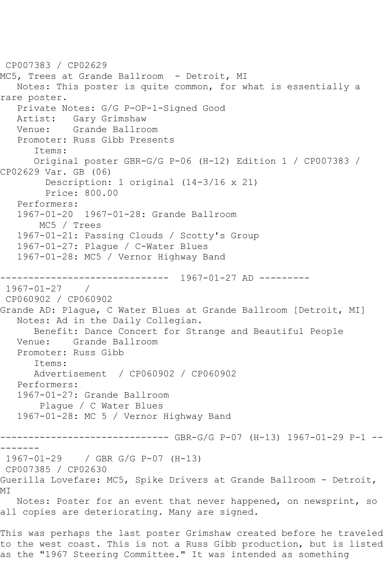CP007383 / CP02629 MC5, Trees at Grande Ballroom - Detroit, MI Notes: This poster is quite common, for what is essentially a rare poster. Private Notes: G/G P-OP-1-Signed Good Artist: Gary Grimshaw Venue: Grande Ballroom Promoter: Russ Gibb Presents Items: Original poster GBR-G/G P-06 (H-12) Edition 1 / CP007383 / CP02629 Var. GB (06) Description: 1 original (14-3/16 x 21) Price: 800.00 Performers: 1967-01-20 1967-01-28: Grande Ballroom MC5 / Trees 1967-01-21: Passing Clouds / Scotty's Group 1967-01-27: Plague / C-Water Blues 1967-01-28: MC5 / Vernor Highway Band ------------------------------ 1967-01-27 AD --------- 1967-01-27 / CP060902 / CP060902 Grande AD: Plague, C Water Blues at Grande Ballroom [Detroit, MI] Notes: Ad in the Daily Collegian. Benefit: Dance Concert for Strange and Beautiful People Venue: Grande Ballroom Promoter: Russ Gibb Items: Advertisement / CP060902 / CP060902 Performers: 1967-01-27: Grande Ballroom Plague / C Water Blues 1967-01-28: MC 5 / Vernor Highway Band ------------------------------ GBR-G/G P-07 (H-13) 1967-01-29 P-1 -- ------- 1967-01-29 / GBR G/G P-07 (H-13) CP007385 / CP02630 Guerilla Lovefare: MC5, Spike Drivers at Grande Ballroom - Detroit, **MT**  Notes: Poster for an event that never happened, on newsprint, so all copies are deteriorating. Many are signed. This was perhaps the last poster Grimshaw created before he traveled to the west coast. This is not a Russ Gibb production, but is listed as the "1967 Steering Committee." It was intended as something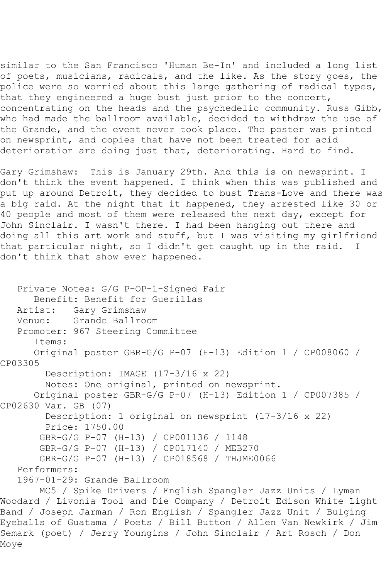similar to the San Francisco 'Human Be-In' and included a long list of poets, musicians, radicals, and the like. As the story goes, the police were so worried about this large gathering of radical types, that they engineered a huge bust just prior to the concert, concentrating on the heads and the psychedelic community. Russ Gibb, who had made the ballroom available, decided to withdraw the use of the Grande, and the event never took place. The poster was printed on newsprint, and copies that have not been treated for acid deterioration are doing just that, deteriorating. Hard to find.

Gary Grimshaw: This is January 29th. And this is on newsprint. I don't think the event happened. I think when this was published and put up around Detroit, they decided to bust Trans-Love and there was a big raid. At the night that it happened, they arrested like 30 or 40 people and most of them were released the next day, except for John Sinclair. I wasn't there. I had been hanging out there and doing all this art work and stuff, but I was visiting my girlfriend that particular night, so I didn't get caught up in the raid. I don't think that show ever happened.

```
 Private Notes: G/G P-OP-1-Signed Fair
      Benefit: Benefit for Guerillas
   Artist: Gary Grimshaw
   Venue: Grande Ballroom
   Promoter: 967 Steering Committee
       Items:
       Original poster GBR-G/G P-07 (H-13) Edition 1 / CP008060 / 
CP03305
        Description: IMAGE (17-3/16 x 22)
         Notes: One original, printed on newsprint.
       Original poster GBR-G/G P-07 (H-13) Edition 1 / CP007385 / 
CP02630 Var. GB (07)
         Description: 1 original on newsprint (17-3/16 x 22)
         Price: 1750.00
        GBR-G/G P-07 (H-13) / CP001136 / 1148
        GBR-G/G P-07 (H-13) / CP017140 / MEB270
        GBR-G/G P-07 (H-13) / CP018568 / THJME0066
   Performers:
   1967-01-29: Grande Ballroom
        MC5 / Spike Drivers / English Spangler Jazz Units / Lyman
```
Woodard / Livonia Tool and Die Company / Detroit Edison White Light Band / Joseph Jarman / Ron English / Spangler Jazz Unit / Bulging Eyeballs of Guatama / Poets / Bill Button / Allen Van Newkirk / Jim Semark (poet) / Jerry Youngins / John Sinclair / Art Rosch / Don Moye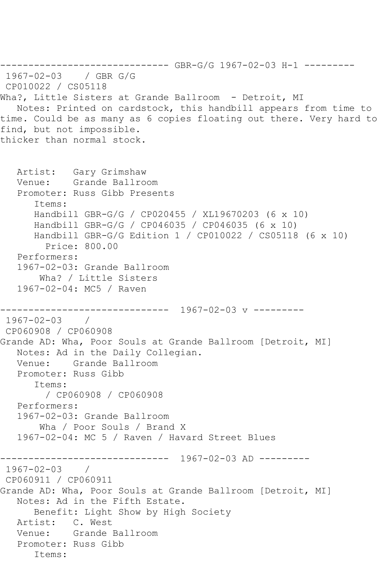```
------------------------------ GBR-G/G 1967-02-03 H-1 ---------
1967-02-03 / GBR G/G
CP010022 / CS05118
Wha?, Little Sisters at Grande Ballroom - Detroit, MI
   Notes: Printed on cardstock, this handbill appears from time to 
time. Could be as many as 6 copies floating out there. Very hard to 
find, but not impossible.
thicker than normal stock.
   Artist: Gary Grimshaw
   Venue: Grande Ballroom
   Promoter: Russ Gibb Presents
       Items:
      Handbill GBR-G/G / CP020455 / XL19670203 (6 x 10)
      Handbill GBR-G/G / CP046035 / CP046035 (6 x 10)
      Handbill GBR-G/G Edition 1 / CP010022 / CS05118 (6 x 10)
        Price: 800.00
   Performers:
   1967-02-03: Grande Ballroom
        Wha? / Little Sisters
   1967-02-04: MC5 / Raven
------------------------------ 1967-02-03 v ---------
1967 - 02 - 03CP060908 / CP060908
Grande AD: Wha, Poor Souls at Grande Ballroom [Detroit, MI]
   Notes: Ad in the Daily Collegian.
   Venue: Grande Ballroom
   Promoter: Russ Gibb
       Items:
        / CP060908 / CP060908
   Performers:
   1967-02-03: Grande Ballroom
        Wha / Poor Souls / Brand X
   1967-02-04: MC 5 / Raven / Havard Street Blues
                  ------------------------------ 1967-02-03 AD ---------
1967-02-03 / 
CP060911 / CP060911
Grande AD: Wha, Poor Souls at Grande Ballroom [Detroit, MI]
   Notes: Ad in the Fifth Estate.
       Benefit: Light Show by High Society
   Artist: C. West
   Venue: Grande Ballroom
   Promoter: Russ Gibb
       Items:
```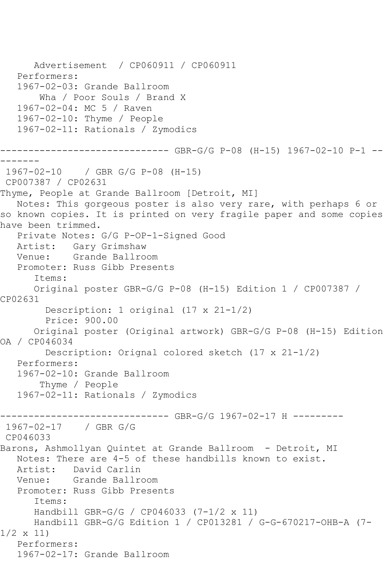Advertisement / CP060911 / CP060911 Performers: 1967-02-03: Grande Ballroom Wha / Poor Souls / Brand X 1967-02-04: MC 5 / Raven 1967-02-10: Thyme / People 1967-02-11: Rationals / Zymodics ------------------------------ GBR-G/G P-08 (H-15) 1967-02-10 P-1 -- ------- 1967-02-10 / GBR G/G P-08 (H-15) CP007387 / CP02631 Thyme, People at Grande Ballroom [Detroit, MI] Notes: This gorgeous poster is also very rare, with perhaps 6 or so known copies. It is printed on very fragile paper and some copies have been trimmed. Private Notes: G/G P-OP-1-Signed Good Artist: Gary Grimshaw<br>Venue: Grande Ballro Grande Ballroom Promoter: Russ Gibb Presents Items: Original poster GBR-G/G P-08 (H-15) Edition 1 / CP007387 / CP02631 Description: 1 original (17 x 21-1/2) Price: 900.00 Original poster (Original artwork) GBR-G/G P-08 (H-15) Edition OA / CP046034 Description: Orignal colored sketch (17 x 21-1/2) Performers: 1967-02-10: Grande Ballroom Thyme / People 1967-02-11: Rationals / Zymodics ------------------------------ GBR-G/G 1967-02-17 H --------- 1967-02-17 / GBR G/G CP046033 Barons, Ashmollyan Quintet at Grande Ballroom - Detroit, MI Notes: There are 4-5 of these handbills known to exist. Artist: David Carlin<br>Venue: Grande Ballr Grande Ballroom Promoter: Russ Gibb Presents Items: Handbill GBR-G/G / CP046033 (7-1/2 x 11) Handbill GBR-G/G Edition 1 / CP013281 / G-G-670217-OHB-A (7- 1/2 x 11) Performers: 1967-02-17: Grande Ballroom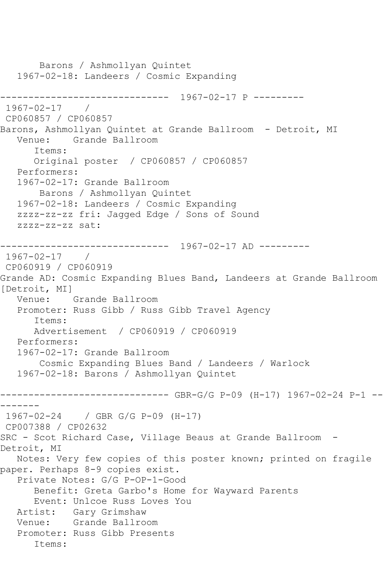```
 Barons / Ashmollyan Quintet
   1967-02-18: Landeers / Cosmic Expanding
------------------------------ 1967-02-17 P ---------
1967-02-17 / 
CP060857 / CP060857
Barons, Ashmollyan Quintet at Grande Ballroom - Detroit, MI<br>Venue: Grande Ballroom
          Grande Ballroom
       Items:
      Original poster / CP060857 / CP060857
   Performers:
   1967-02-17: Grande Ballroom
        Barons / Ashmollyan Quintet
   1967-02-18: Landeers / Cosmic Expanding
   zzzz-zz-zz fri: Jagged Edge / Sons of Sound
   zzzz-zz-zz sat:
------------------------------ 1967-02-17 AD ---------
1967-02-17 / 
CP060919 / CP060919
Grande AD: Cosmic Expanding Blues Band, Landeers at Grande Ballroom 
[Detroit, MI]
   Venue: Grande Ballroom
   Promoter: Russ Gibb / Russ Gibb Travel Agency
       Items:
      Advertisement / CP060919 / CP060919
   Performers:
   1967-02-17: Grande Ballroom
        Cosmic Expanding Blues Band / Landeers / Warlock
   1967-02-18: Barons / Ashmollyan Quintet
------------------------------ GBR-G/G P-09 (H-17) 1967-02-24 P-1 --
-------
1967-02-24 / GBR G/G P-09 (H-17)
CP007388 / CP02632
SRC - Scot Richard Case, Village Beaus at Grande Ballroom -
Detroit, MI
   Notes: Very few copies of this poster known; printed on fragile 
paper. Perhaps 8-9 copies exist.
   Private Notes: G/G P-OP-1-Good
       Benefit: Greta Garbo's Home for Wayward Parents
      Event: Unlcoe Russ Loves You
   Artist: Gary Grimshaw
   Venue: Grande Ballroom
   Promoter: Russ Gibb Presents
       Items:
```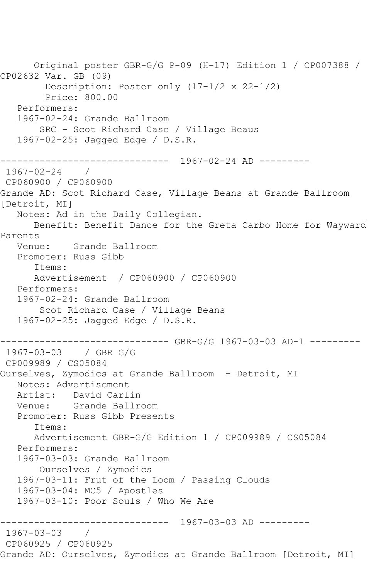Original poster GBR-G/G P-09 (H-17) Edition 1 / CP007388 / CP02632 Var. GB (09) Description: Poster only (17-1/2 x 22-1/2) Price: 800.00 Performers: 1967-02-24: Grande Ballroom SRC - Scot Richard Case / Village Beaus 1967-02-25: Jagged Edge / D.S.R. ------------------------------ 1967-02-24 AD --------- 1967-02-24 / CP060900 / CP060900 Grande AD: Scot Richard Case, Village Beans at Grande Ballroom [Detroit, MI] Notes: Ad in the Daily Collegian. Benefit: Benefit Dance for the Greta Carbo Home for Wayward Parents Venue: Grande Ballroom Promoter: Russ Gibb Items: Advertisement / CP060900 / CP060900 Performers: 1967-02-24: Grande Ballroom Scot Richard Case / Village Beans 1967-02-25: Jagged Edge / D.S.R. ------------------------------ GBR-G/G 1967-03-03 AD-1 --------- 1967-03-03 / GBR G/G CP009989 / CS05084 Ourselves, Zymodics at Grande Ballroom - Detroit, MI Notes: Advertisement Artist: David Carlin Venue: Grande Ballroom Promoter: Russ Gibb Presents Items: Advertisement GBR-G/G Edition 1 / CP009989 / CS05084 Performers: 1967-03-03: Grande Ballroom Ourselves / Zymodics 1967-03-11: Frut of the Loom / Passing Clouds 1967-03-04: MC5 / Apostles 1967-03-10: Poor Souls / Who We Are ------------------------------ 1967-03-03 AD --------- 1967-03-03 / CP060925 / CP060925 Grande AD: Ourselves, Zymodics at Grande Ballroom [Detroit, MI]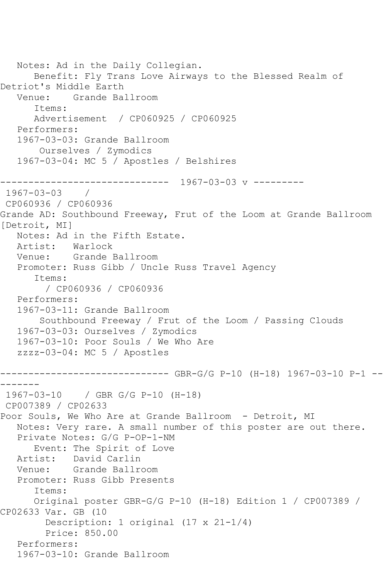```
 Notes: Ad in the Daily Collegian.
       Benefit: Fly Trans Love Airways to the Blessed Realm of 
Detriot's Middle Earth
   Venue: Grande Ballroom
       Items:
      Advertisement / CP060925 / CP060925
   Performers:
   1967-03-03: Grande Ballroom
        Ourselves / Zymodics
   1967-03-04: MC 5 / Apostles / Belshires
------------------------------ 1967-03-03 v ---------
1967-03-03 / 
CP060936 / CP060936
Grande AD: Southbound Freeway, Frut of the Loom at Grande Ballroom 
[Detroit, MI]
   Notes: Ad in the Fifth Estate.
   Artist: Warlock
   Venue: Grande Ballroom
   Promoter: Russ Gibb / Uncle Russ Travel Agency
       Items:
         / CP060936 / CP060936
   Performers:
   1967-03-11: Grande Ballroom
        Southbound Freeway / Frut of the Loom / Passing Clouds
   1967-03-03: Ourselves / Zymodics
   1967-03-10: Poor Souls / We Who Are
   zzzz-03-04: MC 5 / Apostles
       ------------------------------ GBR-G/G P-10 (H-18) 1967-03-10 P-1 --
-------
1967-03-10 / GBR G/G P-10 (H-18)
CP007389 / CP02633
Poor Souls, We Who Are at Grande Ballroom - Detroit, MI
   Notes: Very rare. A small number of this poster are out there.
   Private Notes: G/G P-OP-1-NM
      Event: The Spirit of Love
   Artist: David Carlin
   Venue: Grande Ballroom
   Promoter: Russ Gibb Presents
       Items:
      Original poster GBR-G/G P-10 (H-18) Edition 1 / CP007389 / 
CP02633 Var. GB (10
         Description: 1 original (17 x 21-1/4)
         Price: 850.00
   Performers:
   1967-03-10: Grande Ballroom
```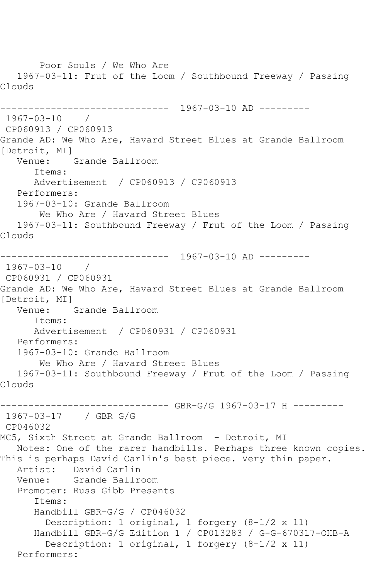Poor Souls / We Who Are 1967-03-11: Frut of the Loom / Southbound Freeway / Passing Clouds ------------------------------ 1967-03-10 AD --------- 1967-03-10 / CP060913 / CP060913 Grande AD: We Who Are, Havard Street Blues at Grande Ballroom [Detroit, MI] Venue: Grande Ballroom Items: Advertisement / CP060913 / CP060913 Performers: 1967-03-10: Grande Ballroom We Who Are / Havard Street Blues 1967-03-11: Southbound Freeway / Frut of the Loom / Passing Clouds ------------------------------ 1967-03-10 AD --------- 1967-03-10 / CP060931 / CP060931 Grande AD: We Who Are, Havard Street Blues at Grande Ballroom [Detroit, MI] Venue: Grande Ballroom Items: Advertisement / CP060931 / CP060931 Performers: 1967-03-10: Grande Ballroom We Who Are / Havard Street Blues 1967-03-11: Southbound Freeway / Frut of the Loom / Passing Clouds ------------------------------ GBR-G/G 1967-03-17 H --------- 1967-03-17 / GBR G/G CP046032 MC5, Sixth Street at Grande Ballroom - Detroit, MI Notes: One of the rarer handbills. Perhaps three known copies. This is perhaps David Carlin's best piece. Very thin paper. Artist: David Carlin<br>Venue: Grande Ballro Grande Ballroom Promoter: Russ Gibb Presents Items: Handbill GBR-G/G / CP046032 Description: 1 original, 1 forgery (8-1/2 x 11) Handbill GBR-G/G Edition 1 / CP013283 / G-G-670317-OHB-A Description: 1 original, 1 forgery (8-1/2 x 11) Performers: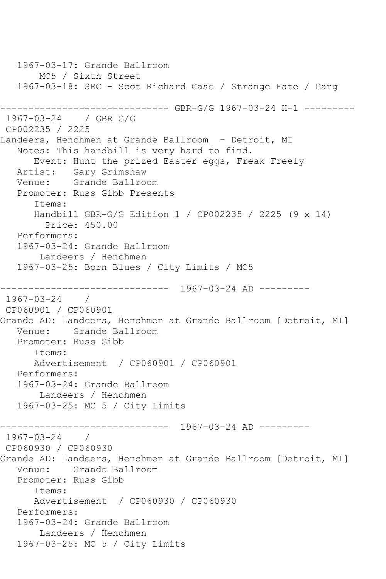1967-03-17: Grande Ballroom MC5 / Sixth Street 1967-03-18: SRC - Scot Richard Case / Strange Fate / Gang ------------------------------ GBR-G/G 1967-03-24 H-1 --------- 1967-03-24 / GBR G/G CP002235 / 2225 Landeers, Henchmen at Grande Ballroom - Detroit, MI Notes: This handbill is very hard to find. Event: Hunt the prized Easter eggs, Freak Freely Artist: Gary Grimshaw Venue: Grande Ballroom Promoter: Russ Gibb Presents Items: Handbill GBR-G/G Edition 1 / CP002235 / 2225 (9 x 14) Price: 450.00 Performers: 1967-03-24: Grande Ballroom Landeers / Henchmen 1967-03-25: Born Blues / City Limits / MC5 ------------------------------ 1967-03-24 AD --------- 1967-03-24 / CP060901 / CP060901 Grande AD: Landeers, Henchmen at Grande Ballroom [Detroit, MI] Venue: Grande Ballroom Promoter: Russ Gibb Items: Advertisement / CP060901 / CP060901 Performers: 1967-03-24: Grande Ballroom Landeers / Henchmen 1967-03-25: MC 5 / City Limits ------------------------------ 1967-03-24 AD --------- 1967-03-24 / CP060930 / CP060930 Grande AD: Landeers, Henchmen at Grande Ballroom [Detroit, MI] Venue: Grande Ballroom Promoter: Russ Gibb Items: Advertisement / CP060930 / CP060930 Performers: 1967-03-24: Grande Ballroom Landeers / Henchmen 1967-03-25: MC 5 / City Limits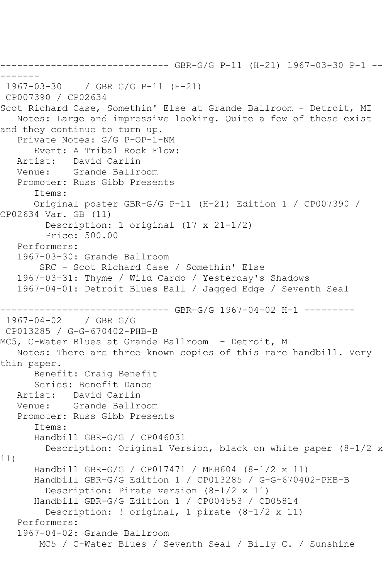```
------------------------------ GBR-G/G P-11 (H-21) 1967-03-30 P-1 --
-------
1967-03-30 / GBR G/G P-11 (H-21)
CP007390 / CP02634
Scot Richard Case, Somethin' Else at Grande Ballroom - Detroit, MI
    Notes: Large and impressive looking. Quite a few of these exist 
and they continue to turn up.
    Private Notes: G/G P-OP-1-NM
       Event: A Tribal Rock Flow:
   Artist: David Carlin
   Venue: Grande Ballroom
   Promoter: Russ Gibb Presents
       Items:
       Original poster GBR-G/G P-11 (H-21) Edition 1 / CP007390 / 
CP02634 Var. GB (11)
         Description: 1 original (17 x 21-1/2)
         Price: 500.00
    Performers:
    1967-03-30: Grande Ballroom
        SRC - Scot Richard Case / Somethin' Else
    1967-03-31: Thyme / Wild Cardo / Yesterday's Shadows
    1967-04-01: Detroit Blues Ball / Jagged Edge / Seventh Seal
------------------------------ GBR-G/G 1967-04-02 H-1 ---------
1967-04-02 / GBR G/G
CP013285 / G-G-670402-PHB-B
MC5, C-Water Blues at Grande Ballroom - Detroit, MI
    Notes: There are three known copies of this rare handbill. Very 
thin paper.
       Benefit: Craig Benefit
       Series: Benefit Dance
  Artist: David Carlin<br>Venue: Grande Ballro
            Grande Ballroom
    Promoter: Russ Gibb Presents
       Items:
       Handbill GBR-G/G / CP046031
         Description: Original Version, black on white paper (8-1/2 x 
11)
       Handbill GBR-G/G / CP017471 / MEB604 (8-1/2 x 11)
       Handbill GBR-G/G Edition 1 / CP013285 / G-G-670402-PHB-B
         Description: Pirate version (8-1/2 x 11)
       Handbill GBR-G/G Edition 1 / CP004553 / CD05814
         Description: ! original, 1 pirate (8-1/2 x 11)
    Performers:
    1967-04-02: Grande Ballroom
        MC5 / C-Water Blues / Seventh Seal / Billy C. / Sunshine
```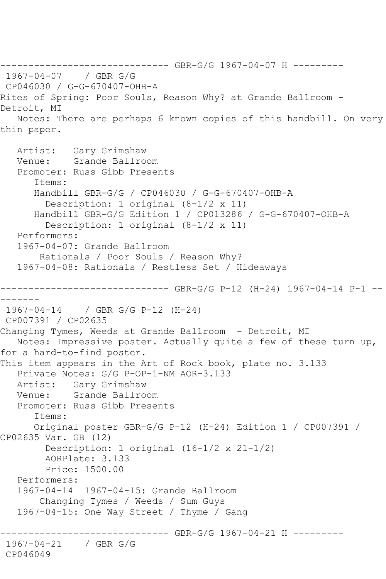------------------------------ GBR-G/G 1967-04-07 H --------- 1967-04-07 / GBR G/G CP046030 / G-G-670407-OHB-A Rites of Spring: Poor Souls, Reason Why? at Grande Ballroom - Detroit, MI Notes: There are perhaps 6 known copies of this handbill. On very thin paper. Artist: Gary Grimshaw Venue: Grande Ballroom Promoter: Russ Gibb Presents Items: Handbill GBR-G/G / CP046030 / G-G-670407-OHB-A Description: 1 original (8-1/2 x 11) Handbill GBR-G/G Edition 1 / CP013286 / G-G-670407-OHB-A Description: 1 original (8-1/2 x 11) Performers: 1967-04-07: Grande Ballroom Rationals / Poor Souls / Reason Why? 1967-04-08: Rationals / Restless Set / Hideaways ------------------------------ GBR-G/G P-12 (H-24) 1967-04-14 P-1 -- ------- 1967-04-14 / GBR G/G P-12 (H-24) CP007391 / CP02635 Changing Tymes, Weeds at Grande Ballroom - Detroit, MI Notes: Impressive poster. Actually quite a few of these turn up, for a hard-to-find poster. This item appears in the Art of Rock book, plate no. 3.133 Private Notes: G/G P-OP-1-NM AOR-3.133 Artist: Gary Grimshaw Venue: Grande Ballroom Promoter: Russ Gibb Presents Items: Original poster GBR-G/G P-12 (H-24) Edition 1 / CP007391 / CP02635 Var. GB (12) Description: 1 original (16-1/2 x 21-1/2) AORPlate: 3.133 Price: 1500.00 Performers: 1967-04-14 1967-04-15: Grande Ballroom Changing Tymes / Weeds / Sum Guys 1967-04-15: One Way Street / Thyme / Gang ------------------------------ GBR-G/G 1967-04-21 H --------- 1967-04-21 / GBR G/G CP046049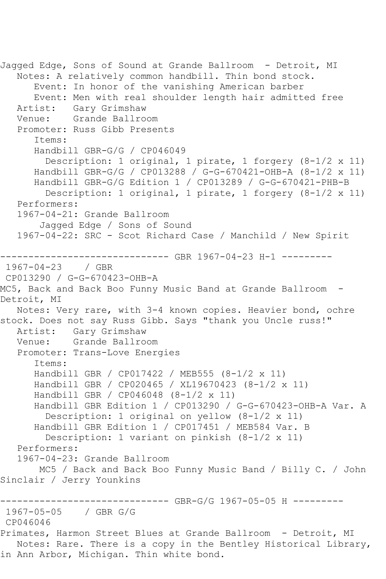```
Jagged Edge, Sons of Sound at Grande Ballroom - Detroit, MI
   Notes: A relatively common handbill. Thin bond stock.
       Event: In honor of the vanishing American barber
       Event: Men with real shoulder length hair admitted free
   Artist: Gary Grimshaw
   Venue: Grande Ballroom
   Promoter: Russ Gibb Presents
       Items:
       Handbill GBR-G/G / CP046049
         Description: 1 original, 1 pirate, 1 forgery (8-1/2 x 11)
       Handbill GBR-G/G / CP013288 / G-G-670421-OHB-A (8-1/2 x 11)
      Handbill GBR-G/G Edition 1 / CP013289 / G-G-670421-PHB-B
        Description: 1 original, 1 pirate, 1 forgery (8-1/2 \times 11) Performers:
   1967-04-21: Grande Ballroom
        Jagged Edge / Sons of Sound
   1967-04-22: SRC - Scot Richard Case / Manchild / New Spirit
          ------------------------------ GBR 1967-04-23 H-1 ---------
1967-04-23 / GBR 
CP013290 / G-G-670423-OHB-A
MC5, Back and Back Boo Funny Music Band at Grande Ballroom -
Detroit, MI
   Notes: Very rare, with 3-4 known copies. Heavier bond, ochre 
stock. Does not say Russ Gibb. Says "thank you Uncle russ!"
   Artist: Gary Grimshaw
   Venue: Grande Ballroom
   Promoter: Trans-Love Energies
       Items:
       Handbill GBR / CP017422 / MEB555 (8-1/2 x 11)
      Handbill GBR / CP020465 / XL19670423 (8-1/2 x 11)
       Handbill GBR / CP046048 (8-1/2 x 11)
       Handbill GBR Edition 1 / CP013290 / G-G-670423-OHB-A Var. A
         Description: 1 original on yellow (8-1/2 x 11)
       Handbill GBR Edition 1 / CP017451 / MEB584 Var. B
         Description: 1 variant on pinkish (8-1/2 x 11)
   Performers:
   1967-04-23: Grande Ballroom
        MC5 / Back and Back Boo Funny Music Band / Billy C. / John 
Sinclair / Jerry Younkins
------------------------------ GBR-G/G 1967-05-05 H ---------
1967-05-05 / GBR G/G
CP046046
Primates, Harmon Street Blues at Grande Ballroom - Detroit, MI
   Notes: Rare. There is a copy in the Bentley Historical Library, 
in Ann Arbor, Michigan. Thin white bond.
```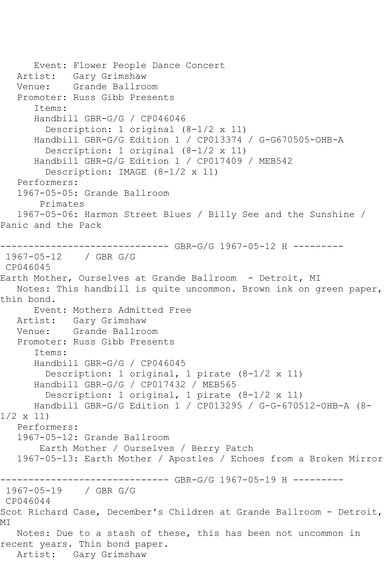```
 Event: Flower People Dance Concert
   Artist: Gary Grimshaw
   Venue: Grande Ballroom
   Promoter: Russ Gibb Presents
       Items:
       Handbill GBR-G/G / CP046046
         Description: 1 original (8-1/2 x 11)
       Handbill GBR-G/G Edition 1 / CP013374 / G-G670505-OHB-A
         Description: 1 original (8-1/2 x 11)
       Handbill GBR-G/G Edition 1 / CP017409 / MEB542
         Description: IMAGE (8-1/2 x 11)
   Performers:
   1967-05-05: Grande Ballroom
        Primates
   1967-05-06: Harmon Street Blues / Billy See and the Sunshine / 
Panic and the Pack
------------------------------ GBR-G/G 1967-05-12 H ---------
1967-05-12 / GBR G/G
CP046045
Earth Mother, Ourselves at Grande Ballroom - Detroit, MI
   Notes: This handbill is quite uncommon. Brown ink on green paper, 
thin bond.
      Event: Mothers Admitted Free
   Artist: Gary Grimshaw
   Venue: Grande Ballroom
   Promoter: Russ Gibb Presents
       Items:
      Handbill GBR-G/G / CP046045
         Description: 1 original, 1 pirate (8-1/2 x 11)
       Handbill GBR-G/G / CP017432 / MEB565
         Description: 1 original, 1 pirate (8-1/2 x 11)
      Handbill GBR-G/G Edition 1 / CP013295 / G-G-670512-OHB-A (8-
1/2 x 11)
   Performers:
   1967-05-12: Grande Ballroom
       Earth Mother / Ourselves / Berry Patch
   1967-05-13: Earth Mother / Apostles / Echoes from a Broken Mirror
------------------------------ GBR-G/G 1967-05-19 H ---------
1967-05-19 / GBR G/G
CP046044
Scot Richard Case, December's Children at Grande Ballroom - Detroit, 
MI
   Notes: Due to a stash of these, this has been not uncommon in 
recent years. Thin bond paper.
   Artist: Gary Grimshaw
```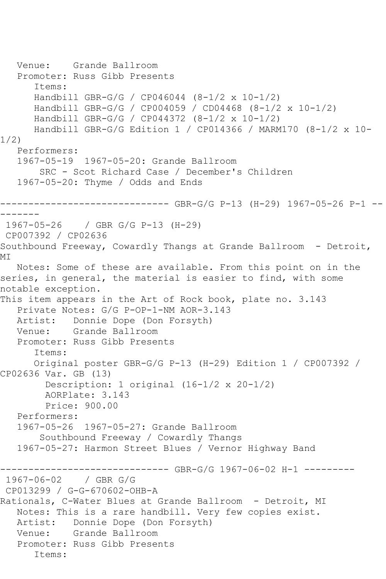```
 Venue: Grande Ballroom
   Promoter: Russ Gibb Presents
       Items:
      Handbill GBR-G/G / CP046044 (8-1/2 x 10-1/2)
      Handbill GBR-G/G / CP004059 / CD04468 (8-1/2 x 10-1/2)
      Handbill GBR-G/G / CP044372 (8-1/2 x 10-1/2)
       Handbill GBR-G/G Edition 1 / CP014366 / MARM170 (8-1/2 x 10-
1/2)
   Performers:
   1967-05-19 1967-05-20: Grande Ballroom
        SRC - Scot Richard Case / December's Children
   1967-05-20: Thyme / Odds and Ends
       ------------------------------ GBR-G/G P-13 (H-29) 1967-05-26 P-1 --
-------
1967-05-26 / GBR G/G P-13 (H-29)
CP007392 / CP02636
Southbound Freeway, Cowardly Thangs at Grande Ballroom - Detroit,
MI
  Notes: Some of these are available. From this point on in the 
series, in general, the material is easier to find, with some 
notable exception.
This item appears in the Art of Rock book, plate no. 3.143
   Private Notes: G/G P-OP-1-NM AOR-3.143
  Artist: Donnie Dope (Don Forsyth)<br>Venue: Grande Ballroom
           Grande Ballroom
   Promoter: Russ Gibb Presents
       Items:
      Original poster GBR-G/G P-13 (H-29) Edition 1 / CP007392 / 
CP02636 Var. GB (13)
         Description: 1 original (16-1/2 x 20-1/2)
         AORPlate: 3.143 
         Price: 900.00
   Performers:
   1967-05-26 1967-05-27: Grande Ballroom
        Southbound Freeway / Cowardly Thangs
   1967-05-27: Harmon Street Blues / Vernor Highway Band
------------------------------ GBR-G/G 1967-06-02 H-1 ---------
1967-06-02 / GBR G/G
CP013299 / G-G-670602-OHB-A
Rationals, C-Water Blues at Grande Ballroom - Detroit, MI
   Notes: This is a rare handbill. Very few copies exist.
   Artist: Donnie Dope (Don Forsyth)
   Venue: Grande Ballroom
   Promoter: Russ Gibb Presents
       Items:
```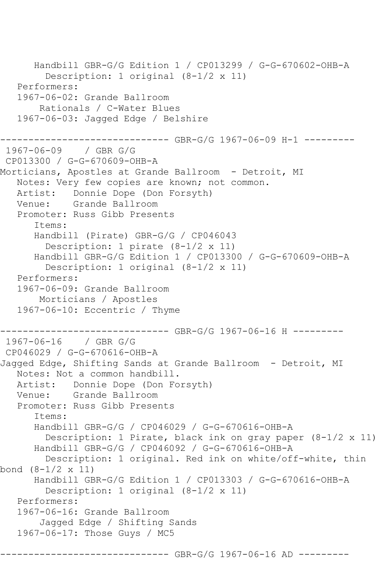```
 Handbill GBR-G/G Edition 1 / CP013299 / G-G-670602-OHB-A
         Description: 1 original (8-1/2 x 11)
   Performers:
   1967-06-02: Grande Ballroom
        Rationals / C-Water Blues
   1967-06-03: Jagged Edge / Belshire
------------------------------ GBR-G/G 1967-06-09 H-1 ---------
1967-06-09 / GBR G/G
CP013300 / G-G-670609-OHB-A
Morticians, Apostles at Grande Ballroom - Detroit, MI
   Notes: Very few copies are known; not common.
   Artist: Donnie Dope (Don Forsyth)
   Venue: Grande Ballroom
   Promoter: Russ Gibb Presents
       Items:
       Handbill (Pirate) GBR-G/G / CP046043
        Description: 1 pirate (8-1/2 x 11)
      Handbill GBR-G/G Edition 1 / CP013300 / G-G-670609-OHB-A
         Description: 1 original (8-1/2 x 11)
   Performers:
   1967-06-09: Grande Ballroom
       Morticians / Apostles
   1967-06-10: Eccentric / Thyme
------------------------------ GBR-G/G 1967-06-16 H ---------
1967-06-16 / GBR G/G
CP046029 / G-G-670616-OHB-A
Jagged Edge, Shifting Sands at Grande Ballroom - Detroit, MI
   Notes: Not a common handbill.
   Artist: Donnie Dope (Don Forsyth)
   Venue: Grande Ballroom
   Promoter: Russ Gibb Presents
       Items:
       Handbill GBR-G/G / CP046029 / G-G-670616-OHB-A
         Description: 1 Pirate, black ink on gray paper (8-1/2 x 11)
       Handbill GBR-G/G / CP046092 / G-G-670616-OHB-A
         Description: 1 original. Red ink on white/off-white, thin 
bond (8-1/2 x 11)
      Handbill GBR-G/G Edition 1 / CP013303 / G-G-670616-OHB-A
         Description: 1 original (8-1/2 x 11)
   Performers:
   1967-06-16: Grande Ballroom
        Jagged Edge / Shifting Sands
   1967-06-17: Those Guys / MC5
                        ------ GBR-G/G 1967-06-16 AD ---------
```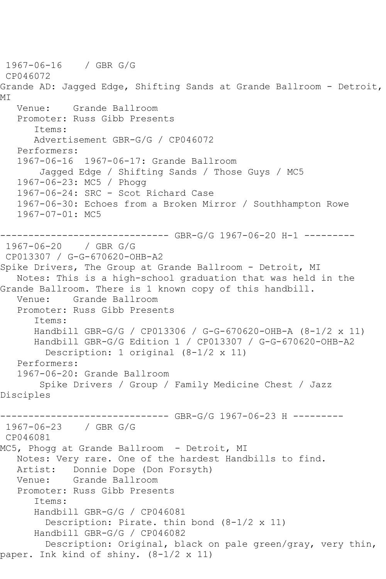1967-06-16 / GBR G/G CP046072 Grande AD: Jagged Edge, Shifting Sands at Grande Ballroom - Detroit, MI Venue: Grande Ballroom Promoter: Russ Gibb Presents Items: Advertisement GBR-G/G / CP046072 Performers: 1967-06-16 1967-06-17: Grande Ballroom Jagged Edge / Shifting Sands / Those Guys / MC5 1967-06-23: MC5 / Phogg 1967-06-24: SRC - Scot Richard Case 1967-06-30: Echoes from a Broken Mirror / Southhampton Rowe 1967-07-01: MC5 ------------------------------ GBR-G/G 1967-06-20 H-1 --------- 1967-06-20 / GBR G/G CP013307 / G-G-670620-OHB-A2 Spike Drivers, The Group at Grande Ballroom - Detroit, MI Notes: This is a high-school graduation that was held in the Grande Ballroom. There is 1 known copy of this handbill. Venue: Grande Ballroom Promoter: Russ Gibb Presents Items: Handbill GBR-G/G / CP013306 / G-G-670620-OHB-A (8-1/2 x 11) Handbill GBR-G/G Edition 1 / CP013307 / G-G-670620-OHB-A2 Description: 1 original (8-1/2 x 11) Performers: 1967-06-20: Grande Ballroom Spike Drivers / Group / Family Medicine Chest / Jazz Disciples ------------------------------ GBR-G/G 1967-06-23 H --------- 1967-06-23 / GBR G/G CP046081 MC5, Phogg at Grande Ballroom - Detroit, MI Notes: Very rare. One of the hardest Handbills to find. Artist: Donnie Dope (Don Forsyth) Venue: Grande Ballroom Promoter: Russ Gibb Presents Items: Handbill GBR-G/G / CP046081 Description: Pirate. thin bond (8-1/2 x 11) Handbill GBR-G/G / CP046082 Description: Original, black on pale green/gray, very thin, paper. Ink kind of shiny. (8-1/2 x 11)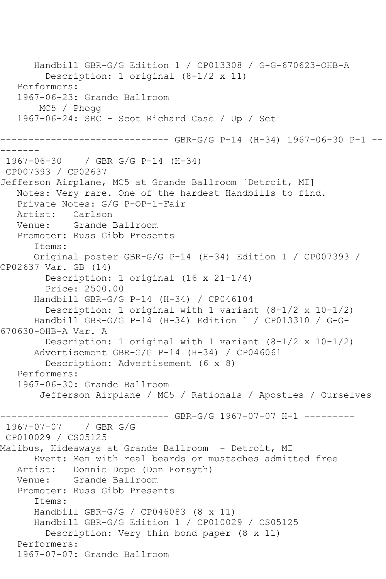Handbill GBR-G/G Edition 1 / CP013308 / G-G-670623-OHB-A Description: 1 original (8-1/2 x 11) Performers: 1967-06-23: Grande Ballroom MC5 / Phogg 1967-06-24: SRC - Scot Richard Case / Up / Set ------------------------------ GBR-G/G P-14 (H-34) 1967-06-30 P-1 -- ------- 1967-06-30 / GBR G/G P-14 (H-34) CP007393 / CP02637 Jefferson Airplane, MC5 at Grande Ballroom [Detroit, MI] Notes: Very rare. One of the hardest Handbills to find. Private Notes: G/G P-OP-1-Fair Artist: Carlson Venue: Grande Ballroom Promoter: Russ Gibb Presents Items: Original poster GBR-G/G P-14 (H-34) Edition 1 / CP007393 / CP02637 Var. GB (14) Description: 1 original (16 x 21-1/4) Price: 2500.00 Handbill GBR-G/G P-14 (H-34) / CP046104 Description: 1 original with 1 variant  $(8-1/2 \times 10-1/2)$  Handbill GBR-G/G P-14 (H-34) Edition 1 / CP013310 / G-G-670630-OHB-A Var. A Description: 1 original with 1 variant (8-1/2 x 10-1/2) Advertisement GBR-G/G P-14 (H-34) / CP046061 Description: Advertisement (6 x 8) Performers: 1967-06-30: Grande Ballroom Jefferson Airplane / MC5 / Rationals / Apostles / Ourselves ------------------------------ GBR-G/G 1967-07-07 H-1 --------- 1967-07-07 / GBR G/G CP010029 / CS05125 Malibus, Hideaways at Grande Ballroom - Detroit, MI Event: Men with real beards or mustaches admitted free Artist: Donnie Dope (Don Forsyth)<br>Venue: Grande Ballroom Grande Ballroom Promoter: Russ Gibb Presents Items: Handbill GBR-G/G / CP046083 (8 x 11) Handbill GBR-G/G Edition 1 / CP010029 / CS05125 Description: Very thin bond paper (8 x 11) Performers: 1967-07-07: Grande Ballroom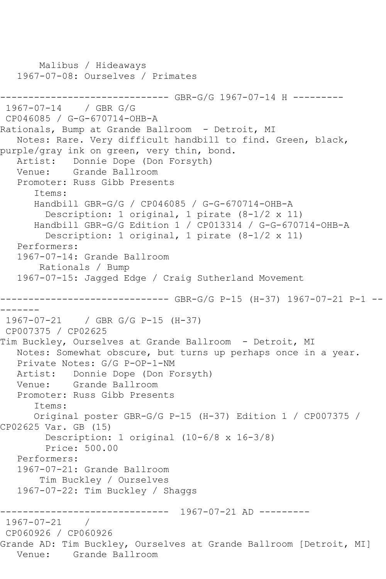```
 Malibus / Hideaways
    1967-07-08: Ourselves / Primates
------------------------------ GBR-G/G 1967-07-14 H ---------
1967-07-14 / GBR G/G
CP046085 / G-G-670714-OHB-A
Rationals, Bump at Grande Ballroom - Detroit, MI
   Notes: Rare. Very difficult handbill to find. Green, black, 
purple/gray ink on green, very thin, bond.
    Artist: Donnie Dope (Don Forsyth)
   Venue: Grande Ballroom
    Promoter: Russ Gibb Presents
       Items:
       Handbill GBR-G/G / CP046085 / G-G-670714-OHB-A
         Description: 1 original, 1 pirate (8-1/2 x 11)
       Handbill GBR-G/G Edition 1 / CP013314 / G-G-670714-OHB-A
         Description: 1 original, 1 pirate (8-1/2 x 11)
    Performers:
    1967-07-14: Grande Ballroom
        Rationals / Bump
    1967-07-15: Jagged Edge / Craig Sutherland Movement
         ------------------------------ GBR-G/G P-15 (H-37) 1967-07-21 P-1 --
-------
1967-07-21 / GBR G/G P-15 (H-37)
CP007375 / CP02625
Tim Buckley, Ourselves at Grande Ballroom - Detroit, MI
   Notes: Somewhat obscure, but turns up perhaps once in a year.
   Private Notes: G/G P-OP-1-NM
   Artist: Donnie Dope (Don Forsyth)
   Venue: Grande Ballroom
   Promoter: Russ Gibb Presents
       Items:
       Original poster GBR-G/G P-15 (H-37) Edition 1 / CP007375 / 
CP02625 Var. GB (15)
         Description: 1 original (10-6/8 x 16-3/8)
         Price: 500.00
    Performers:
    1967-07-21: Grande Ballroom
        Tim Buckley / Ourselves
    1967-07-22: Tim Buckley / Shaggs
                  ------------------------------ 1967-07-21 AD ---------
1967-07-21 / 
CP060926 / CP060926
Grande AD: Tim Buckley, Ourselves at Grande Ballroom [Detroit, MI]<br>Venue: Grande Ballroom
           Grande Ballroom
```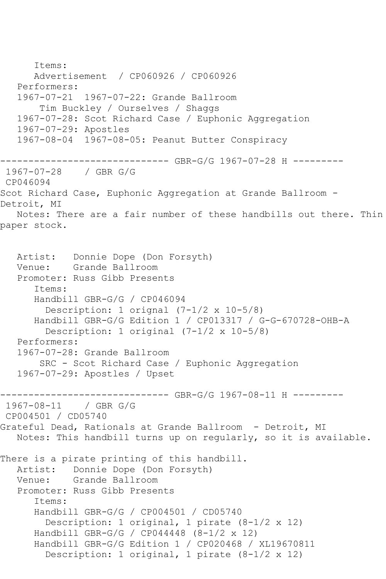Items: Advertisement / CP060926 / CP060926 Performers: 1967-07-21 1967-07-22: Grande Ballroom Tim Buckley / Ourselves / Shaggs 1967-07-28: Scot Richard Case / Euphonic Aggregation 1967-07-29: Apostles 1967-08-04 1967-08-05: Peanut Butter Conspiracy ------------------------------ GBR-G/G 1967-07-28 H --------- 1967-07-28 / GBR G/G CP046094 Scot Richard Case, Euphonic Aggregation at Grande Ballroom - Detroit, MI Notes: There are a fair number of these handbills out there. Thin paper stock. Artist: Donnie Dope (Don Forsyth) Venue: Grande Ballroom Promoter: Russ Gibb Presents Items: Handbill GBR-G/G / CP046094 Description: 1 orignal (7-1/2 x 10-5/8) Handbill GBR-G/G Edition 1 / CP013317 / G-G-670728-OHB-A Description: 1 original (7-1/2 x 10-5/8) Performers: 1967-07-28: Grande Ballroom SRC - Scot Richard Case / Euphonic Aggregation 1967-07-29: Apostles / Upset ------------------------------ GBR-G/G 1967-08-11 H --------- 1967-08-11 / GBR G/G CP004501 / CD05740 Grateful Dead, Rationals at Grande Ballroom - Detroit, MI Notes: This handbill turns up on regularly, so it is available. There is a pirate printing of this handbill. Artist: Donnie Dope (Don Forsyth) Venue: Grande Ballroom Promoter: Russ Gibb Presents Items: Handbill GBR-G/G / CP004501 / CD05740 Description: 1 original, 1 pirate (8-1/2 x 12) Handbill GBR-G/G / CP044448 (8-1/2 x 12) Handbill GBR-G/G Edition 1 / CP020468 / XL19670811 Description: 1 original, 1 pirate (8-1/2 x 12)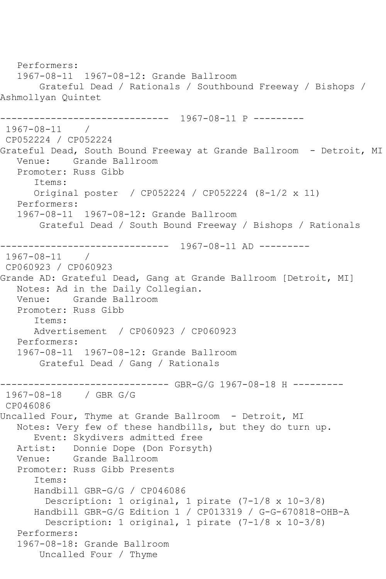```
 Performers:
   1967-08-11 1967-08-12: Grande Ballroom
       Grateful Dead / Rationals / Southbound Freeway / Bishops / 
Ashmollyan Quintet
         ------------------------------ 1967-08-11 P ---------
1967-08-11 / 
CP052224 / CP052224
Grateful Dead, South Bound Freeway at Grande Ballroom - Detroit, MI
   Venue: Grande Ballroom
   Promoter: Russ Gibb
      Items:
      Original poster / CP052224 / CP052224 (8-1/2 x 11)
   Performers:
   1967-08-11 1967-08-12: Grande Ballroom
       Grateful Dead / South Bound Freeway / Bishops / Rationals
------------------------------ 1967-08-11 AD ---------
1967-08-11 / 
CP060923 / CP060923
Grande AD: Grateful Dead, Gang at Grande Ballroom [Detroit, MI]
   Notes: Ad in the Daily Collegian.
   Venue: Grande Ballroom
   Promoter: Russ Gibb
      Items:
      Advertisement / CP060923 / CP060923
   Performers:
   1967-08-11 1967-08-12: Grande Ballroom
       Grateful Dead / Gang / Rationals
------------------------------ GBR-G/G 1967-08-18 H ---------
1967-08-18 / GBR G/G
CP046086
Uncalled Four, Thyme at Grande Ballroom - Detroit, MI
   Notes: Very few of these handbills, but they do turn up.
      Event: Skydivers admitted free
   Artist: Donnie Dope (Don Forsyth)
   Venue: Grande Ballroom
   Promoter: Russ Gibb Presents
      Items:
      Handbill GBR-G/G / CP046086
         Description: 1 original, 1 pirate (7-1/8 x 10-3/8)
      Handbill GBR-G/G Edition 1 / CP013319 / G-G-670818-OHB-A
        Description: 1 original, 1 pirate (7-1/8 x 10-3/8)
   Performers:
   1967-08-18: Grande Ballroom
       Uncalled Four / Thyme
```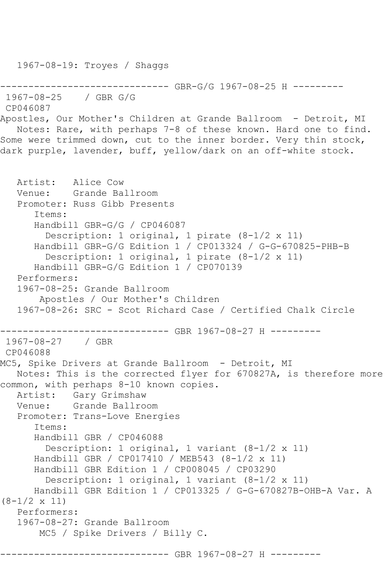1967-08-19: Troyes / Shaggs --------------- GBR-G/G 1967-08-25 H ---------1967-08-25 / GBR G/G CP046087 Apostles, Our Mother's Children at Grande Ballroom - Detroit, MI Notes: Rare, with perhaps 7-8 of these known. Hard one to find. Some were trimmed down, cut to the inner border. Very thin stock, dark purple, lavender, buff, yellow/dark on an off-white stock. Artist: Alice Cow<br>Venue: Grande Ba Grande Ballroom Promoter: Russ Gibb Presents Items: Handbill GBR-G/G / CP046087 Description: 1 original, 1 pirate (8-1/2 x 11) Handbill GBR-G/G Edition 1 / CP013324 / G-G-670825-PHB-B Description: 1 original, 1 pirate (8-1/2 x 11) Handbill GBR-G/G Edition 1 / CP070139 Performers: 1967-08-25: Grande Ballroom Apostles / Our Mother's Children 1967-08-26: SRC - Scot Richard Case / Certified Chalk Circle ------------------------------ GBR 1967-08-27 H --------- 1967-08-27 / GBR CP046088 MC5, Spike Drivers at Grande Ballroom - Detroit, MI Notes: This is the corrected flyer for 670827A, is therefore more common, with perhaps 8-10 known copies. Artist: Gary Grimshaw Venue: Grande Ballroom Promoter: Trans-Love Energies Items: Handbill GBR / CP046088 Description: 1 original, 1 variant (8-1/2 x 11) Handbill GBR / CP017410 / MEB543 (8-1/2 x 11) Handbill GBR Edition 1 / CP008045 / CP03290 Description: 1 original, 1 variant (8-1/2 x 11) Handbill GBR Edition 1 / CP013325 / G-G-670827B-OHB-A Var. A (8-1/2 x 11) Performers: 1967-08-27: Grande Ballroom MC5 / Spike Drivers / Billy C. ------ GBR 1967-08-27 H ---------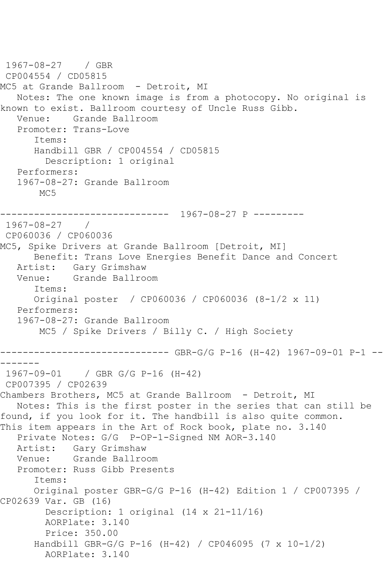```
1967-08-27 / GBR 
CP004554 / CD05815
MC5 at Grande Ballroom - Detroit, MI
   Notes: The one known image is from a photocopy. No original is 
known to exist. Ballroom courtesy of Uncle Russ Gibb.
   Venue: Grande Ballroom
   Promoter: Trans-Love
       Items:
      Handbill GBR / CP004554 / CD05815
         Description: 1 original
   Performers:
   1967-08-27: Grande Ballroom
        MC5
          ------------------------------ 1967-08-27 P ---------
1967-08-27 / 
CP060036 / CP060036
MC5, Spike Drivers at Grande Ballroom [Detroit, MI]
      Benefit: Trans Love Energies Benefit Dance and Concert
   Artist: Gary Grimshaw
   Venue: Grande Ballroom
       Items:
      Original poster / CP060036 / CP060036 (8-1/2 x 11)
   Performers:
   1967-08-27: Grande Ballroom
        MC5 / Spike Drivers / Billy C. / High Society
------------------------------ GBR-G/G P-16 (H-42) 1967-09-01 P-1 --
-------
1967-09-01 / GBR G/G P-16 (H-42)
CP007395 / CP02639
Chambers Brothers, MC5 at Grande Ballroom - Detroit, MI
   Notes: This is the first poster in the series that can still be 
found, if you look for it. The handbill is also quite common.
This item appears in the Art of Rock book, plate no. 3.140
   Private Notes: G/G P-OP-1-Signed NM AOR-3.140
   Artist: Gary Grimshaw
   Venue: Grande Ballroom
   Promoter: Russ Gibb Presents
       Items:
      Original poster GBR-G/G P-16 (H-42) Edition 1 / CP007395 / 
CP02639 Var. GB (16)
        Description: 1 original (14 x 21-11/16)
        AORPlate: 3.140 
         Price: 350.00
       Handbill GBR-G/G P-16 (H-42) / CP046095 (7 x 10-1/2)
        AORPlate: 3.140
```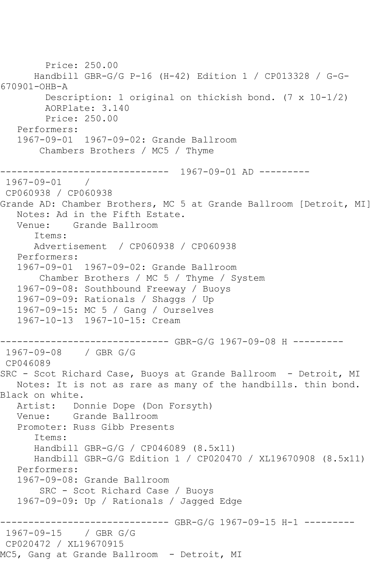```
 Price: 250.00
       Handbill GBR-G/G P-16 (H-42) Edition 1 / CP013328 / G-G-
670901-OHB-A
         Description: 1 original on thickish bond. (7 x 10-1/2)
         AORPlate: 3.140 
         Price: 250.00
   Performers:
    1967-09-01 1967-09-02: Grande Ballroom
        Chambers Brothers / MC5 / Thyme
                ------------------------------ 1967-09-01 AD ---------
1967-09-01 / 
CP060938 / CP060938
Grande AD: Chamber Brothers, MC 5 at Grande Ballroom [Detroit, MI]
   Notes: Ad in the Fifth Estate.
   Venue: Grande Ballroom
       Items:
       Advertisement / CP060938 / CP060938
   Performers:
   1967-09-01 1967-09-02: Grande Ballroom
        Chamber Brothers / MC 5 / Thyme / System
   1967-09-08: Southbound Freeway / Buoys
   1967-09-09: Rationals / Shaggs / Up
   1967-09-15: MC 5 / Gang / Ourselves
   1967-10-13 1967-10-15: Cream
------------------------------ GBR-G/G 1967-09-08 H ---------
1967-09-08 / GBR G/G
CP046089
SRC - Scot Richard Case, Buoys at Grande Ballroom - Detroit, MI
   Notes: It is not as rare as many of the handbills. thin bond. 
Black on white.
  Artist: Donnie Dope (Don Forsyth)<br>Venue: Grande Ballroom
            Grande Ballroom
   Promoter: Russ Gibb Presents
       Items:
       Handbill GBR-G/G / CP046089 (8.5x11)
       Handbill GBR-G/G Edition 1 / CP020470 / XL19670908 (8.5x11)
   Performers:
    1967-09-08: Grande Ballroom
        SRC - Scot Richard Case / Buoys
    1967-09-09: Up / Rationals / Jagged Edge
         ------------------------------ GBR-G/G 1967-09-15 H-1 ---------
1967-09-15 / GBR G/G
CP020472 / XL19670915
MC5, Gang at Grande Ballroom - Detroit, MI
```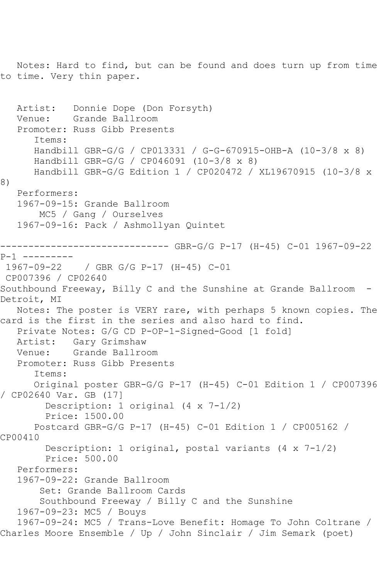Notes: Hard to find, but can be found and does turn up from time to time. Very thin paper. Artist: Donnie Dope (Don Forsyth) Venue: Grande Ballroom Promoter: Russ Gibb Presents Items: Handbill GBR-G/G / CP013331 / G-G-670915-OHB-A (10-3/8 x 8) Handbill GBR-G/G / CP046091 (10-3/8 x 8) Handbill GBR-G/G Edition 1 / CP020472 / XL19670915 (10-3/8 x 8) Performers: 1967-09-15: Grande Ballroom MC5 / Gang / Ourselves 1967-09-16: Pack / Ashmollyan Quintet ------------------------------ GBR-G/G P-17 (H-45) C-01 1967-09-22 P-1 --------- 1967-09-22 / GBR G/G P-17 (H-45) C-01 CP007396 / CP02640 Southbound Freeway, Billy C and the Sunshine at Grande Ballroom - Detroit, MI Notes: The poster is VERY rare, with perhaps 5 known copies. The card is the first in the series and also hard to find. Private Notes: G/G CD P-OP-1-Signed-Good [1 fold] Artist: Gary Grimshaw Venue: Grande Ballroom Promoter: Russ Gibb Presents Items: Original poster GBR-G/G P-17 (H-45) C-01 Edition 1 / CP007396 / CP02640 Var. GB (17] Description: 1 original (4 x 7-1/2) Price: 1500.00 Postcard GBR-G/G P-17 (H-45) C-01 Edition 1 / CP005162 / CP00410 Description: 1 original, postal variants (4 x 7-1/2) Price: 500.00 Performers: 1967-09-22: Grande Ballroom Set: Grande Ballroom Cards Southbound Freeway / Billy C and the Sunshine 1967-09-23: MC5 / Bouys 1967-09-24: MC5 / Trans-Love Benefit: Homage To John Coltrane / Charles Moore Ensemble / Up / John Sinclair / Jim Semark (poet)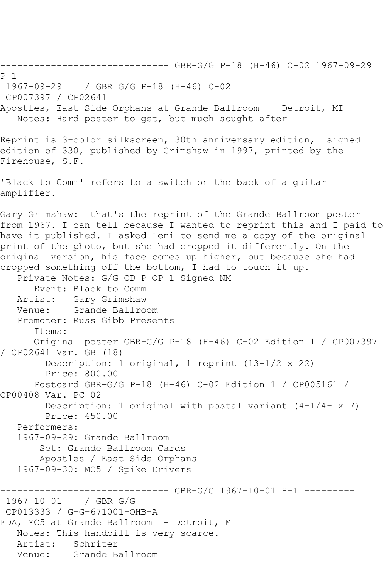------------------------------ GBR-G/G P-18 (H-46) C-02 1967-09-29 P-1 ---------<br>1967-09-29 1967-09-29 / GBR G/G P-18 (H-46) C-02 CP007397 / CP02641 Apostles, East Side Orphans at Grande Ballroom - Detroit, MI Notes: Hard poster to get, but much sought after Reprint is 3-color silkscreen, 30th anniversary edition, signed edition of 330, published by Grimshaw in 1997, printed by the Firehouse, S.F. 'Black to Comm' refers to a switch on the back of a guitar amplifier. Gary Grimshaw: that's the reprint of the Grande Ballroom poster from 1967. I can tell because I wanted to reprint this and I paid to have it published. I asked Leni to send me a copy of the original print of the photo, but she had cropped it differently. On the original version, his face comes up higher, but because she had cropped something off the bottom, I had to touch it up. Private Notes: G/G CD P-OP-1-Signed NM Event: Black to Comm Artist: Gary Grimshaw Venue: Grande Ballroom Promoter: Russ Gibb Presents Items: Original poster GBR-G/G P-18 (H-46) C-02 Edition 1 / CP007397 / CP02641 Var. GB (18) Description: 1 original, 1 reprint (13-1/2 x 22) Price: 800.00 Postcard GBR-G/G P-18 (H-46) C-02 Edition 1 / CP005161 / CP00408 Var. PC 02 Description: 1 original with postal variant  $(4-1/4-x)$  Price: 450.00 Performers: 1967-09-29: Grande Ballroom Set: Grande Ballroom Cards Apostles / East Side Orphans 1967-09-30: MC5 / Spike Drivers ------------------------------ GBR-G/G 1967-10-01 H-1 ---------  $1967 - 10 - 01$ CP013333 / G-G-671001-OHB-A FDA, MC5 at Grande Ballroom - Detroit, MI Notes: This handbill is very scarce. Artist: Schriter Venue: Grande Ballroom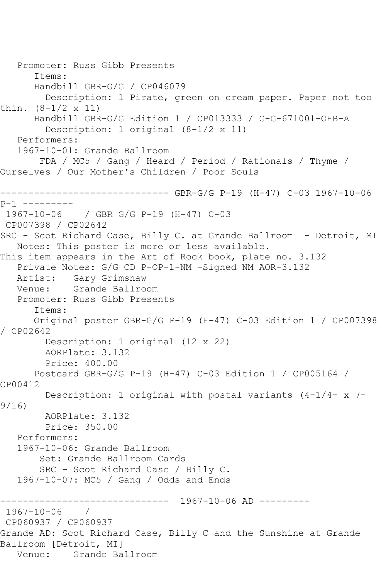Promoter: Russ Gibb Presents Items: Handbill GBR-G/G / CP046079 Description: 1 Pirate, green on cream paper. Paper not too thin. (8-1/2 x 11) Handbill GBR-G/G Edition 1 / CP013333 / G-G-671001-OHB-A Description: 1 original (8-1/2 x 11) Performers: 1967-10-01: Grande Ballroom FDA / MC5 / Gang / Heard / Period / Rationals / Thyme / Ourselves / Our Mother's Children / Poor Souls ------------------------------ GBR-G/G P-19 (H-47) C-03 1967-10-06 P-1 --------- 1967-10-06 / GBR G/G P-19 (H-47) C-03 CP007398 / CP02642 SRC - Scot Richard Case, Billy C. at Grande Ballroom - Detroit, MI Notes: This poster is more or less available. This item appears in the Art of Rock book, plate no. 3.132 Private Notes: G/G CD P-OP-1-NM -Signed NM AOR-3.132 Artist: Gary Grimshaw Venue: Grande Ballroom Promoter: Russ Gibb Presents Items: Original poster GBR-G/G P-19 (H-47) C-03 Edition 1 / CP007398 / CP02642 Description: 1 original (12 x 22) AORPlate: 3.132 Price: 400.00 Postcard GBR-G/G P-19 (H-47) C-03 Edition 1 / CP005164 / CP00412 Description: 1 original with postal variants (4-1/4- x 7- 9/16) AORPlate: 3.132 Price: 350.00 Performers: 1967-10-06: Grande Ballroom Set: Grande Ballroom Cards SRC - Scot Richard Case / Billy C. 1967-10-07: MC5 / Gang / Odds and Ends ------------------------------ 1967-10-06 AD --------- 1967-10-06 / CP060937 / CP060937 Grande AD: Scot Richard Case, Billy C and the Sunshine at Grande Ballroom [Detroit, MI]<br>Venue: Grande Ba Grande Ballroom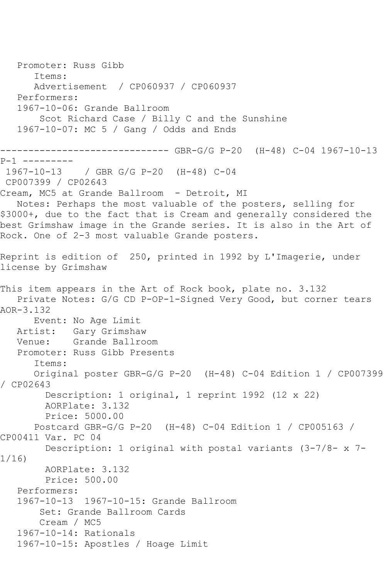Promoter: Russ Gibb Items: Advertisement / CP060937 / CP060937 Performers: 1967-10-06: Grande Ballroom Scot Richard Case / Billy C and the Sunshine 1967-10-07: MC 5 / Gang / Odds and Ends ------------------------------ GBR-G/G P-20 (H-48) C-04 1967-10-13 P-1 --------- 1967-10-13 / GBR G/G P-20 (H-48) C-04 CP007399 / CP02643 Cream, MC5 at Grande Ballroom - Detroit, MI Notes: Perhaps the most valuable of the posters, selling for \$3000+, due to the fact that is Cream and generally considered the best Grimshaw image in the Grande series. It is also in the Art of Rock. One of 2-3 most valuable Grande posters. Reprint is edition of 250, printed in 1992 by L'Imagerie, under license by Grimshaw This item appears in the Art of Rock book, plate no. 3.132 Private Notes: G/G CD P-OP-1-Signed Very Good, but corner tears AOR-3.132 Event: No Age Limit Artist: Gary Grimshaw<br>Venue: Grande Ballro Grande Ballroom Promoter: Russ Gibb Presents Items: Original poster GBR-G/G P-20 (H-48) C-04 Edition 1 / CP007399 / CP02643 Description: 1 original, 1 reprint 1992 (12 x 22) AORPlate: 3.132 Price: 5000.00 Postcard GBR-G/G P-20 (H-48) C-04 Edition 1 / CP005163 / CP00411 Var. PC 04 Description: 1 original with postal variants (3-7/8- x 7- 1/16) AORPlate: 3.132 Price: 500.00 Performers: 1967-10-13 1967-10-15: Grande Ballroom Set: Grande Ballroom Cards Cream / MC5 1967-10-14: Rationals 1967-10-15: Apostles / Hoage Limit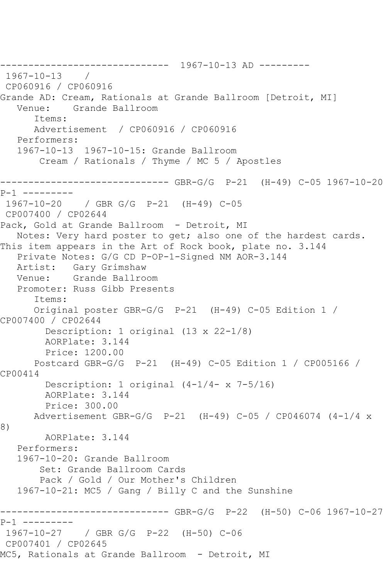------------------------------ 1967-10-13 AD --------- 1967-10-13 / CP060916 / CP060916 Grande AD: Cream, Rationals at Grande Ballroom [Detroit, MI] Venue: Grande Ballroom Items: Advertisement / CP060916 / CP060916 Performers: 1967-10-13 1967-10-15: Grande Ballroom Cream / Rationals / Thyme / MC 5 / Apostles ------------------------------ GBR-G/G P-21 (H-49) C-05 1967-10-20 P-1 --------- 1967-10-20 / GBR G/G P-21 (H-49) C-05 CP007400 / CP02644 Pack, Gold at Grande Ballroom - Detroit, MI Notes: Very hard poster to get; also one of the hardest cards. This item appears in the Art of Rock book, plate no. 3.144 Private Notes: G/G CD P-OP-1-Signed NM AOR-3.144 Artist: Gary Grimshaw Venue: Grande Ballroom Promoter: Russ Gibb Presents Items: Original poster GBR-G/G P-21 (H-49) C-05 Edition 1 / CP007400 / CP02644 Description: 1 original (13 x 22-1/8) AORPlate: 3.144 Price: 1200.00 Postcard GBR-G/G P-21 (H-49) C-05 Edition 1 / CP005166 / CP00414 Description: 1 original (4-1/4- x 7-5/16) AORPlate: 3.144 Price: 300.00 Advertisement GBR-G/G P-21 (H-49) C-05 / CP046074 (4-1/4 x 8) AORPlate: 3.144 Performers: 1967-10-20: Grande Ballroom Set: Grande Ballroom Cards Pack / Gold / Our Mother's Children 1967-10-21: MC5 / Gang / Billy C and the Sunshine ------------------------------ GBR-G/G P-22 (H-50) C-06 1967-10-27 P-1 --------- 1967-10-27 / GBR G/G P-22 (H-50) C-06 CP007401 / CP02645 MC5, Rationals at Grande Ballroom - Detroit, MI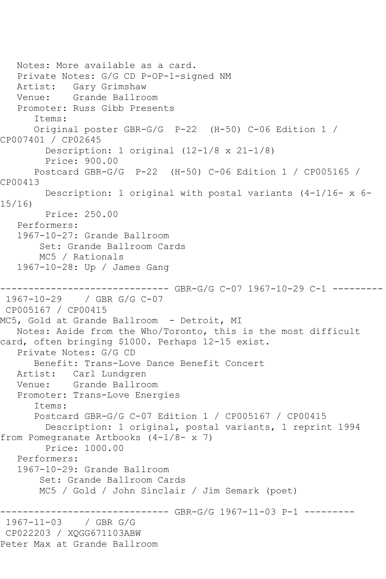```
 Notes: More available as a card.
   Private Notes: G/G CD P-OP-1-signed NM
   Artist: Gary Grimshaw
   Venue: Grande Ballroom
    Promoter: Russ Gibb Presents
       Items:
       Original poster GBR-G/G P-22 (H-50) C-06 Edition 1 / 
CP007401 / CP02645
         Description: 1 original (12-1/8 x 21-1/8)
         Price: 900.00
       Postcard GBR-G/G P-22 (H-50) C-06 Edition 1 / CP005165 / 
CP00413
        Description: 1 original with postal variants (4-1/16- x 6-
15/16)
         Price: 250.00
    Performers:
    1967-10-27: Grande Ballroom
        Set: Grande Ballroom Cards
        MC5 / Rationals
    1967-10-28: Up / James Gang
       ------------------------------ GBR-G/G C-07 1967-10-29 C-1 ---------
1967-10-29 / GBR G/G C-07
CP005167 / CP00415
MC5, Gold at Grande Ballroom - Detroit, MI
   Notes: Aside from the Who/Toronto, this is the most difficult 
card, often bringing $1000. Perhaps 12-15 exist.
    Private Notes: G/G CD
       Benefit: Trans-Love Dance Benefit Concert
   Artist: Carl Lundgren
   Venue: Grande Ballroom
    Promoter: Trans-Love Energies
       Items:
       Postcard GBR-G/G C-07 Edition 1 / CP005167 / CP00415
         Description: 1 original, postal variants, 1 reprint 1994 
from Pomegranate Artbooks (4-1/8- x 7)
         Price: 1000.00
    Performers:
    1967-10-29: Grande Ballroom
        Set: Grande Ballroom Cards
        MC5 / Gold / John Sinclair / Jim Semark (poet)
                   ------------------------------ GBR-G/G 1967-11-03 P-1 ---------
1967-11-03 / GBR G/G
CP022203 / XQGG671103ABW
Peter Max at Grande Ballroom
```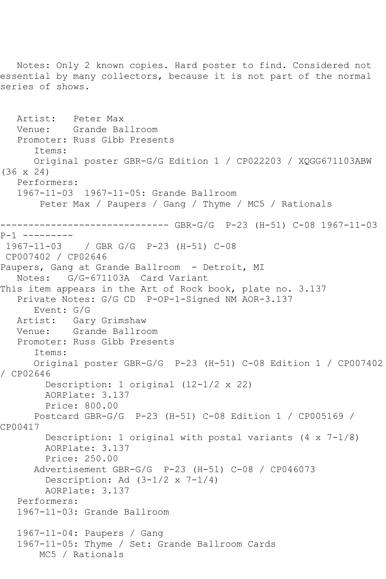Notes: Only 2 known copies. Hard poster to find. Considered not essential by many collectors, because it is not part of the normal series of shows. Artist: Peter Max Venue: Grande Ballroom Promoter: Russ Gibb Presents Items: Original poster GBR-G/G Edition 1 / CP022203 / XQGG671103ABW (36 x 24) Performers: 1967-11-03 1967-11-05: Grande Ballroom Peter Max / Paupers / Gang / Thyme / MC5 / Rationals ------------------------------ GBR-G/G P-23 (H-51) C-08 1967-11-03 P-1 --------- 1967-11-03 / GBR G/G P-23 (H-51) C-08 CP007402 / CP02646 Paupers, Gang at Grande Ballroom - Detroit, MI Notes: G/G-671103A Card Variant This item appears in the Art of Rock book, plate no. 3.137 Private Notes: G/G CD P-OP-1-Signed NM AOR-3.137 Event: G/G Artist: Gary Grimshaw<br>Venue: Grande Ballro Grande Ballroom Promoter: Russ Gibb Presents Items: Original poster GBR-G/G P-23 (H-51) C-08 Edition 1 / CP007402 / CP02646 Description: 1 original (12-1/2 x 22) AORPlate: 3.137 Price: 800.00 Postcard GBR-G/G P-23 (H-51) C-08 Edition 1 / CP005169 / CP00417 Description: 1 original with postal variants  $(4 \times 7-1/8)$  AORPlate: 3.137 Price: 250.00 Advertisement GBR-G/G P-23 (H-51) C-08 / CP046073 Description: Ad  $(3-1/2 \times 7-1/4)$  AORPlate: 3.137 Performers: 1967-11-03: Grande Ballroom 1967-11-04: Paupers / Gang 1967-11-05: Thyme / Set: Grande Ballroom Cards MC5 / Rationals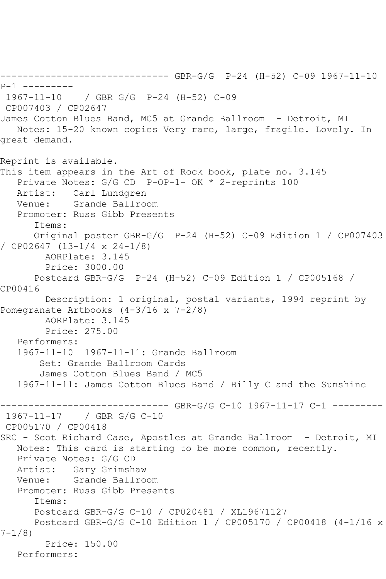------------------------------ GBR-G/G P-24 (H-52) C-09 1967-11-10 P-1 --------- 1967-11-10 / GBR G/G P-24 (H-52) C-09 CP007403 / CP02647 James Cotton Blues Band, MC5 at Grande Ballroom - Detroit, MI Notes: 15-20 known copies Very rare, large, fragile. Lovely. In great demand. Reprint is available. This item appears in the Art of Rock book, plate no. 3.145 Private Notes: G/G CD P-OP-1- OK \* 2-reprints 100 Artist: Carl Lundgren Venue: Grande Ballroom Promoter: Russ Gibb Presents Items: Original poster GBR-G/G P-24 (H-52) C-09 Edition 1 / CP007403 / CP02647 (13-1/4 x 24-1/8) AORPlate: 3.145 Price: 3000.00 Postcard GBR-G/G P-24 (H-52) C-09 Edition 1 / CP005168 / CP00416 Description: 1 original, postal variants, 1994 reprint by Pomegranate Artbooks (4-3/16 x 7-2/8) AORPlate: 3.145 Price: 275.00 Performers: 1967-11-10 1967-11-11: Grande Ballroom Set: Grande Ballroom Cards James Cotton Blues Band / MC5 1967-11-11: James Cotton Blues Band / Billy C and the Sunshine ------------------------------ GBR-G/G C-10 1967-11-17 C-1 --------- 1967-11-17 / GBR G/G C-10 CP005170 / CP00418 SRC - Scot Richard Case, Apostles at Grande Ballroom - Detroit, MI Notes: This card is starting to be more common, recently. Private Notes: G/G CD Artist: Gary Grimshaw Venue: Grande Ballroom Promoter: Russ Gibb Presents Items: Postcard GBR-G/G C-10 / CP020481 / XL19671127 Postcard GBR-G/G C-10 Edition 1 / CP005170 / CP00418 (4-1/16 x 7-1/8) Price: 150.00 Performers: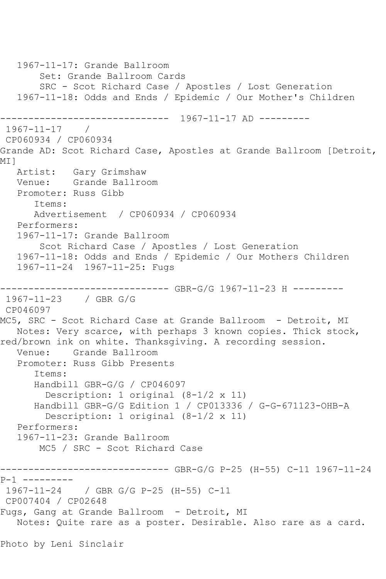```
 1967-11-17: Grande Ballroom
        Set: Grande Ballroom Cards
        SRC - Scot Richard Case / Apostles / Lost Generation
   1967-11-18: Odds and Ends / Epidemic / Our Mother's Children
             ------------------------------ 1967-11-17 AD ---------
1967-11-17 / 
CP060934 / CP060934
Grande AD: Scot Richard Case, Apostles at Grande Ballroom [Detroit, 
MI]<br>Artist:
           Gary Grimshaw
   Venue: Grande Ballroom
   Promoter: Russ Gibb
       Items:
      Advertisement / CP060934 / CP060934
   Performers:
   1967-11-17: Grande Ballroom
        Scot Richard Case / Apostles / Lost Generation
   1967-11-18: Odds and Ends / Epidemic / Our Mothers Children
   1967-11-24 1967-11-25: Fugs
                -------------- GBR-G/G 1967-11-23 H ---------
1967-11-23 / GBR G/G
CP046097
MC5, SRC - Scot Richard Case at Grande Ballroom - Detroit, MI
   Notes: Very scarce, with perhaps 3 known copies. Thick stock,
red/brown ink on white. Thanksgiving. A recording session.
   Venue: Grande Ballroom
   Promoter: Russ Gibb Presents
       Items:
      Handbill GBR-G/G / CP046097
         Description: 1 original (8-1/2 x 11)
       Handbill GBR-G/G Edition 1 / CP013336 / G-G-671123-OHB-A
         Description: 1 original (8-1/2 x 11)
   Performers:
   1967-11-23: Grande Ballroom
        MC5 / SRC - Scot Richard Case
------------------------------ GBR-G/G P-25 (H-55) C-11 1967-11-24 
P-1 ---------
1967-11-24 / GBR G/G P-25 (H-55) C-11
CP007404 / CP02648
Fugs, Gang at Grande Ballroom - Detroit, MI
   Notes: Quite rare as a poster. Desirable. Also rare as a card.
Photo by Leni Sinclair
```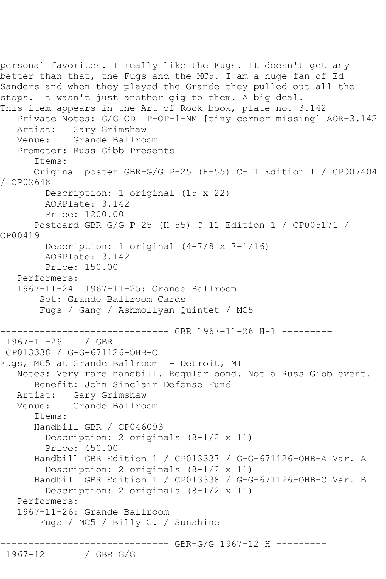personal favorites. I really like the Fugs. It doesn't get any better than that, the Fugs and the MC5. I am a huge fan of Ed Sanders and when they played the Grande they pulled out all the stops. It wasn't just another gig to them. A big deal. This item appears in the Art of Rock book, plate no. 3.142 Private Notes: G/G CD P-OP-1-NM [tiny corner missing] AOR-3.142 Artist: Gary Grimshaw Venue: Grande Ballroom Promoter: Russ Gibb Presents Items: Original poster GBR-G/G P-25 (H-55) C-11 Edition 1 / CP007404 / CP02648 Description: 1 original (15 x 22) AORPlate: 3.142 Price: 1200.00 Postcard GBR-G/G P-25 (H-55) C-11 Edition 1 / CP005171 / CP00419 Description: 1 original (4-7/8 x 7-1/16) AORPlate: 3.142 Price: 150.00 Performers: 1967-11-24 1967-11-25: Grande Ballroom Set: Grande Ballroom Cards Fugs / Gang / Ashmollyan Quintet / MC5 ------------------------------ GBR 1967-11-26 H-1 --------- 1967-11-26 / GBR CP013338 / G-G-671126-OHB-C Fugs, MC5 at Grande Ballroom - Detroit, MI Notes: Very rare handbill. Regular bond. Not a Russ Gibb event. Benefit: John Sinclair Defense Fund Artist: Gary Grimshaw Venue: Grande Ballroom Items: Handbill GBR / CP046093 Description: 2 originals (8-1/2 x 11) Price: 450.00 Handbill GBR Edition 1 / CP013337 / G-G-671126-OHB-A Var. A Description: 2 originals (8-1/2 x 11) Handbill GBR Edition 1 / CP013338 / G-G-671126-OHB-C Var. B Description: 2 originals (8-1/2 x 11) Performers: 1967-11-26: Grande Ballroom Fugs / MC5 / Billy C. / Sunshine ------------------------------ GBR-G/G 1967-12 H --------- / GBR G/G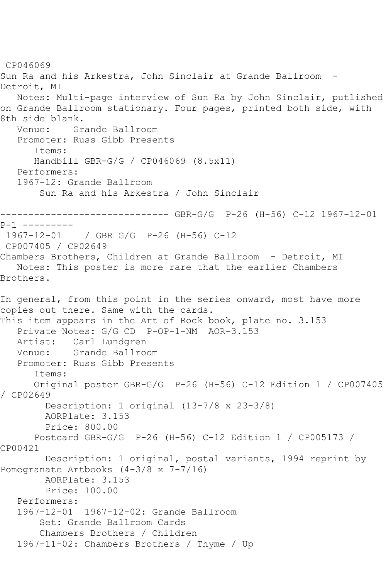CP046069 Sun Ra and his Arkestra, John Sinclair at Grande Ballroom - Detroit, MI Notes: Multi-page interview of Sun Ra by John Sinclair, putlished on Grande Ballroom stationary. Four pages, printed both side, with 8th side blank. Venue: Grande Ballroom Promoter: Russ Gibb Presents Items: Handbill GBR-G/G / CP046069 (8.5x11) Performers: 1967-12: Grande Ballroom Sun Ra and his Arkestra / John Sinclair ------------------------------ GBR-G/G P-26 (H-56) C-12 1967-12-01 P-1 --------- 1967-12-01 / GBR G/G P-26 (H-56) C-12 CP007405 / CP02649 Chambers Brothers, Children at Grande Ballroom - Detroit, MI Notes: This poster is more rare that the earlier Chambers Brothers. In general, from this point in the series onward, most have more copies out there. Same with the cards. This item appears in the Art of Rock book, plate no. 3.153 Private Notes: G/G CD P-OP-1-NM AOR-3.153 Artist: Carl Lundgren Venue: Grande Ballroom Promoter: Russ Gibb Presents Items: Original poster GBR-G/G P-26 (H-56) C-12 Edition 1 / CP007405 / CP02649 Description: 1 original (13-7/8 x 23-3/8) AORPlate: 3.153 Price: 800.00 Postcard GBR-G/G P-26 (H-56) C-12 Edition 1 / CP005173 / CP00421 Description: 1 original, postal variants, 1994 reprint by Pomegranate Artbooks (4-3/8 x 7-7/16) AORPlate: 3.153 Price: 100.00 Performers: 1967-12-01 1967-12-02: Grande Ballroom Set: Grande Ballroom Cards Chambers Brothers / Children 1967-11-02: Chambers Brothers / Thyme / Up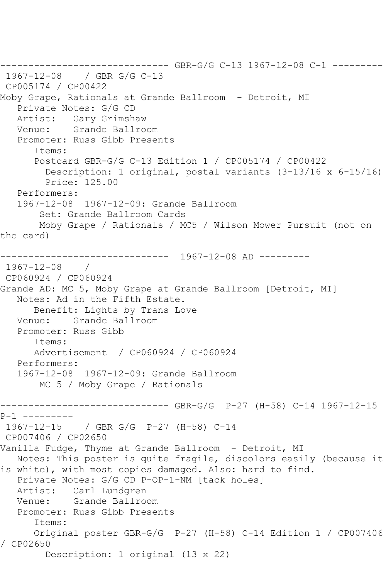```
------------------------------ GBR-G/G C-13 1967-12-08 C-1 ---------
1967-12-08 / GBR G/G C-13
CP005174 / CP00422
Moby Grape, Rationals at Grande Ballroom - Detroit, MI
   Private Notes: G/G CD
   Artist: Gary Grimshaw
   Venue: Grande Ballroom
   Promoter: Russ Gibb Presents
       Items:
      Postcard GBR-G/G C-13 Edition 1 / CP005174 / CP00422
         Description: 1 original, postal variants (3-13/16 x 6-15/16)
         Price: 125.00
   Performers:
   1967-12-08 1967-12-09: Grande Ballroom
        Set: Grande Ballroom Cards
        Moby Grape / Rationals / MC5 / Wilson Mower Pursuit (not on 
the card)
                ------------------------------ 1967-12-08 AD ---------
1967-12-08 / 
CP060924 / CP060924
Grande AD: MC 5, Moby Grape at Grande Ballroom [Detroit, MI]
   Notes: Ad in the Fifth Estate.
      Benefit: Lights by Trans Love
   Venue: Grande Ballroom
   Promoter: Russ Gibb
       Items:
      Advertisement / CP060924 / CP060924
   Performers:
   1967-12-08 1967-12-09: Grande Ballroom
       MC 5 / Moby Grape / Rationals
------------------------------ GBR-G/G P-27 (H-58) C-14 1967-12-15 
P-1 ---------
1967-12-15 / GBR G/G P-27 (H-58) C-14
CP007406 / CP02650
Vanilla Fudge, Thyme at Grande Ballroom - Detroit, MI
   Notes: This poster is quite fragile, discolors easily (because it 
is white), with most copies damaged. Also: hard to find.
   Private Notes: G/G CD P-OP-1-NM [tack holes]
   Artist: Carl Lundgren
   Venue: Grande Ballroom
   Promoter: Russ Gibb Presents
       Items:
      Original poster GBR-G/G P-27 (H-58) C-14 Edition 1 / CP007406 
/ CP02650
         Description: 1 original (13 x 22)
```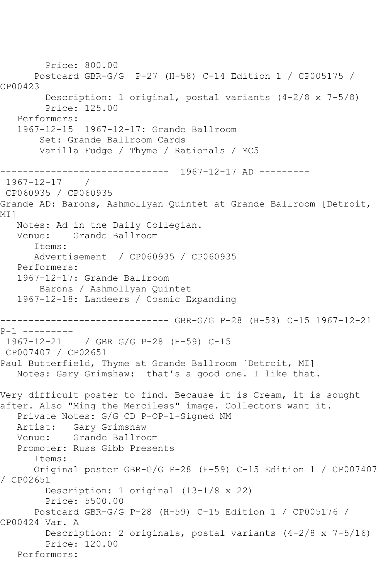```
 Price: 800.00
       Postcard GBR-G/G P-27 (H-58) C-14 Edition 1 / CP005175 / 
CP00423
         Description: 1 original, postal variants (4-2/8 x 7-5/8)
         Price: 125.00
   Performers:
   1967-12-15 1967-12-17: Grande Ballroom
        Set: Grande Ballroom Cards
        Vanilla Fudge / Thyme / Rationals / MC5
                ------------------------------ 1967-12-17 AD ---------
1967-12-17 / 
CP060935 / CP060935
Grande AD: Barons, Ashmollyan Quintet at Grande Ballroom [Detroit, 
MI 1
   Notes: Ad in the Daily Collegian.
   Venue: Grande Ballroom
       Items:
       Advertisement / CP060935 / CP060935
   Performers:
   1967-12-17: Grande Ballroom
        Barons / Ashmollyan Quintet
   1967-12-18: Landeers / Cosmic Expanding
------------------------------ GBR-G/G P-28 (H-59) C-15 1967-12-21 
P-1 ---------
1967-12-21 / GBR G/G P-28 (H-59) C-15
CP007407 / CP02651
Paul Butterfield, Thyme at Grande Ballroom [Detroit, MI]
   Notes: Gary Grimshaw: that's a good one. I like that.
Very difficult poster to find. Because it is Cream, it is sought 
after. Also "Ming the Merciless" image. Collectors want it.
   Private Notes: G/G CD P-OP-1-Signed NM
   Artist: Gary Grimshaw
   Venue: Grande Ballroom
   Promoter: Russ Gibb Presents
       Items:
      Original poster GBR-G/G P-28 (H-59) C-15 Edition 1 / CP007407 
/ CP02651
         Description: 1 original (13-1/8 x 22)
         Price: 5500.00
       Postcard GBR-G/G P-28 (H-59) C-15 Edition 1 / CP005176 / 
CP00424 Var. A
         Description: 2 originals, postal variants (4-2/8 x 7-5/16)
         Price: 120.00
   Performers:
```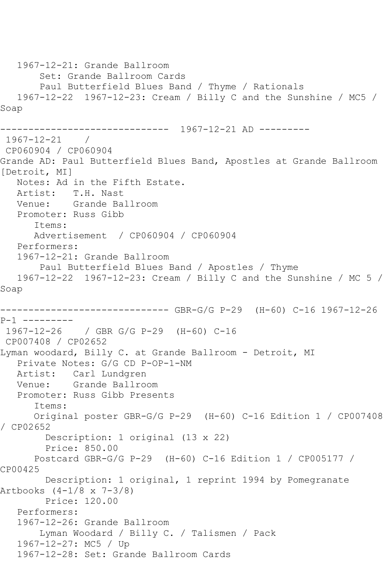```
 1967-12-21: Grande Ballroom
        Set: Grande Ballroom Cards
        Paul Butterfield Blues Band / Thyme / Rationals
   1967-12-22 1967-12-23: Cream / Billy C and the Sunshine / MC5 / 
Soap
------------------------------ 1967-12-21 AD ---------
1967-12-21 / 
CP060904 / CP060904
Grande AD: Paul Butterfield Blues Band, Apostles at Grande Ballroom 
[Detroit, MI]
   Notes: Ad in the Fifth Estate.
   Artist: T.H. Nast
   Venue: Grande Ballroom
   Promoter: Russ Gibb
       Items:
      Advertisement / CP060904 / CP060904
   Performers:
   1967-12-21: Grande Ballroom
        Paul Butterfield Blues Band / Apostles / Thyme
   1967-12-22 1967-12-23: Cream / Billy C and the Sunshine / MC 5 / 
Soap
------------------------------ GBR-G/G P-29 (H-60) C-16 1967-12-26 
P-1 ---------
1967-12-26 / GBR G/G P-29 (H-60) C-16
CP007408 / CP02652
Lyman woodard, Billy C. at Grande Ballroom - Detroit, MI
   Private Notes: G/G CD P-OP-1-NM
   Artist: Carl Lundgren
   Venue: Grande Ballroom
   Promoter: Russ Gibb Presents
       Items:
      Original poster GBR-G/G P-29 (H-60) C-16 Edition 1 / CP007408 
/ CP02652
        Description: 1 original (13 x 22)
        Price: 850.00
       Postcard GBR-G/G P-29 (H-60) C-16 Edition 1 / CP005177 / 
CP00425
        Description: 1 original, 1 reprint 1994 by Pomegranate 
Artbooks (4-1/8 x 7-3/8)
        Price: 120.00
   Performers:
   1967-12-26: Grande Ballroom
        Lyman Woodard / Billy C. / Talismen / Pack
   1967-12-27: MC5 / Up
   1967-12-28: Set: Grande Ballroom Cards
```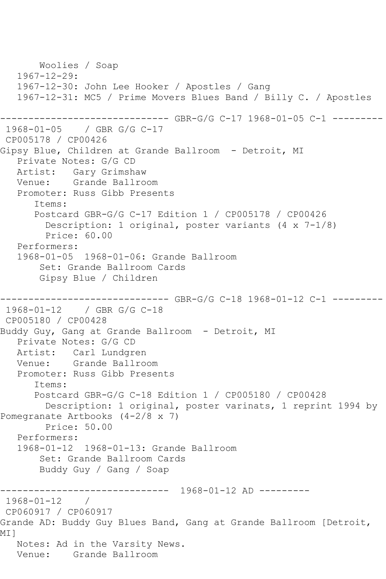```
 Woolies / Soap
    1967-12-29:
    1967-12-30: John Lee Hooker / Apostles / Gang
    1967-12-31: MC5 / Prime Movers Blues Band / Billy C. / Apostles
                  ------------------------------ GBR-G/G C-17 1968-01-05 C-1 ---------
1968-01-05 / GBR G/G C-17
CP005178 / CP00426
Gipsy Blue, Children at Grande Ballroom - Detroit, MI
    Private Notes: G/G CD
   Artist: Gary Grimshaw
   Venue: Grande Ballroom
    Promoter: Russ Gibb Presents
       Items:
       Postcard GBR-G/G C-17 Edition 1 / CP005178 / CP00426
         Description: 1 original, poster variants (4 x 7-1/8)
         Price: 60.00
    Performers:
    1968-01-05 1968-01-06: Grande Ballroom
        Set: Grande Ballroom Cards
        Gipsy Blue / Children
                ------------------------------ GBR-G/G C-18 1968-01-12 C-1 ---------
1968-01-12 / GBR G/G C-18
CP005180 / CP00428
Buddy Guy, Gang at Grande Ballroom - Detroit, MI
    Private Notes: G/G CD
   Artist: Carl Lundgren
   Venue: Grande Ballroom
    Promoter: Russ Gibb Presents
       Items:
       Postcard GBR-G/G C-18 Edition 1 / CP005180 / CP00428
         Description: 1 original, poster varinats, 1 reprint 1994 by 
Pomegranate Artbooks (4-2/8 x 7)
         Price: 50.00
   Performers:
    1968-01-12 1968-01-13: Grande Ballroom
        Set: Grande Ballroom Cards
        Buddy Guy / Gang / Soap
                   ------------------------------ 1968-01-12 AD ---------
1968-01-12 / 
CP060917 / CP060917
Grande AD: Buddy Guy Blues Band, Gang at Grande Ballroom [Detroit, 
<code>MI</code> 1
   Notes: Ad in the Varsity News.
   Venue: Grande Ballroom
```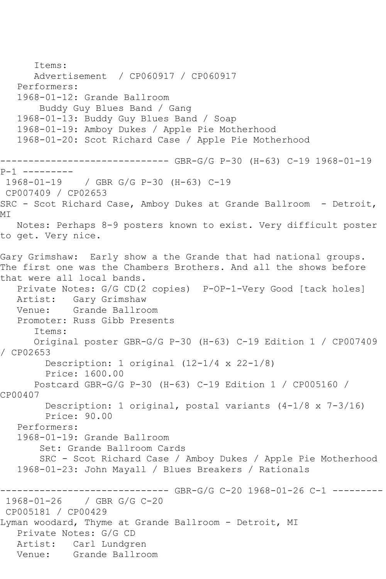Items: Advertisement / CP060917 / CP060917 Performers: 1968-01-12: Grande Ballroom Buddy Guy Blues Band / Gang 1968-01-13: Buddy Guy Blues Band / Soap 1968-01-19: Amboy Dukes / Apple Pie Motherhood 1968-01-20: Scot Richard Case / Apple Pie Motherhood ------------------------------ GBR-G/G P-30 (H-63) C-19 1968-01-19 P-1 ---------<br>1968-01-19 1968-01-19 / GBR G/G P-30 (H-63) C-19 CP007409 / CP02653 SRC - Scot Richard Case, Amboy Dukes at Grande Ballroom - Detroit, MI Notes: Perhaps 8-9 posters known to exist. Very difficult poster to get. Very nice. Gary Grimshaw: Early show a the Grande that had national groups. The first one was the Chambers Brothers. And all the shows before that were all local bands. Private Notes: G/G CD(2 copies) P-OP-1-Very Good [tack holes] Artist: Gary Grimshaw Venue: Grande Ballroom Promoter: Russ Gibb Presents Items: Original poster GBR-G/G P-30 (H-63) C-19 Edition 1 / CP007409 / CP02653 Description: 1 original (12-1/4 x 22-1/8) Price: 1600.00 Postcard GBR-G/G P-30 (H-63) C-19 Edition 1 / CP005160 / CP00407 Description: 1 original, postal variants (4-1/8 x 7-3/16) Price: 90.00 Performers: 1968-01-19: Grande Ballroom Set: Grande Ballroom Cards SRC - Scot Richard Case / Amboy Dukes / Apple Pie Motherhood 1968-01-23: John Mayall / Blues Breakers / Rationals -------- GBR-G/G C-20 1968-01-26 C-1 ---------1968-01-26 / GBR G/G C-20 CP005181 / CP00429 Lyman woodard, Thyme at Grande Ballroom - Detroit, MI Private Notes: G/G CD Artist: Carl Lundgren Venue: Grande Ballroom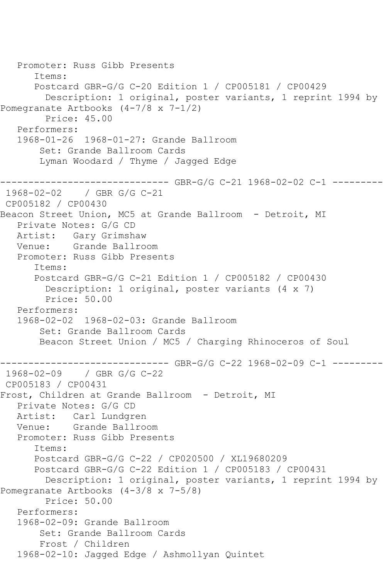```
 Promoter: Russ Gibb Presents
       Items:
       Postcard GBR-G/G C-20 Edition 1 / CP005181 / CP00429
         Description: 1 original, poster variants, 1 reprint 1994 by 
Pomegranate Artbooks (4-7/8 x 7-1/2)
         Price: 45.00
   Performers:
   1968-01-26 1968-01-27: Grande Ballroom
        Set: Grande Ballroom Cards
        Lyman Woodard / Thyme / Jagged Edge
   ------------------------------ GBR-G/G C-21 1968-02-02 C-1 ---------
1968-02-02 / GBR G/G C-21
CP005182 / CP00430
Beacon Street Union, MC5 at Grande Ballroom - Detroit, MI
   Private Notes: G/G CD
   Artist: Gary Grimshaw
   Venue: Grande Ballroom
   Promoter: Russ Gibb Presents
       Items:
       Postcard GBR-G/G C-21 Edition 1 / CP005182 / CP00430
         Description: 1 original, poster variants (4 x 7)
         Price: 50.00
   Performers:
   1968-02-02 1968-02-03: Grande Ballroom
        Set: Grande Ballroom Cards
        Beacon Street Union / MC5 / Charging Rhinoceros of Soul
                     --------- GBR-G/G C-22 1968-02-09 C-1 ---------
1968-02-09 / GBR G/G C-22
CP005183 / CP00431
Frost, Children at Grande Ballroom - Detroit, MI
   Private Notes: G/G CD
   Artist: Carl Lundgren
   Venue: Grande Ballroom
   Promoter: Russ Gibb Presents
       Items:
      Postcard GBR-G/G C-22 / CP020500 / XL19680209
       Postcard GBR-G/G C-22 Edition 1 / CP005183 / CP00431
         Description: 1 original, poster variants, 1 reprint 1994 by 
Pomegranate Artbooks (4-3/8 x 7-5/8)
        Price: 50.00
   Performers:
   1968-02-09: Grande Ballroom
        Set: Grande Ballroom Cards
        Frost / Children
   1968-02-10: Jagged Edge / Ashmollyan Quintet
```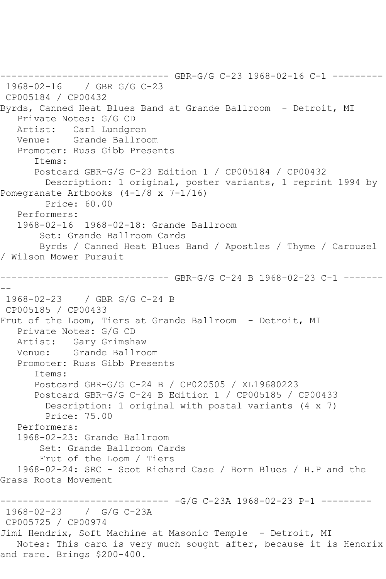------------------------------ GBR-G/G C-23 1968-02-16 C-1 --------- 1968-02-16 / GBR G/G C-23 CP005184 / CP00432 Byrds, Canned Heat Blues Band at Grande Ballroom - Detroit, MI Private Notes: G/G CD Artist: Carl Lundgren Venue: Grande Ballroom Promoter: Russ Gibb Presents Items: Postcard GBR-G/G C-23 Edition 1 / CP005184 / CP00432 Description: 1 original, poster variants, 1 reprint 1994 by Pomegranate Artbooks (4-1/8 x 7-1/16) Price: 60.00 Performers: 1968-02-16 1968-02-18: Grande Ballroom Set: Grande Ballroom Cards Byrds / Canned Heat Blues Band / Apostles / Thyme / Carousel / Wilson Mower Pursuit ------------------------------ GBR-G/G C-24 B 1968-02-23 C-1 ------- -- 1968-02-23 / GBR G/G C-24 B CP005185 / CP00433 Frut of the Loom, Tiers at Grande Ballroom - Detroit, MI Private Notes: G/G CD Artist: Gary Grimshaw Venue: Grande Ballroom Promoter: Russ Gibb Presents Items: Postcard GBR-G/G C-24 B / CP020505 / XL19680223 Postcard GBR-G/G C-24 B Edition 1 / CP005185 / CP00433 Description: 1 original with postal variants (4 x 7) Price: 75.00 Performers: 1968-02-23: Grande Ballroom Set: Grande Ballroom Cards Frut of the Loom / Tiers 1968-02-24: SRC - Scot Richard Case / Born Blues / H.P and the Grass Roots Movement ------------------------------ -G/G C-23A 1968-02-23 P-1 --------- 1968-02-23 / G/G C-23A CP005725 / CP00974 Jimi Hendrix, Soft Machine at Masonic Temple - Detroit, MI Notes: This card is very much sought after, because it is Hendrix and rare. Brings \$200-400.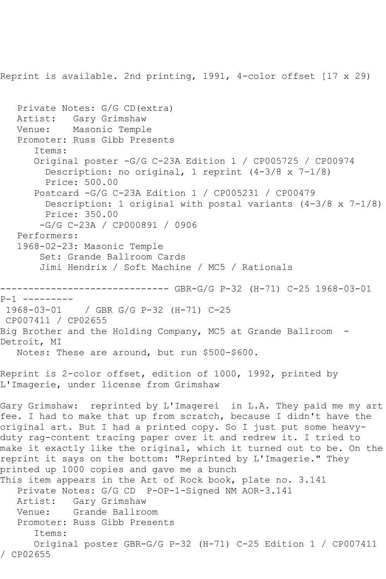Reprint is available. 2nd printing, 1991, 4-color offset [17 x 29) Private Notes: G/G CD(extra) Artist: Gary Grimshaw Venue: Masonic Temple Promoter: Russ Gibb Presents Items: Original poster -G/G C-23A Edition 1 / CP005725 / CP00974 Description: no original, 1 reprint (4-3/8 x 7-1/8) Price: 500.00 Postcard -G/G C-23A Edition 1 / CP005231 / CP00479 Description: 1 original with postal variants  $(4-3/8 \times 7-1/8)$  Price: 350.00 -G/G C-23A / CP000891 / 0906 Performers: 1968-02-23: Masonic Temple Set: Grande Ballroom Cards Jimi Hendrix / Soft Machine / MC5 / Rationals ------------------------------ GBR-G/G P-32 (H-71) C-25 1968-03-01 P-1 --------- 1968-03-01 / GBR G/G P-32 (H-71) C-25 CP007411 / CP02655 Big Brother and the Holding Company, MC5 at Grande Ballroom - Detroit, MI Notes: These are around, but run \$500-\$600. Reprint is 2-color offset, edition of 1000, 1992, printed by L'Imagerie, under license from Grimshaw Gary Grimshaw: reprinted by L'Imagerei in L.A. They paid me my art fee. I had to make that up from scratch, because I didn't have the original art. But I had a printed copy. So I just put some heavyduty rag-content tracing paper over it and redrew it. I tried to make it exactly like the original, which it turned out to be. On the reprint it says on the bottom: "Reprinted by L'Imagerie." They printed up 1000 copies and gave me a bunch This item appears in the Art of Rock book, plate no. 3.141 Private Notes: G/G CD P-OP-1-Signed NM AOR-3.141 Artist: Gary Grimshaw Venue: Grande Ballroom Promoter: Russ Gibb Presents Items: Original poster GBR-G/G P-32 (H-71) C-25 Edition 1 / CP007411 / CP02655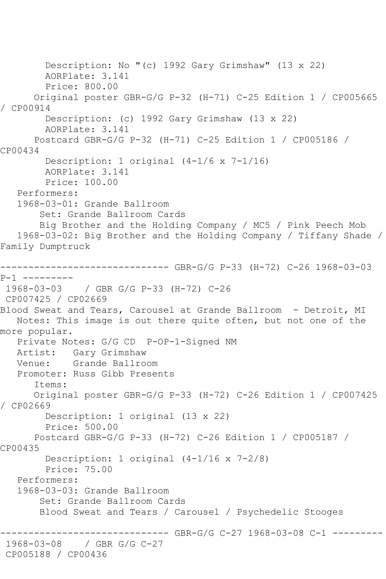Description: No "(c) 1992 Gary Grimshaw" (13 x 22) AORPlate: 3.141 Price: 800.00 Original poster GBR-G/G P-32 (H-71) C-25 Edition 1 / CP005665 / CP00914 Description: (c) 1992 Gary Grimshaw (13 x 22) AORPlate: 3.141 Postcard GBR-G/G P-32 (H-71) C-25 Edition 1 / CP005186 / CP00434 Description: 1 original (4-1/6 x 7-1/16) AORPlate: 3.141 Price: 100.00 Performers: 1968-03-01: Grande Ballroom Set: Grande Ballroom Cards Big Brother and the Holding Company / MC5 / Pink Peech Mob 1968-03-02: Big Brother and the Holding Company / Tiffany Shade / Family Dumptruck ------------------------------ GBR-G/G P-33 (H-72) C-26 1968-03-03 P-1 ---------<br>1968-03-03 1968-03-03 / GBR G/G P-33 (H-72) C-26 CP007425 / CP02669 Blood Sweat and Tears, Carousel at Grande Ballroom - Detroit, MI Notes: This image is out there quite often, but not one of the more popular. Private Notes: G/G CD P-OP-1-Signed NM Artist: Gary Grimshaw Venue: Grande Ballroom Promoter: Russ Gibb Presents Items: Original poster GBR-G/G P-33 (H-72) C-26 Edition 1 / CP007425 / CP02669 Description: 1 original (13 x 22) Price: 500.00 Postcard GBR-G/G P-33 (H-72) C-26 Edition 1 / CP005187 / CP00435 Description: 1 original (4-1/16 x 7-2/8) Price: 75.00 Performers: 1968-03-03: Grande Ballroom Set: Grande Ballroom Cards Blood Sweat and Tears / Carousel / Psychedelic Stooges -------- GBR-G/G C-27 1968-03-08 C-1 ---------1968-03-08 / GBR G/G C-27 CP005188 / CP00436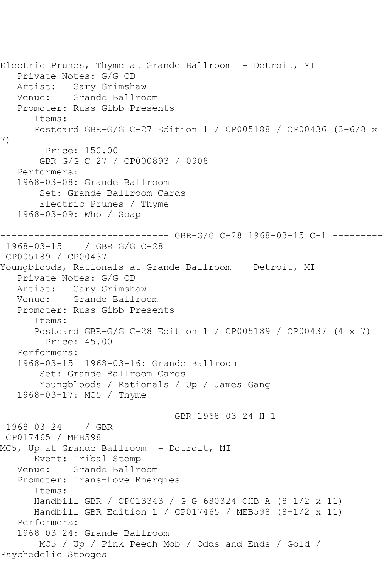```
Electric Prunes, Thyme at Grande Ballroom - Detroit, MI
    Private Notes: G/G CD
  Artist: Gary Grimshaw<br>Venue: Grande Ballro
            Grande Ballroom
   Promoter: Russ Gibb Presents
       Items:
       Postcard GBR-G/G C-27 Edition 1 / CP005188 / CP00436 (3-6/8 x 
7)
         Price: 150.00
        GBR-G/G C-27 / CP000893 / 0908
    Performers:
    1968-03-08: Grande Ballroom
        Set: Grande Ballroom Cards
        Electric Prunes / Thyme
    1968-03-09: Who / Soap
------------------------------ GBR-G/G C-28 1968-03-15 C-1 ---------
1968-03-15 / GBR G/G C-28
CP005189 / CP00437
Youngbloods, Rationals at Grande Ballroom - Detroit, MI
    Private Notes: G/G CD
   Artist: Gary Grimshaw
   Venue: Grande Ballroom
    Promoter: Russ Gibb Presents
       Items:
       Postcard GBR-G/G C-28 Edition 1 / CP005189 / CP00437 (4 x 7)
         Price: 45.00
   Performers:
    1968-03-15 1968-03-16: Grande Ballroom
        Set: Grande Ballroom Cards
        Youngbloods / Rationals / Up / James Gang
    1968-03-17: MC5 / Thyme
------------------------------ GBR 1968-03-24 H-1 ---------
1968-03-24 / GBR 
CP017465 / MEB598
MC5, Up at Grande Ballroom - Detroit, MI
       Event: Tribal Stomp
   Venue: Grande Ballroom
    Promoter: Trans-Love Energies
       Items:
       Handbill GBR / CP013343 / G-G-680324-OHB-A (8-1/2 x 11)
       Handbill GBR Edition 1 / CP017465 / MEB598 (8-1/2 x 11)
   Performers:
    1968-03-24: Grande Ballroom
        MC5 / Up / Pink Peech Mob / Odds and Ends / Gold / 
Psychedelic Stooges
```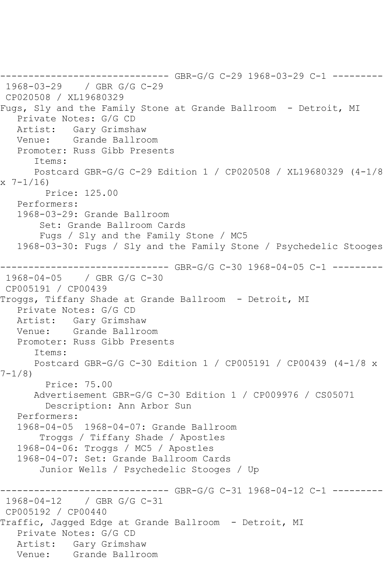```
------------------------------ GBR-G/G C-29 1968-03-29 C-1 ---------
1968-03-29 / GBR G/G C-29
CP020508 / XL19680329
Fugs, Sly and the Family Stone at Grande Ballroom - Detroit, MI
   Private Notes: G/G CD
   Artist: Gary Grimshaw
   Venue: Grande Ballroom
   Promoter: Russ Gibb Presents
       Items:
       Postcard GBR-G/G C-29 Edition 1 / CP020508 / XL19680329 (4-1/8 
x 7-1/16)
        Price: 125.00
   Performers:
    1968-03-29: Grande Ballroom
        Set: Grande Ballroom Cards
        Fugs / Sly and the Family Stone / MC5
    1968-03-30: Fugs / Sly and the Family Stone / Psychedelic Stooges
------------------------------ GBR-G/G C-30 1968-04-05 C-1 ---------
1968-04-05 / GBR G/G C-30
CP005191 / CP00439
Troggs, Tiffany Shade at Grande Ballroom - Detroit, MI
    Private Notes: G/G CD
  Artist: Gary Grimshaw<br>Venue: Grande Ballro
            Grande Ballroom
    Promoter: Russ Gibb Presents
       Items:
       Postcard GBR-G/G C-30 Edition 1 / CP005191 / CP00439 (4-1/8 x 
7-1/8)
         Price: 75.00
       Advertisement GBR-G/G C-30 Edition 1 / CP009976 / CS05071
         Description: Ann Arbor Sun
    Performers:
    1968-04-05 1968-04-07: Grande Ballroom
        Troggs / Tiffany Shade / Apostles
    1968-04-06: Troggs / MC5 / Apostles
    1968-04-07: Set: Grande Ballroom Cards
        Junior Wells / Psychedelic Stooges / Up
                     ------------------------------ GBR-G/G C-31 1968-04-12 C-1 ---------
1968-04-12 / GBR G/G C-31
CP005192 / CP00440
Traffic, Jagged Edge at Grande Ballroom - Detroit, MI
    Private Notes: G/G CD
   Artist: Gary Grimshaw
   Venue: Grande Ballroom
```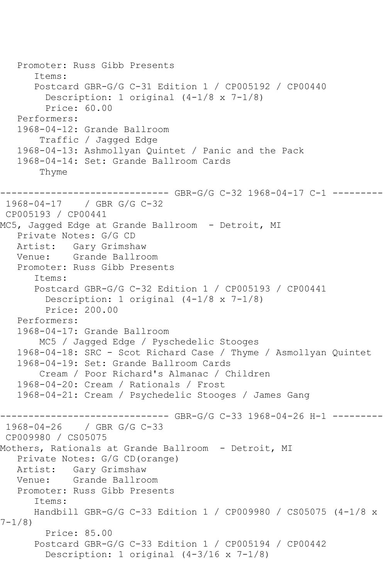```
 Promoter: Russ Gibb Presents
       Items:
       Postcard GBR-G/G C-31 Edition 1 / CP005192 / CP00440
        Description: 1 original (4-1/8 \times 7-1/8) Price: 60.00
    Performers:
    1968-04-12: Grande Ballroom
        Traffic / Jagged Edge
    1968-04-13: Ashmollyan Quintet / Panic and the Pack
    1968-04-14: Set: Grande Ballroom Cards
        Thyme
         ------------------------------ GBR-G/G C-32 1968-04-17 C-1 ---------
1968-04-17 / GBR G/G C-32
CP005193 / CP00441
MC5, Jagged Edge at Grande Ballroom - Detroit, MI
    Private Notes: G/G CD
   Artist: Gary Grimshaw
   Venue: Grande Ballroom
    Promoter: Russ Gibb Presents
       Items:
       Postcard GBR-G/G C-32 Edition 1 / CP005193 / CP00441
        Description: 1 original (4-1/8 \times 7-1/8) Price: 200.00
    Performers:
    1968-04-17: Grande Ballroom
        MC5 / Jagged Edge / Pyschedelic Stooges
    1968-04-18: SRC - Scot Richard Case / Thyme / Asmollyan Quintet
    1968-04-19: Set: Grande Ballroom Cards
        Cream / Poor Richard's Almanac / Children
    1968-04-20: Cream / Rationals / Frost
    1968-04-21: Cream / Psychedelic Stooges / James Gang
------------------------------ GBR-G/G C-33 1968-04-26 H-1 ---------
1968-04-26 / GBR G/G C-33
CP009980 / CS05075
Mothers, Rationals at Grande Ballroom - Detroit, MI
    Private Notes: G/G CD(orange)
  Artist: Gary Grimshaw<br>Venue: Grande Ballro
           Grande Ballroom
    Promoter: Russ Gibb Presents
       Items:
       Handbill GBR-G/G C-33 Edition 1 / CP009980 / CS05075 (4-1/8 x 
7-1/8)
         Price: 85.00
       Postcard GBR-G/G C-33 Edition 1 / CP005194 / CP00442
         Description: 1 original (4-3/16 x 7-1/8)
```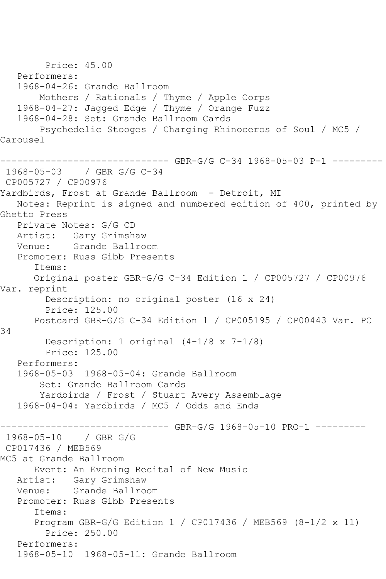Price: 45.00 Performers: 1968-04-26: Grande Ballroom Mothers / Rationals / Thyme / Apple Corps 1968-04-27: Jagged Edge / Thyme / Orange Fuzz 1968-04-28: Set: Grande Ballroom Cards Psychedelic Stooges / Charging Rhinoceros of Soul / MC5 / Carousel ------------------------------ GBR-G/G C-34 1968-05-03 P-1 --------- 1968-05-03 / GBR G/G C-34 CP005727 / CP00976 Yardbirds, Frost at Grande Ballroom - Detroit, MI Notes: Reprint is signed and numbered edition of 400, printed by Ghetto Press Private Notes: G/G CD Artist: Gary Grimshaw Venue: Grande Ballroom Promoter: Russ Gibb Presents Items: Original poster GBR-G/G C-34 Edition 1 / CP005727 / CP00976 Var. reprint Description: no original poster (16 x 24) Price: 125.00 Postcard GBR-G/G C-34 Edition 1 / CP005195 / CP00443 Var. PC 34 Description: 1 original (4-1/8 x 7-1/8) Price: 125.00 Performers: 1968-05-03 1968-05-04: Grande Ballroom Set: Grande Ballroom Cards Yardbirds / Frost / Stuart Avery Assemblage 1968-04-04: Yardbirds / MC5 / Odds and Ends ------ GBR-G/G 1968-05-10 PRO-1 ---------1968-05-10 / GBR G/G CP017436 / MEB569 MC5 at Grande Ballroom Event: An Evening Recital of New Music Artist: Gary Grimshaw Venue: Grande Ballroom Promoter: Russ Gibb Presents Items: Program GBR-G/G Edition 1 / CP017436 / MEB569 (8-1/2 x 11) Price: 250.00 Performers: 1968-05-10 1968-05-11: Grande Ballroom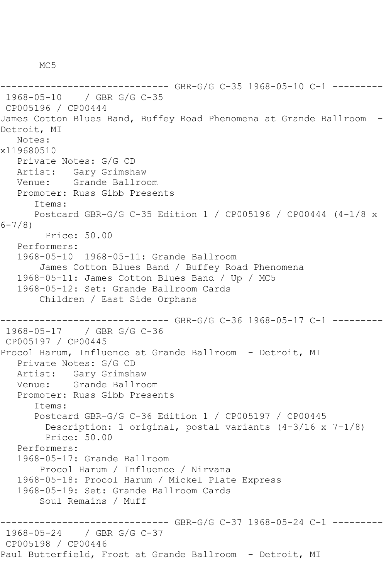M<sub>C</sub>5

```
------ GBR-G/G C-35 1968-05-10 C-1 ---------
1968-05-10 / GBR G/G C-35
CP005196 / CP00444
James Cotton Blues Band, Buffey Road Phenomena at Grande Ballroom -
Detroit, MI
   Notes: 
xl19680510
   Private Notes: G/G CD
   Artist: Gary Grimshaw
   Venue: Grande Ballroom
   Promoter: Russ Gibb Presents
       Items:
      Postcard GBR-G/G C-35 Edition 1 / CP005196 / CP00444 (4-1/8 x 
6-7/8)
         Price: 50.00
   Performers:
   1968-05-10 1968-05-11: Grande Ballroom
        James Cotton Blues Band / Buffey Road Phenomena
   1968-05-11: James Cotton Blues Band / Up / MC5
   1968-05-12: Set: Grande Ballroom Cards
       Children / East Side Orphans
                  ------------ GBR-G/G C-36 1968-05-17 C-1 -------
1968-05-17 / GBR G/G C-36
CP005197 / CP00445
Procol Harum, Influence at Grande Ballroom - Detroit, MI
   Private Notes: G/G CD
   Artist: Gary Grimshaw
   Venue: Grande Ballroom
   Promoter: Russ Gibb Presents
       Items:
       Postcard GBR-G/G C-36 Edition 1 / CP005197 / CP00445
         Description: 1 original, postal variants (4-3/16 x 7-1/8)
         Price: 50.00
   Performers:
   1968-05-17: Grande Ballroom
        Procol Harum / Influence / Nirvana
   1968-05-18: Procol Harum / Mickel Plate Express
   1968-05-19: Set: Grande Ballroom Cards
        Soul Remains / Muff
      ------------------------------ GBR-G/G C-37 1968-05-24 C-1 ---------
1968-05-24 / GBR G/G C-37
CP005198 / CP00446
Paul Butterfield, Frost at Grande Ballroom - Detroit, MI
```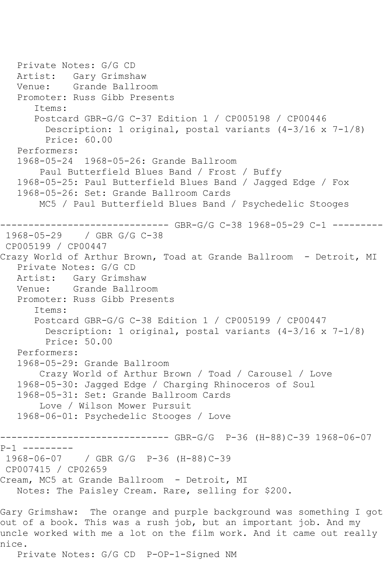```
 Private Notes: G/G CD
   Artist: Gary Grimshaw
   Venue: Grande Ballroom
   Promoter: Russ Gibb Presents
       Items:
       Postcard GBR-G/G C-37 Edition 1 / CP005198 / CP00446
         Description: 1 original, postal variants (4-3/16 x 7-1/8)
         Price: 60.00
   Performers:
   1968-05-24 1968-05-26: Grande Ballroom
        Paul Butterfield Blues Band / Frost / Buffy
   1968-05-25: Paul Butterfield Blues Band / Jagged Edge / Fox
   1968-05-26: Set: Grande Ballroom Cards
        MC5 / Paul Butterfield Blues Band / Psychedelic Stooges
                     ------------------------------ GBR-G/G C-38 1968-05-29 C-1 ---------
1968-05-29 / GBR G/G C-38
CP005199 / CP00447
Crazy World of Arthur Brown, Toad at Grande Ballroom - Detroit, MI
   Private Notes: G/G CD
   Artist: Gary Grimshaw
   Venue: Grande Ballroom
   Promoter: Russ Gibb Presents
       Items:
       Postcard GBR-G/G C-38 Edition 1 / CP005199 / CP00447
         Description: 1 original, postal variants (4-3/16 x 7-1/8)
         Price: 50.00
   Performers:
   1968-05-29: Grande Ballroom
        Crazy World of Arthur Brown / Toad / Carousel / Love
   1968-05-30: Jagged Edge / Charging Rhinoceros of Soul
   1968-05-31: Set: Grande Ballroom Cards
        Love / Wilson Mower Pursuit
   1968-06-01: Psychedelic Stooges / Love
      ------------------------------ GBR-G/G P-36 (H-88)C-39 1968-06-07 
P-1 ---------
1968-06-07 / GBR G/G P-36 (H-88)C-39
CP007415 / CP02659
Cream, MC5 at Grande Ballroom - Detroit, MI
   Notes: The Paisley Cream. Rare, selling for $200.
Gary Grimshaw: The orange and purple background was something I got 
out of a book. This was a rush job, but an important job. And my 
uncle worked with me a lot on the film work. And it came out really
```
Private Notes: G/G CD P-OP-1-Signed NM

nice.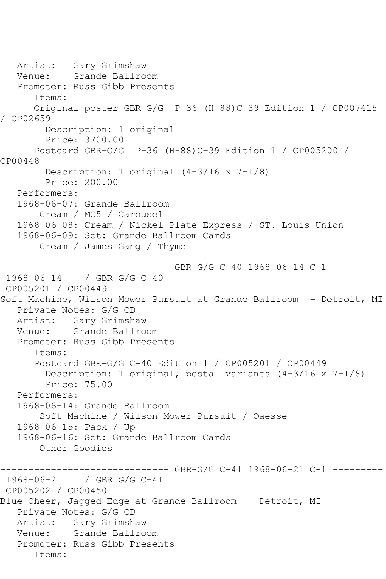Artist: Gary Grimshaw Venue: Grande Ballroom Promoter: Russ Gibb Presents Items: Original poster GBR-G/G P-36 (H-88)C-39 Edition 1 / CP007415 / CP02659 Description: 1 original Price: 3700.00 Postcard GBR-G/G P-36 (H-88)C-39 Edition 1 / CP005200 / CP00448 Description: 1 original (4-3/16 x 7-1/8) Price: 200.00 Performers: 1968-06-07: Grande Ballroom Cream / MC5 / Carousel 1968-06-08: Cream / Nickel Plate Express / ST. Louis Union 1968-06-09: Set: Grande Ballroom Cards Cream / James Gang / Thyme ------------------------------ GBR-G/G C-40 1968-06-14 C-1 --------- 1968-06-14 / GBR G/G C-40 CP005201 / CP00449 Soft Machine, Wilson Mower Pursuit at Grande Ballroom - Detroit, MI Private Notes: G/G CD Artist: Gary Grimshaw<br>Venue: Grande Ballro Grande Ballroom Promoter: Russ Gibb Presents Items: Postcard GBR-G/G C-40 Edition 1 / CP005201 / CP00449 Description: 1 original, postal variants (4-3/16 x 7-1/8) Price: 75.00 Performers: 1968-06-14: Grande Ballroom Soft Machine / Wilson Mower Pursuit / Oaesse 1968-06-15: Pack / Up 1968-06-16: Set: Grande Ballroom Cards Other Goodies ------------------------------ GBR-G/G C-41 1968-06-21 C-1 --------- 1968-06-21 / GBR G/G C-41 CP005202 / CP00450 Blue Cheer, Jagged Edge at Grande Ballroom - Detroit, MI Private Notes: G/G CD Artist: Gary Grimshaw Venue: Grande Ballroom Promoter: Russ Gibb Presents Items: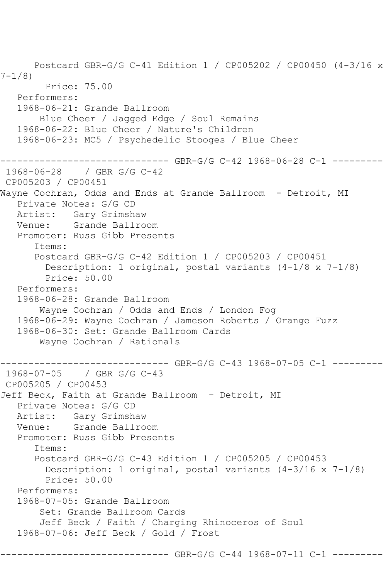```
 Postcard GBR-G/G C-41 Edition 1 / CP005202 / CP00450 (4-3/16 x 
7-1/8)
         Price: 75.00
   Performers:
   1968-06-21: Grande Ballroom
        Blue Cheer / Jagged Edge / Soul Remains
   1968-06-22: Blue Cheer / Nature's Children
   1968-06-23: MC5 / Psychedelic Stooges / Blue Cheer
       ------------------------------ GBR-G/G C-42 1968-06-28 C-1 ---------
1968-06-28 / GBR G/G C-42
CP005203 / CP00451
Wayne Cochran, Odds and Ends at Grande Ballroom - Detroit, MI
   Private Notes: G/G CD
   Artist: Gary Grimshaw
   Venue: Grande Ballroom
   Promoter: Russ Gibb Presents
       Items:
       Postcard GBR-G/G C-42 Edition 1 / CP005203 / CP00451
         Description: 1 original, postal variants (4-1/8 x 7-1/8)
         Price: 50.00
   Performers:
   1968-06-28: Grande Ballroom
        Wayne Cochran / Odds and Ends / London Fog
   1968-06-29: Wayne Cochran / Jameson Roberts / Orange Fuzz
   1968-06-30: Set: Grande Ballroom Cards
        Wayne Cochran / Rationals
                     --------- GBR-G/G C-43 1968-07-05 C-1 ---------
1968-07-05 / GBR G/G C-43
CP005205 / CP00453
Jeff Beck, Faith at Grande Ballroom - Detroit, MI
   Private Notes: G/G CD
   Artist: Gary Grimshaw
   Venue: Grande Ballroom
   Promoter: Russ Gibb Presents
       Items:
       Postcard GBR-G/G C-43 Edition 1 / CP005205 / CP00453
         Description: 1 original, postal variants (4-3/16 x 7-1/8)
         Price: 50.00
   Performers:
   1968-07-05: Grande Ballroom
        Set: Grande Ballroom Cards
        Jeff Beck / Faith / Charging Rhinoceros of Soul
   1968-07-06: Jeff Beck / Gold / Frost
                         ----- GBR-G/G C-44 1968-07-11 C-1 ---------
```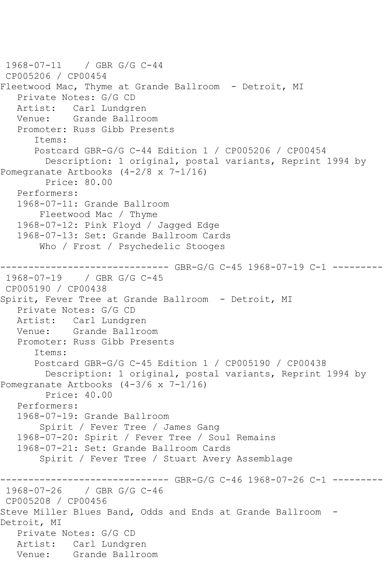```
1968-07-11 / GBR G/G C-44
CP005206 / CP00454
Fleetwood Mac, Thyme at Grande Ballroom - Detroit, MI
   Private Notes: G/G CD
   Artist: Carl Lundgren
   Venue: Grande Ballroom
   Promoter: Russ Gibb Presents
      Items:
      Postcard GBR-G/G C-44 Edition 1 / CP005206 / CP00454
         Description: 1 original, postal variants, Reprint 1994 by 
Pomegranate Artbooks (4-2/8 x 7-1/16)
         Price: 80.00
   Performers:
   1968-07-11: Grande Ballroom
        Fleetwood Mac / Thyme
   1968-07-12: Pink Floyd / Jagged Edge
   1968-07-13: Set: Grande Ballroom Cards
       Who / Frost / Psychedelic Stooges
------------------------------ GBR-G/G C-45 1968-07-19 C-1 ---------
1968-07-19 / GBR G/G C-45
CP005190 / CP00438
Spirit, Fever Tree at Grande Ballroom - Detroit, MI
   Private Notes: G/G CD
   Artist: Carl Lundgren
   Venue: Grande Ballroom
   Promoter: Russ Gibb Presents
      Items:
      Postcard GBR-G/G C-45 Edition 1 / CP005190 / CP00438
        Description: 1 original, postal variants, Reprint 1994 by 
Pomegranate Artbooks (4-3/6 x 7-1/16)
        Price: 40.00
   Performers:
   1968-07-19: Grande Ballroom
        Spirit / Fever Tree / James Gang
   1968-07-20: Spirit / Fever Tree / Soul Remains
   1968-07-21: Set: Grande Ballroom Cards
        Spirit / Fever Tree / Stuart Avery Assemblage
------------------------------ GBR-G/G C-46 1968-07-26 C-1 ---------
1968-07-26 / GBR G/G C-46
CP005208 / CP00456
Steve Miller Blues Band, Odds and Ends at Grande Ballroom -
Detroit, MI
   Private Notes: G/G CD
   Artist: Carl Lundgren
   Venue: Grande Ballroom
```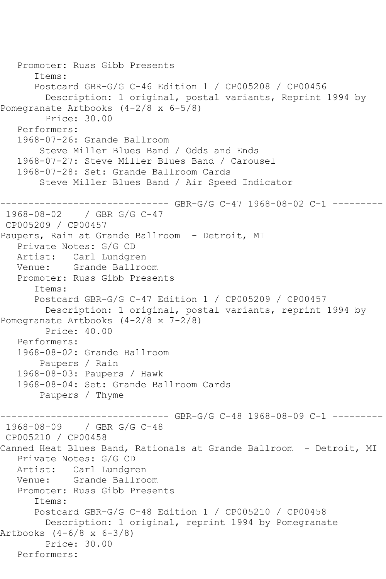```
 Promoter: Russ Gibb Presents
       Items:
       Postcard GBR-G/G C-46 Edition 1 / CP005208 / CP00456
         Description: 1 original, postal variants, Reprint 1994 by 
Pomegranate Artbooks (4-2/8 x 6-5/8)
         Price: 30.00
    Performers:
    1968-07-26: Grande Ballroom
        Steve Miller Blues Band / Odds and Ends
    1968-07-27: Steve Miller Blues Band / Carousel
    1968-07-28: Set: Grande Ballroom Cards
        Steve Miller Blues Band / Air Speed Indicator
------------------------------ GBR-G/G C-47 1968-08-02 C-1 ---------
1968-08-02 / GBR G/G C-47
CP005209 / CP00457
Paupers, Rain at Grande Ballroom - Detroit, MI
    Private Notes: G/G CD
   Artist: Carl Lundgren
   Venue: Grande Ballroom
    Promoter: Russ Gibb Presents
       Items:
       Postcard GBR-G/G C-47 Edition 1 / CP005209 / CP00457
         Description: 1 original, postal variants, reprint 1994 by 
Pomegranate Artbooks (4-2/8 x 7-2/8)
        Price: 40.00
    Performers:
    1968-08-02: Grande Ballroom
        Paupers / Rain
    1968-08-03: Paupers / Hawk
    1968-08-04: Set: Grande Ballroom Cards
        Paupers / Thyme
------------------------------ GBR-G/G C-48 1968-08-09 C-1 ---------
1968-08-09 / GBR G/G C-48
CP005210 / CP00458
Canned Heat Blues Band, Rationals at Grande Ballroom - Detroit, MI
    Private Notes: G/G CD
  Artist: Carl Lundgren<br>Venue: Grande Ballro
          Grande Ballroom
   Promoter: Russ Gibb Presents
       Items:
       Postcard GBR-G/G C-48 Edition 1 / CP005210 / CP00458
        Description: 1 original, reprint 1994 by Pomegranate 
Artbooks (4-6/8 x 6-3/8)
         Price: 30.00
   Performers:
```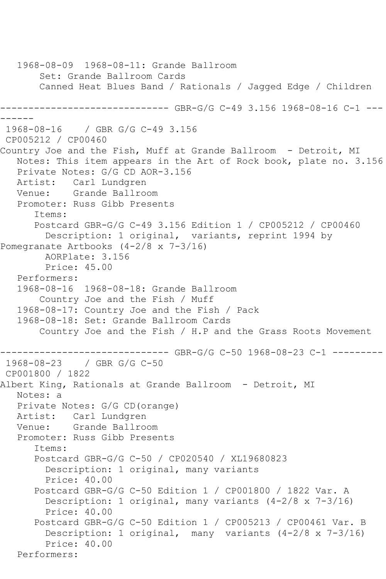1968-08-09 1968-08-11: Grande Ballroom Set: Grande Ballroom Cards Canned Heat Blues Band / Rationals / Jagged Edge / Children ------------------------------ GBR-G/G C-49 3.156 1968-08-16 C-1 --- ------ 1968-08-16 / GBR G/G C-49 3.156 CP005212 / CP00460 Country Joe and the Fish, Muff at Grande Ballroom - Detroit, MI Notes: This item appears in the Art of Rock book, plate no. 3.156 Private Notes: G/G CD AOR-3.156 Artist: Carl Lundgren Venue: Grande Ballroom Promoter: Russ Gibb Presents Items: Postcard GBR-G/G C-49 3.156 Edition 1 / CP005212 / CP00460 Description: 1 original, variants, reprint 1994 by Pomegranate Artbooks (4-2/8 x 7-3/16) AORPlate: 3.156 Price: 45.00 Performers: 1968-08-16 1968-08-18: Grande Ballroom Country Joe and the Fish / Muff 1968-08-17: Country Joe and the Fish / Pack 1968-08-18: Set: Grande Ballroom Cards Country Joe and the Fish / H.P and the Grass Roots Movement ------------------------------ GBR-G/G C-50 1968-08-23 C-1 --------- 1968-08-23 / GBR G/G C-50 CP001800 / 1822 Albert King, Rationals at Grande Ballroom - Detroit, MI Notes: a Private Notes: G/G CD(orange) Artist: Carl Lundgren Venue: Grande Ballroom Promoter: Russ Gibb Presents Items: Postcard GBR-G/G C-50 / CP020540 / XL19680823 Description: 1 original, many variants Price: 40.00 Postcard GBR-G/G C-50 Edition 1 / CP001800 / 1822 Var. A Description: 1 original, many variants (4-2/8 x 7-3/16) Price: 40.00 Postcard GBR-G/G C-50 Edition 1 / CP005213 / CP00461 Var. B Description: 1 original, many variants (4-2/8 x 7-3/16) Price: 40.00 Performers: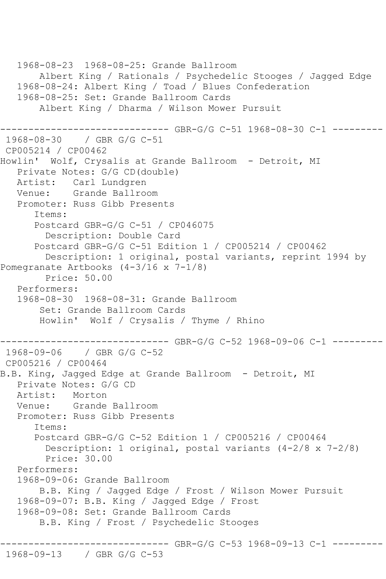1968-08-23 1968-08-25: Grande Ballroom Albert King / Rationals / Psychedelic Stooges / Jagged Edge 1968-08-24: Albert King / Toad / Blues Confederation 1968-08-25: Set: Grande Ballroom Cards Albert King / Dharma / Wilson Mower Pursuit ------------------------------ GBR-G/G C-51 1968-08-30 C-1 --------- 1968-08-30 / GBR G/G C-51 CP005214 / CP00462 Howlin' Wolf, Crysalis at Grande Ballroom - Detroit, MI Private Notes: G/G CD(double) Artist: Carl Lundgren Venue: Grande Ballroom Promoter: Russ Gibb Presents Items: Postcard GBR-G/G C-51 / CP046075 Description: Double Card Postcard GBR-G/G C-51 Edition 1 / CP005214 / CP00462 Description: 1 original, postal variants, reprint 1994 by Pomegranate Artbooks (4-3/16 x 7-1/8) Price: 50.00 Performers: 1968-08-30 1968-08-31: Grande Ballroom Set: Grande Ballroom Cards Howlin' Wolf / Crysalis / Thyme / Rhino ------------------------------ GBR-G/G C-52 1968-09-06 C-1 --------- 1968-09-06 / GBR G/G C-52 CP005216 / CP00464 B.B. King, Jagged Edge at Grande Ballroom - Detroit, MI Private Notes: G/G CD Artist: Morton<br>Venue: Grande Grande Ballroom Promoter: Russ Gibb Presents Items: Postcard GBR-G/G C-52 Edition 1 / CP005216 / CP00464 Description: 1 original, postal variants (4-2/8 x 7-2/8) Price: 30.00 Performers: 1968-09-06: Grande Ballroom B.B. King / Jagged Edge / Frost / Wilson Mower Pursuit 1968-09-07: B.B. King / Jagged Edge / Frost 1968-09-08: Set: Grande Ballroom Cards B.B. King / Frost / Psychedelic Stooges ------------------------------ GBR-G/G C-53 1968-09-13 C-1 ---------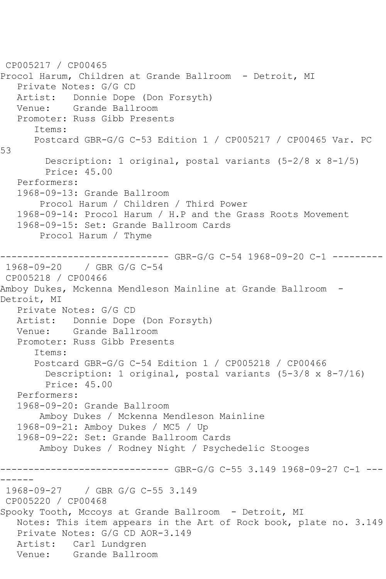CP005217 / CP00465 Procol Harum, Children at Grande Ballroom - Detroit, MI Private Notes: G/G CD Artist: Donnie Dope (Don Forsyth)<br>Venue: Grande Ballroom Grande Ballroom Promoter: Russ Gibb Presents Items: Postcard GBR-G/G C-53 Edition 1 / CP005217 / CP00465 Var. PC 53 Description: 1 original, postal variants (5-2/8 x 8-1/5) Price: 45.00 Performers: 1968-09-13: Grande Ballroom Procol Harum / Children / Third Power 1968-09-14: Procol Harum / H.P and the Grass Roots Movement 1968-09-15: Set: Grande Ballroom Cards Procol Harum / Thyme ------------------------------ GBR-G/G C-54 1968-09-20 C-1 --------- 1968-09-20 / GBR G/G C-54 CP005218 / CP00466 Amboy Dukes, Mckenna Mendleson Mainline at Grande Ballroom - Detroit, MI Private Notes: G/G CD Artist: Donnie Dope (Don Forsyth)<br>Venue: Grande Ballroom Grande Ballroom Promoter: Russ Gibb Presents Items: Postcard GBR-G/G C-54 Edition 1 / CP005218 / CP00466 Description: 1 original, postal variants (5-3/8 x 8-7/16) Price: 45.00 Performers: 1968-09-20: Grande Ballroom Amboy Dukes / Mckenna Mendleson Mainline 1968-09-21: Amboy Dukes / MC5 / Up 1968-09-22: Set: Grande Ballroom Cards Amboy Dukes / Rodney Night / Psychedelic Stooges ------------------------------ GBR-G/G C-55 3.149 1968-09-27 C-1 --- ------ 1968-09-27 / GBR G/G C-55 3.149 CP005220 / CP00468 Spooky Tooth, Mccoys at Grande Ballroom - Detroit, MI Notes: This item appears in the Art of Rock book, plate no. 3.149 Private Notes: G/G CD AOR-3.149 Artist: Carl Lundgren Venue: Grande Ballroom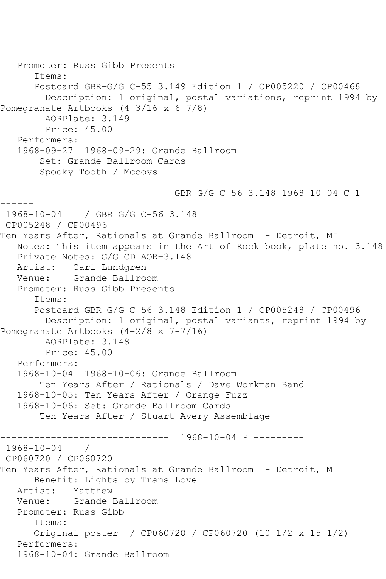```
 Promoter: Russ Gibb Presents
       Items:
       Postcard GBR-G/G C-55 3.149 Edition 1 / CP005220 / CP00468
         Description: 1 original, postal variations, reprint 1994 by 
Pomegranate Artbooks (4-3/16 x 6-7/8)
         AORPlate: 3.149 
         Price: 45.00
    Performers:
    1968-09-27 1968-09-29: Grande Ballroom
        Set: Grande Ballroom Cards
        Spooky Tooth / Mccoys
------------------------------ GBR-G/G C-56 3.148 1968-10-04 C-1 ---
------
1968-10-04 / GBR G/G C-56 3.148
CP005248 / CP00496
Ten Years After, Rationals at Grande Ballroom - Detroit, MI
   Notes: This item appears in the Art of Rock book, plate no. 3.148
    Private Notes: G/G CD AOR-3.148
   Artist: Carl Lundgren
   Venue: Grande Ballroom
   Promoter: Russ Gibb Presents
       Items:
       Postcard GBR-G/G C-56 3.148 Edition 1 / CP005248 / CP00496
         Description: 1 original, postal variants, reprint 1994 by 
Pomegranate Artbooks (4-2/8 x 7-7/16)
         AORPlate: 3.148 
         Price: 45.00
    Performers:
    1968-10-04 1968-10-06: Grande Ballroom
        Ten Years After / Rationals / Dave Workman Band
    1968-10-05: Ten Years After / Orange Fuzz
    1968-10-06: Set: Grande Ballroom Cards
        Ten Years After / Stuart Avery Assemblage
              ------------------------------ 1968-10-04 P ---------
1968-10-04 / 
CP060720 / CP060720
Ten Years After, Rationals at Grande Ballroom - Detroit, MI
      Benefit: Lights by Trans Love<br>ist: Matthew
  Artist:
   Venue: Grande Ballroom
    Promoter: Russ Gibb
       Items:
       Original poster / CP060720 / CP060720 (10-1/2 x 15-1/2)
    Performers:
    1968-10-04: Grande Ballroom
```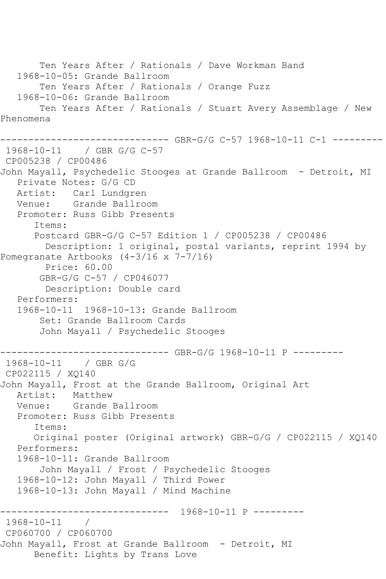```
 Ten Years After / Rationals / Dave Workman Band
    1968-10-05: Grande Ballroom
        Ten Years After / Rationals / Orange Fuzz
    1968-10-06: Grande Ballroom
        Ten Years After / Rationals / Stuart Avery Assemblage / New 
Phenomena
------------------------------ GBR-G/G C-57 1968-10-11 C-1 ---------
1968-10-11 / GBR G/G C-57
CP005238 / CP00486
John Mayall, Psychedelic Stooges at Grande Ballroom - Detroit, MI
    Private Notes: G/G CD
   Artist: Carl Lundgren
   Venue: Grande Ballroom
   Promoter: Russ Gibb Presents
       Items:
       Postcard GBR-G/G C-57 Edition 1 / CP005238 / CP00486
         Description: 1 original, postal variants, reprint 1994 by 
Pomegranate Artbooks (4-3/16 x 7-7/16)
         Price: 60.00
        GBR-G/G C-57 / CP046077
         Description: Double card
   Performers:
    1968-10-11 1968-10-13: Grande Ballroom
        Set: Grande Ballroom Cards
        John Mayall / Psychedelic Stooges
   ------------------------------ GBR-G/G 1968-10-11 P ---------
1968-10-11 / GBR G/G
CP022115 / XQ140
John Mayall, Frost at the Grande Ballroom, Original Art
  Artist: Matthew<br>Venue: Grande
            Grande Ballroom
   Promoter: Russ Gibb Presents
       Items:
       Original poster (Original artwork) GBR-G/G / CP022115 / XQ140
   Performers:
    1968-10-11: Grande Ballroom
        John Mayall / Frost / Psychedelic Stooges
   1968-10-12: John Mayall / Third Power
    1968-10-13: John Mayall / Mind Machine
                ------------------------------ 1968-10-11 P ---------
1968-10-11 / 
CP060700 / CP060700
John Mayall, Frost at Grande Ballroom - Detroit, MI
       Benefit: Lights by Trans Love
```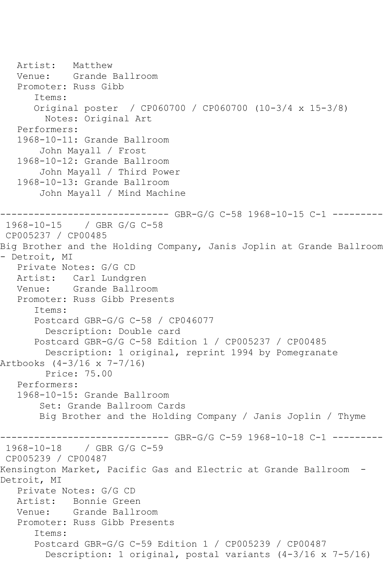```
 Artist: Matthew
   Venue: Grande Ballroom
    Promoter: Russ Gibb
       Items:
       Original poster / CP060700 / CP060700 (10-3/4 x 15-3/8)
         Notes: Original Art
    Performers:
    1968-10-11: Grande Ballroom
        John Mayall / Frost
    1968-10-12: Grande Ballroom
        John Mayall / Third Power
    1968-10-13: Grande Ballroom
        John Mayall / Mind Machine
                  ------------------------------ GBR-G/G C-58 1968-10-15 C-1 ---------
1968-10-15 / GBR G/G C-58
CP005237 / CP00485
Big Brother and the Holding Company, Janis Joplin at Grande Ballroom 
- Detroit, MI
   Private Notes: G/G CD
   Artist: Carl Lundgren
   Venue: Grande Ballroom
   Promoter: Russ Gibb Presents
       Items:
       Postcard GBR-G/G C-58 / CP046077
         Description: Double card
       Postcard GBR-G/G C-58 Edition 1 / CP005237 / CP00485
         Description: 1 original, reprint 1994 by Pomegranate 
Artbooks (4-3/16 x 7-7/16)
         Price: 75.00
    Performers:
    1968-10-15: Grande Ballroom
        Set: Grande Ballroom Cards
        Big Brother and the Holding Company / Janis Joplin / Thyme
------------------------------ GBR-G/G C-59 1968-10-18 C-1 ---------
              1968-10-18 / GBR G/G C-59
CP005239 / CP00487
Kensington Market, Pacific Gas and Electric at Grande Ballroom -
Detroit, MI
    Private Notes: G/G CD
   Artist: Bonnie Green
   Venue: Grande Ballroom
    Promoter: Russ Gibb Presents
       Items:
       Postcard GBR-G/G C-59 Edition 1 / CP005239 / CP00487
         Description: 1 original, postal variants (4-3/16 x 7-5/16)
```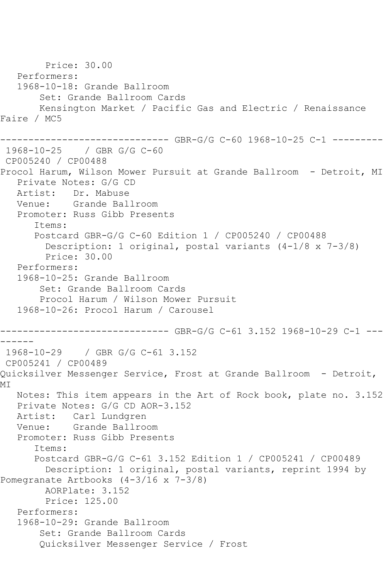Price: 30.00 Performers: 1968-10-18: Grande Ballroom Set: Grande Ballroom Cards Kensington Market / Pacific Gas and Electric / Renaissance Faire / MC5 ------------------------------ GBR-G/G C-60 1968-10-25 C-1 --------- 1968-10-25 / GBR G/G C-60 CP005240 / CP00488 Procol Harum, Wilson Mower Pursuit at Grande Ballroom - Detroit, MI Private Notes: G/G CD Artist: Dr. Mabuse Venue: Grande Ballroom Promoter: Russ Gibb Presents Items: Postcard GBR-G/G C-60 Edition 1 / CP005240 / CP00488 Description: 1 original, postal variants (4-1/8 x 7-3/8) Price: 30.00 Performers: 1968-10-25: Grande Ballroom Set: Grande Ballroom Cards Procol Harum / Wilson Mower Pursuit 1968-10-26: Procol Harum / Carousel ------------------------------ GBR-G/G C-61 3.152 1968-10-29 C-1 --- ------ 1968-10-29 / GBR G/G C-61 3.152 CP005241 / CP00489 Quicksilver Messenger Service, Frost at Grande Ballroom - Detroit, MI Notes: This item appears in the Art of Rock book, plate no. 3.152 Private Notes: G/G CD AOR-3.152 Artist: Carl Lundgren Venue: Grande Ballroom Promoter: Russ Gibb Presents Items: Postcard GBR-G/G C-61 3.152 Edition 1 / CP005241 / CP00489 Description: 1 original, postal variants, reprint 1994 by Pomegranate Artbooks (4-3/16 x 7-3/8) AORPlate: 3.152 Price: 125.00 Performers: 1968-10-29: Grande Ballroom Set: Grande Ballroom Cards Quicksilver Messenger Service / Frost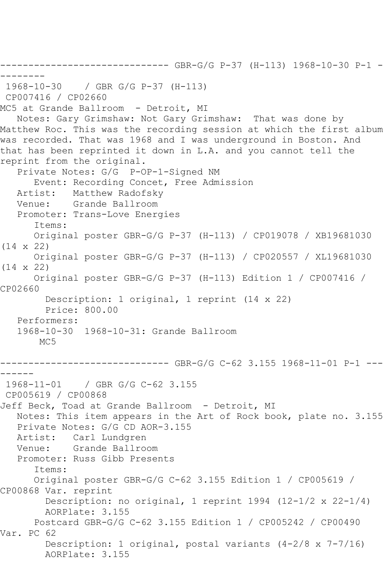```
------------------------------ GBR-G/G P-37 (H-113) 1968-10-30 P-1 -
--------
1968-10-30 / GBR G/G P-37 (H-113)
CP007416 / CP02660
MC5 at Grande Ballroom - Detroit, MI
   Notes: Gary Grimshaw: Not Gary Grimshaw: That was done by 
Matthew Roc. This was the recording session at which the first album 
was recorded. That was 1968 and I was underground in Boston. And 
that has been reprinted it down in L.A. and you cannot tell the 
reprint from the original.
   Private Notes: G/G P-OP-1-Signed NM
       Event: Recording Concet, Free Admission
   Artist: Matthew Radofsky
   Venue: Grande Ballroom
   Promoter: Trans-Love Energies
       Items:
      Original poster GBR-G/G P-37 (H-113) / CP019078 / XB19681030 
(14 x 22)
      Original poster GBR-G/G P-37 (H-113) / CP020557 / XL19681030 
(14 x 22)
      Original poster GBR-G/G P-37 (H-113) Edition 1 / CP007416 / 
CP02660
        Description: 1 original, 1 reprint (14 x 22)
         Price: 800.00
   Performers:
   1968-10-30 1968-10-31: Grande Ballroom
      M<sub>C</sub>5
------------------------------ GBR-G/G C-62 3.155 1968-11-01 P-1 ---
------<br>1968-11-01
              / GBR G/G C-62 3.155
CP005619 / CP00868
Jeff Beck, Toad at Grande Ballroom - Detroit, MI
   Notes: This item appears in the Art of Rock book, plate no. 3.155
   Private Notes: G/G CD AOR-3.155
   Artist: Carl Lundgren
   Venue: Grande Ballroom
   Promoter: Russ Gibb Presents
       Items:
       Original poster GBR-G/G C-62 3.155 Edition 1 / CP005619 / 
CP00868 Var. reprint
        Description: no original, 1 reprint 1994 (12-1/2 x 22-1/4)
         AORPlate: 3.155 
      Postcard GBR-G/G C-62 3.155 Edition 1 / CP005242 / CP00490 
Var. PC 62
         Description: 1 original, postal variants (4-2/8 x 7-7/16)
         AORPlate: 3.155
```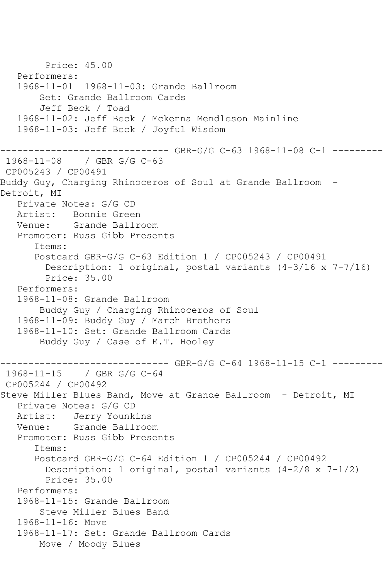```
 Price: 45.00
    Performers:
    1968-11-01 1968-11-03: Grande Ballroom
        Set: Grande Ballroom Cards
        Jeff Beck / Toad
    1968-11-02: Jeff Beck / Mckenna Mendleson Mainline
    1968-11-03: Jeff Beck / Joyful Wisdom
             ------------------------------ GBR-G/G C-63 1968-11-08 C-1 ---------
1968-11-08 / GBR G/G C-63
CP005243 / CP00491
Buddy Guy, Charging Rhinoceros of Soul at Grande Ballroom -
Detroit, MI
    Private Notes: G/G CD
   Artist: Bonnie Green
   Venue: Grande Ballroom
    Promoter: Russ Gibb Presents
       Items:
       Postcard GBR-G/G C-63 Edition 1 / CP005243 / CP00491
         Description: 1 original, postal variants (4-3/16 x 7-7/16)
         Price: 35.00
    Performers:
    1968-11-08: Grande Ballroom
        Buddy Guy / Charging Rhinoceros of Soul
    1968-11-09: Buddy Guy / March Brothers
    1968-11-10: Set: Grande Ballroom Cards
        Buddy Guy / Case of E.T. Hooley
                       -------- GBR-G/G C-64 1968-11-15 C-1 ---------
1968-11-15 / GBR G/G C-64
CP005244 / CP00492
Steve Miller Blues Band, Move at Grande Ballroom - Detroit, MI
    Private Notes: G/G CD
   Artist: Jerry Younkins
   Venue: Grande Ballroom
    Promoter: Russ Gibb Presents
       Items:
       Postcard GBR-G/G C-64 Edition 1 / CP005244 / CP00492
        Description: 1 original, postal variants (4-2/8 \times 7-1/2) Price: 35.00
    Performers:
    1968-11-15: Grande Ballroom
        Steve Miller Blues Band
    1968-11-16: Move
    1968-11-17: Set: Grande Ballroom Cards
        Move / Moody Blues
```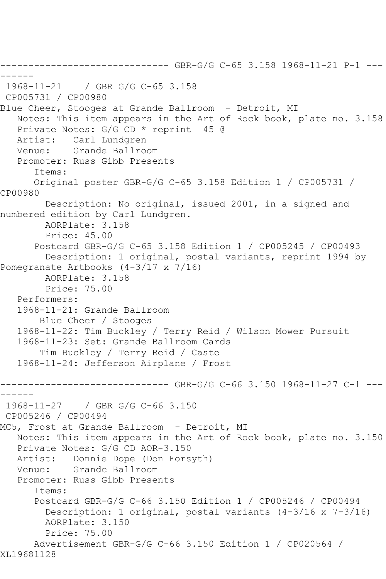```
------------------------------ GBR-G/G C-65 3.158 1968-11-21 P-1 ---
------
1968-11-21 / GBR G/G C-65 3.158
CP005731 / CP00980
Blue Cheer, Stooges at Grande Ballroom - Detroit, MI
   Notes: This item appears in the Art of Rock book, plate no. 3.158
   Private Notes: G/G CD * reprint 45 @
   Artist: Carl Lundgren
   Venue: Grande Ballroom
   Promoter: Russ Gibb Presents
       Items:
       Original poster GBR-G/G C-65 3.158 Edition 1 / CP005731 / 
CP00980
         Description: No original, issued 2001, in a signed and 
numbered edition by Carl Lundgren.
        AORPlate: 3.158 
         Price: 45.00
       Postcard GBR-G/G C-65 3.158 Edition 1 / CP005245 / CP00493
         Description: 1 original, postal variants, reprint 1994 by 
Pomegranate Artbooks (4-3/17 x 7/16)
         AORPlate: 3.158 
         Price: 75.00
   Performers:
    1968-11-21: Grande Ballroom
        Blue Cheer / Stooges
    1968-11-22: Tim Buckley / Terry Reid / Wilson Mower Pursuit
    1968-11-23: Set: Grande Ballroom Cards
        Tim Buckley / Terry Reid / Caste
    1968-11-24: Jefferson Airplane / Frost
       ------------------------------ GBR-G/G C-66 3.150 1968-11-27 C-1 ---
------
1968-11-27 / GBR G/G C-66 3.150
CP005246 / CP00494
MC5, Frost at Grande Ballroom - Detroit, MI
   Notes: This item appears in the Art of Rock book, plate no. 3.150
  Private Notes: G/G CD AOR-3.150<br>Artist: Donnie Dope (Don Fors
            Donnie Dope (Don Forsyth)
   Venue: Grande Ballroom
    Promoter: Russ Gibb Presents
       Items:
       Postcard GBR-G/G C-66 3.150 Edition 1 / CP005246 / CP00494
         Description: 1 original, postal variants (4-3/16 x 7-3/16)
         AORPlate: 3.150 
         Price: 75.00
       Advertisement GBR-G/G C-66 3.150 Edition 1 / CP020564 / 
XL19681128
```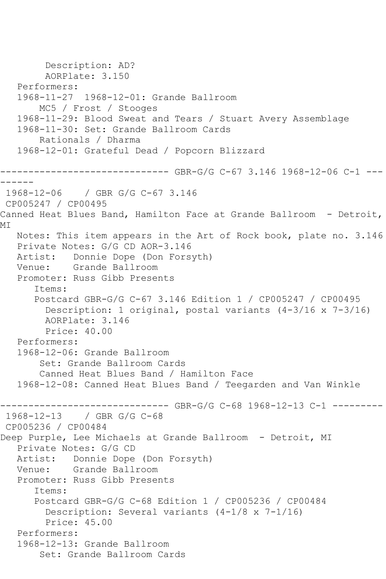```
 Description: AD?
         AORPlate: 3.150 
   Performers:
   1968-11-27 1968-12-01: Grande Ballroom
        MC5 / Frost / Stooges
   1968-11-29: Blood Sweat and Tears / Stuart Avery Assemblage
   1968-11-30: Set: Grande Ballroom Cards
        Rationals / Dharma
   1968-12-01: Grateful Dead / Popcorn Blizzard
------------------------------ GBR-G/G C-67 3.146 1968-12-06 C-1 ---
------
1968-12-06 / GBR G/G C-67 3.146
CP005247 / CP00495
Canned Heat Blues Band, Hamilton Face at Grande Ballroom - Detroit, 
MI
   Notes: This item appears in the Art of Rock book, plate no. 3.146
   Private Notes: G/G CD AOR-3.146
   Artist: Donnie Dope (Don Forsyth)
   Venue: Grande Ballroom
   Promoter: Russ Gibb Presents
       Items:
       Postcard GBR-G/G C-67 3.146 Edition 1 / CP005247 / CP00495
         Description: 1 original, postal variants (4-3/16 x 7-3/16)
         AORPlate: 3.146 
        Price: 40.00
   Performers:
   1968-12-06: Grande Ballroom
        Set: Grande Ballroom Cards
        Canned Heat Blues Band / Hamilton Face
   1968-12-08: Canned Heat Blues Band / Teegarden and Van Winkle
------------------------------ GBR-G/G C-68 1968-12-13 C-1 ---------
1968-12-13 / GBR G/G C-68
CP005236 / CP00484
Deep Purple, Lee Michaels at Grande Ballroom - Detroit, MI
   Private Notes: G/G CD
   Artist: Donnie Dope (Don Forsyth)
   Venue: Grande Ballroom
   Promoter: Russ Gibb Presents
       Items:
       Postcard GBR-G/G C-68 Edition 1 / CP005236 / CP00484
         Description: Several variants (4-1/8 x 7-1/16)
         Price: 45.00
   Performers:
   1968-12-13: Grande Ballroom
        Set: Grande Ballroom Cards
```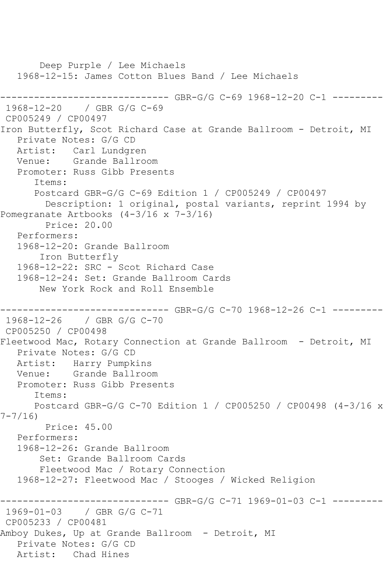```
 Deep Purple / Lee Michaels
   1968-12-15: James Cotton Blues Band / Lee Michaels
------------------------------ GBR-G/G C-69 1968-12-20 C-1 ---------
1968-12-20 / GBR G/G C-69
CP005249 / CP00497
Iron Butterfly, Scot Richard Case at Grande Ballroom - Detroit, MI
   Private Notes: G/G CD
   Artist: Carl Lundgren
   Venue: Grande Ballroom
   Promoter: Russ Gibb Presents
      Items:
      Postcard GBR-G/G C-69 Edition 1 / CP005249 / CP00497
        Description: 1 original, postal variants, reprint 1994 by 
Pomegranate Artbooks (4-3/16 x 7-3/16)
        Price: 20.00
   Performers:
   1968-12-20: Grande Ballroom
        Iron Butterfly
   1968-12-22: SRC - Scot Richard Case
   1968-12-24: Set: Grande Ballroom Cards
       New York Rock and Roll Ensemble
------------------------------ GBR-G/G C-70 1968-12-26 C-1 ---------
1968-12-26 / GBR G/G C-70
CP005250 / CP00498
Fleetwood Mac, Rotary Connection at Grande Ballroom - Detroit, MI
   Private Notes: G/G CD
   Artist: Harry Pumpkins
   Venue: Grande Ballroom
   Promoter: Russ Gibb Presents
      Items:
      Postcard GBR-G/G C-70 Edition 1 / CP005250 / CP00498 (4-3/16 x 
7-7/16)
        Price: 45.00
   Performers:
   1968-12-26: Grande Ballroom
        Set: Grande Ballroom Cards
        Fleetwood Mac / Rotary Connection
   1968-12-27: Fleetwood Mac / Stooges / Wicked Religion
------------------------------ GBR-G/G C-71 1969-01-03 C-1 ---------
1969-01-03 / GBR G/G C-71
CP005233 / CP00481
Amboy Dukes, Up at Grande Ballroom - Detroit, MI
   Private Notes: G/G CD
   Artist: Chad Hines
```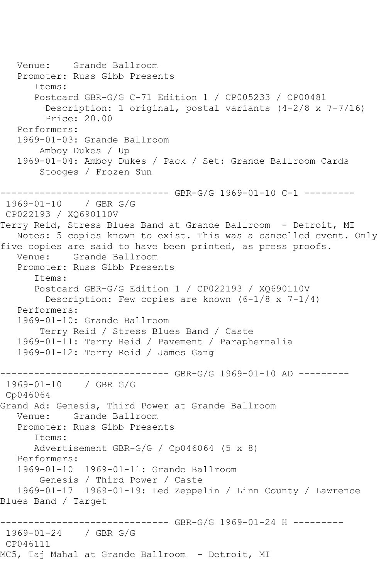```
 Venue: Grande Ballroom
   Promoter: Russ Gibb Presents
      Items:
      Postcard GBR-G/G C-71 Edition 1 / CP005233 / CP00481
         Description: 1 original, postal variants (4-2/8 x 7-7/16)
         Price: 20.00
   Performers:
   1969-01-03: Grande Ballroom
       Amboy Dukes / Up
   1969-01-04: Amboy Dukes / Pack / Set: Grande Ballroom Cards
        Stooges / Frozen Sun
------------------------------ GBR-G/G 1969-01-10 C-1 ---------
1969-01-10 / GBR G/G
CP022193 / XQ690110V
Terry Reid, Stress Blues Band at Grande Ballroom - Detroit, MI
   Notes: 5 copies known to exist. This was a cancelled event. Only 
five copies are said to have been printed, as press proofs.
   Venue: Grande Ballroom
   Promoter: Russ Gibb Presents
      Items:
      Postcard GBR-G/G Edition 1 / CP022193 / XQ690110V
         Description: Few copies are known (6-1/8 x 7-1/4)
   Performers:
   1969-01-10: Grande Ballroom
        Terry Reid / Stress Blues Band / Caste
   1969-01-11: Terry Reid / Pavement / Paraphernalia
   1969-01-12: Terry Reid / James Gang
------------------------------ GBR-G/G 1969-01-10 AD ---------
1969-01-10 / GBR G/G
Cp046064
Grand Ad: Genesis, Third Power at Grande Ballroom
   Venue: Grande Ballroom
   Promoter: Russ Gibb Presents
      Items:
      Advertisement GBR-G/G / Cp046064 (5 x 8)
   Performers:
   1969-01-10 1969-01-11: Grande Ballroom
       Genesis / Third Power / Caste
   1969-01-17 1969-01-19: Led Zeppelin / Linn County / Lawrence 
Blues Band / Target
------------------------------ GBR-G/G 1969-01-24 H ---------
1969-01-24 / GBR G/G
CP046111
MC5, Taj Mahal at Grande Ballroom - Detroit, MI
```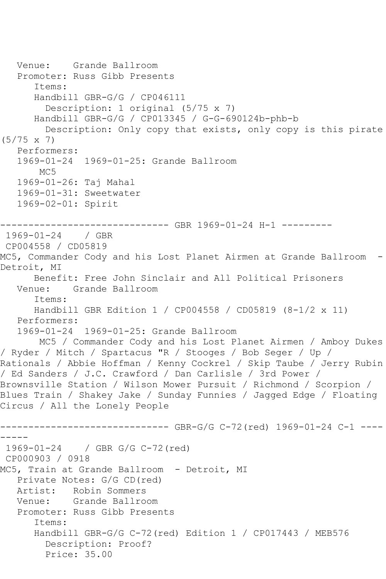```
 Venue: Grande Ballroom
   Promoter: Russ Gibb Presents
       Items:
       Handbill GBR-G/G / CP046111
         Description: 1 original (5/75 x 7)
       Handbill GBR-G/G / CP013345 / G-G-690124b-phb-b
         Description: Only copy that exists, only copy is this pirate 
(5/75 x 7)
   Performers:
   1969-01-24 1969-01-25: Grande Ballroom
      M<sub>C</sub>5
   1969-01-26: Taj Mahal
   1969-01-31: Sweetwater
   1969-02-01: Spirit
------------------------------ GBR 1969-01-24 H-1 ---------
1969-01-24 / GBR 
CP004558 / CD05819
MC5, Commander Cody and his Lost Planet Airmen at Grande Ballroom -
Detroit, MI
      Benefit: Free John Sinclair and All Political Prisoners
   Venue: Grande Ballroom
       Items:
      Handbill GBR Edition 1 / CP004558 / CD05819 (8-1/2 x 11)
   Performers:
   1969-01-24 1969-01-25: Grande Ballroom
       MC5 / Commander Cody and his Lost Planet Airmen / Amboy Dukes 
/ Ryder / Mitch / Spartacus "R / Stooges / Bob Seger / Up / 
Rationals / Abbie Hoffman / Kenny Cockrel / Skip Taube / Jerry Rubin 
/ Ed Sanders / J.C. Crawford / Dan Carlisle / 3rd Power / 
Brownsville Station / Wilson Mower Pursuit / Richmond / Scorpion / 
Blues Train / Shakey Jake / Sunday Funnies / Jagged Edge / Floating 
Circus / All the Lonely People
    ------------------------------ GBR-G/G C-72(red) 1969-01-24 C-1 ----
-----
1969-01-24 / GBR G/G C-72(red)
CP000903 / 0918
MC5, Train at Grande Ballroom - Detroit, MI
   Private Notes: G/G CD(red)
   Artist: Robin Sommers
   Venue: Grande Ballroom
   Promoter: Russ Gibb Presents
       Items:
       Handbill GBR-G/G C-72(red) Edition 1 / CP017443 / MEB576
         Description: Proof?
         Price: 35.00
```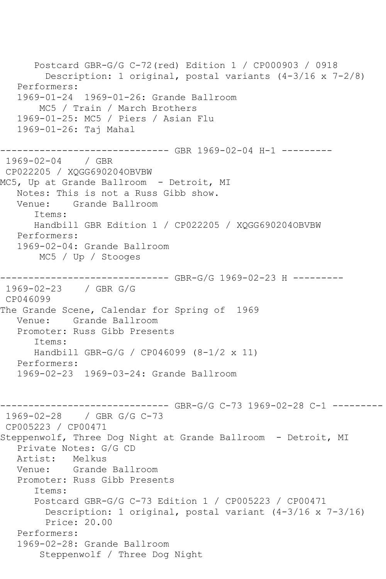Postcard GBR-G/G C-72(red) Edition 1 / CP000903 / 0918 Description: 1 original, postal variants (4-3/16 x 7-2/8) Performers: 1969-01-24 1969-01-26: Grande Ballroom MC5 / Train / March Brothers 1969-01-25: MC5 / Piers / Asian Flu 1969-01-26: Taj Mahal ------------------------------ GBR 1969-02-04 H-1 --------- 1969-02-04 / GBR CP022205 / XQGG690204OBVBW MC5, Up at Grande Ballroom - Detroit, MI Notes: This is not a Russ Gibb show. Venue: Grande Ballroom Items: Handbill GBR Edition 1 / CP022205 / XQGG690204OBVBW Performers: 1969-02-04: Grande Ballroom MC5 / Up / Stooges ------------------------------ GBR-G/G 1969-02-23 H --------- 1969-02-23 / GBR G/G CP046099 The Grande Scene, Calendar for Spring of 1969 Venue: Grande Ballroom Promoter: Russ Gibb Presents Items: Handbill GBR-G/G / CP046099 (8-1/2 x 11) Performers: 1969-02-23 1969-03-24: Grande Ballroom ------------------------------ GBR-G/G C-73 1969-02-28 C-1 --------- 1969-02-28 / GBR G/G C-73 CP005223 / CP00471 Steppenwolf, Three Dog Night at Grande Ballroom - Detroit, MI Private Notes: G/G CD Artist: Melkus Venue: Grande Ballroom Promoter: Russ Gibb Presents Items: Postcard GBR-G/G C-73 Edition 1 / CP005223 / CP00471 Description: 1 original, postal variant (4-3/16 x 7-3/16) Price: 20.00 Performers: 1969-02-28: Grande Ballroom Steppenwolf / Three Dog Night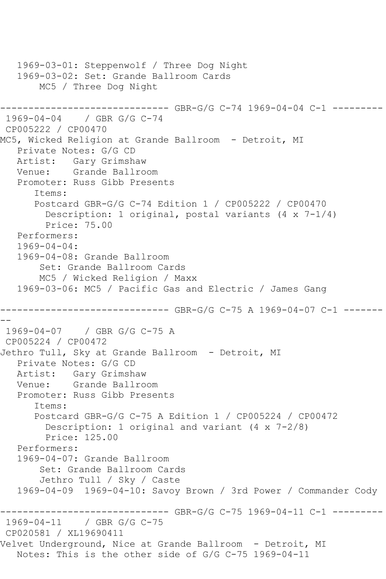```
 1969-03-01: Steppenwolf / Three Dog Night
   1969-03-02: Set: Grande Ballroom Cards
       MC5 / Three Dog Night
------------------------------ GBR-G/G C-74 1969-04-04 C-1 ---------
1969-04-04 / GBR G/G C-74
CP005222 / CP00470
MC5, Wicked Religion at Grande Ballroom - Detroit, MI
   Private Notes: G/G CD
   Artist: Gary Grimshaw
   Venue: Grande Ballroom
   Promoter: Russ Gibb Presents
      Items:
      Postcard GBR-G/G C-74 Edition 1 / CP005222 / CP00470
         Description: 1 original, postal variants (4 x 7-1/4)
         Price: 75.00
   Performers:
   1969-04-04:
   1969-04-08: Grande Ballroom
        Set: Grande Ballroom Cards
       MC5 / Wicked Religion / Maxx
   1969-03-06: MC5 / Pacific Gas and Electric / James Gang
------------------------------ GBR-G/G C-75 A 1969-04-07 C-1 -------
--
1969-04-07 / GBR G/G C-75 A
CP005224 / CP00472
Jethro Tull, Sky at Grande Ballroom - Detroit, MI
   Private Notes: G/G CD
   Artist: Gary Grimshaw
   Venue: Grande Ballroom
   Promoter: Russ Gibb Presents
      Items:
      Postcard GBR-G/G C-75 A Edition 1 / CP005224 / CP00472
         Description: 1 original and variant (4 x 7-2/8)
         Price: 125.00
   Performers:
   1969-04-07: Grande Ballroom
        Set: Grande Ballroom Cards
        Jethro Tull / Sky / Caste
   1969-04-09 1969-04-10: Savoy Brown / 3rd Power / Commander Cody
------------------------------ GBR-G/G C-75 1969-04-11 C-1 ---------
1969-04-11 / GBR G/G C-75
CP020581 / XL19690411
Velvet Underground, Nice at Grande Ballroom - Detroit, MI
   Notes: This is the other side of G/G C-75 1969-04-11
```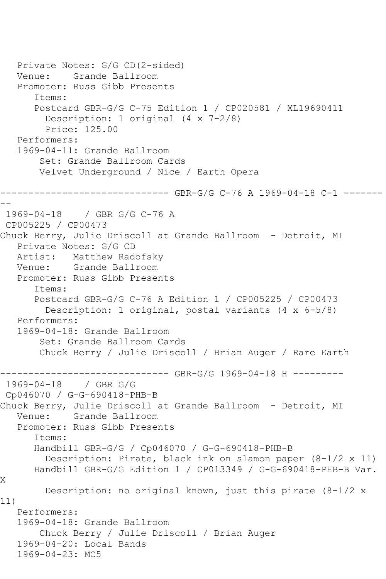```
 Private Notes: G/G CD(2-sided)
   Venue: Grande Ballroom
   Promoter: Russ Gibb Presents
       Items:
       Postcard GBR-G/G C-75 Edition 1 / CP020581 / XL19690411
         Description: 1 original (4 x 7-2/8)
         Price: 125.00
   Performers:
   1969-04-11: Grande Ballroom
        Set: Grande Ballroom Cards
        Velvet Underground / Nice / Earth Opera
------------------------------ GBR-G/G C-76 A 1969-04-18 C-1 -------
--
1969-04-18 / GBR G/G C-76 A
CP005225 / CP00473
Chuck Berry, Julie Driscoll at Grande Ballroom - Detroit, MI
   Private Notes: G/G CD
   Artist: Matthew Radofsky
   Venue: Grande Ballroom
   Promoter: Russ Gibb Presents
       Items:
      Postcard GBR-G/G C-76 A Edition 1 / CP005225 / CP00473
         Description: 1 original, postal variants (4 x 6-5/8)
   Performers:
   1969-04-18: Grande Ballroom
        Set: Grande Ballroom Cards
        Chuck Berry / Julie Driscoll / Brian Auger / Rare Earth
------------------------------ GBR-G/G 1969-04-18 H ---------
1969-04-18 / GBR G/G
Cp046070 / G-G-690418-PHB-B
Chuck Berry, Julie Driscoll at Grande Ballroom - Detroit, MI
   Venue: Grande Ballroom
   Promoter: Russ Gibb Presents
       Items:
       Handbill GBR-G/G / Cp046070 / G-G-690418-PHB-B
         Description: Pirate, black ink on slamon paper (8-1/2 x 11)
      Handbill GBR-G/G Edition 1 / CP013349 / G-G-690418-PHB-B Var. 
X
         Description: no original known, just this pirate (8-1/2 x 
11)
   Performers:
   1969-04-18: Grande Ballroom
        Chuck Berry / Julie Driscoll / Brian Auger
   1969-04-20: Local Bands
   1969-04-23: MC5
```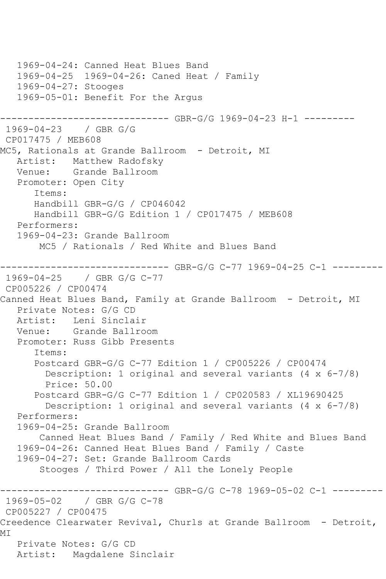```
 1969-04-24: Canned Heat Blues Band
   1969-04-25 1969-04-26: Caned Heat / Family
   1969-04-27: Stooges
   1969-05-01: Benefit For the Argus
       ------------------------------ GBR-G/G 1969-04-23 H-1 ---------
1969-04-23 / GBR G/G
CP017475 / MEB608
MC5, Rationals at Grande Ballroom - Detroit, MI
    Artist: Matthew Radofsky
   Venue: Grande Ballroom
    Promoter: Open City
       Items:
       Handbill GBR-G/G / CP046042
       Handbill GBR-G/G Edition 1 / CP017475 / MEB608
   Performers:
    1969-04-23: Grande Ballroom
        MC5 / Rationals / Red White and Blues Band
------------------------------ GBR-G/G C-77 1969-04-25 C-1 ---------
1969-04-25 / GBR G/G C-77
CP005226 / CP00474
Canned Heat Blues Band, Family at Grande Ballroom - Detroit, MI
    Private Notes: G/G CD
  Artist: Leni Sinclair<br>Venue: Grande Ballro
            Grande Ballroom
    Promoter: Russ Gibb Presents
       Items:
       Postcard GBR-G/G C-77 Edition 1 / CP005226 / CP00474
         Description: 1 original and several variants (4 x 6-7/8)
         Price: 50.00
       Postcard GBR-G/G C-77 Edition 1 / CP020583 / XL19690425
         Description: 1 original and several variants (4 x 6-7/8)
   Performers:
   1969-04-25: Grande Ballroom
        Canned Heat Blues Band / Family / Red White and Blues Band
    1969-04-26: Canned Heat Blues Band / Family / Caste
    1969-04-27: Set: Grande Ballroom Cards
        Stooges / Third Power / All the Lonely People
              ------------------------------ GBR-G/G C-78 1969-05-02 C-1 ---------
1969-05-02 / GBR G/G C-78
CP005227 / CP00475
Creedence Clearwater Revival, Churls at Grande Ballroom - Detroit, 
MI
   Private Notes: G/G CD
   Artist: Magdalene Sinclair
```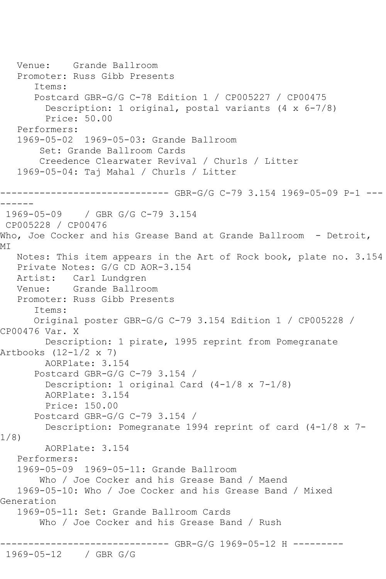Venue: Grande Ballroom Promoter: Russ Gibb Presents Items: Postcard GBR-G/G C-78 Edition 1 / CP005227 / CP00475 Description: 1 original, postal variants (4 x 6-7/8) Price: 50.00 Performers: 1969-05-02 1969-05-03: Grande Ballroom Set: Grande Ballroom Cards Creedence Clearwater Revival / Churls / Litter 1969-05-04: Taj Mahal / Churls / Litter ------------------------------ GBR-G/G C-79 3.154 1969-05-09 P-1 --- ------ 1969-05-09 / GBR G/G C-79 3.154 CP005228 / CP00476 Who, Joe Cocker and his Grease Band at Grande Ballroom - Detroit, MI Notes: This item appears in the Art of Rock book, plate no. 3.154 Private Notes: G/G CD AOR-3.154 Artist: Carl Lundgren Venue: Grande Ballroom Promoter: Russ Gibb Presents Items: Original poster GBR-G/G C-79 3.154 Edition 1 / CP005228 / CP00476 Var. X Description: 1 pirate, 1995 reprint from Pomegranate Artbooks (12-1/2 x 7) AORPlate: 3.154 Postcard GBR-G/G C-79 3.154 / Description: 1 original Card (4-1/8 x 7-1/8) AORPlate: 3.154 Price: 150.00 Postcard GBR-G/G C-79 3.154 / Description: Pomegranate 1994 reprint of card (4-1/8 x 7- 1/8) AORPlate: 3.154 Performers: 1969-05-09 1969-05-11: Grande Ballroom Who / Joe Cocker and his Grease Band / Maend 1969-05-10: Who / Joe Cocker and his Grease Band / Mixed Generation 1969-05-11: Set: Grande Ballroom Cards Who / Joe Cocker and his Grease Band / Rush ------------------------------ GBR-G/G 1969-05-12 H --------- 1969-05-12 / GBR G/G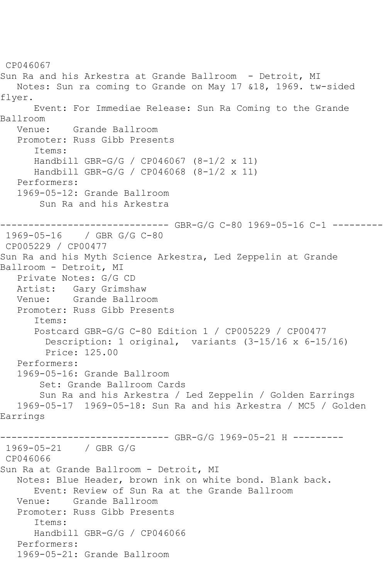CP046067 Sun Ra and his Arkestra at Grande Ballroom - Detroit, MI Notes: Sun ra coming to Grande on May 17 &18, 1969. tw-sided flyer. Event: For Immediae Release: Sun Ra Coming to the Grande Ballroom Venue: Grande Ballroom Promoter: Russ Gibb Presents Items: Handbill GBR-G/G / CP046067 (8-1/2 x 11) Handbill GBR-G/G / CP046068 (8-1/2 x 11) Performers: 1969-05-12: Grande Ballroom Sun Ra and his Arkestra ------------------------------ GBR-G/G C-80 1969-05-16 C-1 --------- 1969-05-16 / GBR G/G C-80 CP005229 / CP00477 Sun Ra and his Myth Science Arkestra, Led Zeppelin at Grande Ballroom - Detroit, MI Private Notes: G/G CD Artist: Gary Grimshaw Venue: Grande Ballroom Promoter: Russ Gibb Presents Items: Postcard GBR-G/G C-80 Edition 1 / CP005229 / CP00477 Description: 1 original, variants (3-15/16 x 6-15/16) Price: 125.00 Performers: 1969-05-16: Grande Ballroom Set: Grande Ballroom Cards Sun Ra and his Arkestra / Led Zeppelin / Golden Earrings 1969-05-17 1969-05-18: Sun Ra and his Arkestra / MC5 / Golden Earrings ------------------------------ GBR-G/G 1969-05-21 H --------- 1969-05-21 / GBR G/G CP046066 Sun Ra at Grande Ballroom - Detroit, MI Notes: Blue Header, brown ink on white bond. Blank back. Event: Review of Sun Ra at the Grande Ballroom Venue: Grande Ballroom Promoter: Russ Gibb Presents Items: Handbill GBR-G/G / CP046066 Performers: 1969-05-21: Grande Ballroom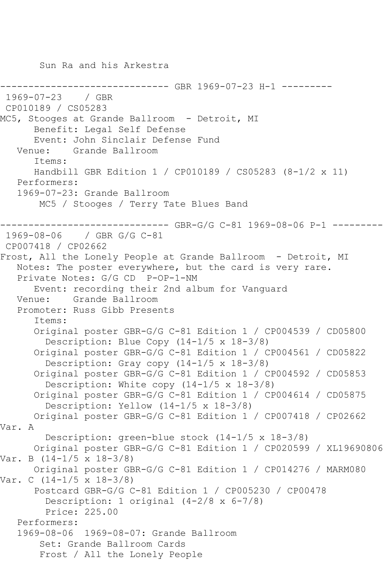Sun Ra and his Arkestra ---------- GBR 1969-07-23 H-1 ---------1969-07-23 / GBR CP010189 / CS05283 MC5, Stooges at Grande Ballroom - Detroit, MI Benefit: Legal Self Defense Event: John Sinclair Defense Fund Venue: Grande Ballroom Items: Handbill GBR Edition 1 / CP010189 / CS05283 (8-1/2 x 11) Performers: 1969-07-23: Grande Ballroom MC5 / Stooges / Terry Tate Blues Band ------------------------------ GBR-G/G C-81 1969-08-06 P-1 --------- 1969-08-06 / GBR G/G C-81 CP007418 / CP02662 Frost, All the Lonely People at Grande Ballroom - Detroit, MI Notes: The poster everywhere, but the card is very rare. Private Notes: G/G CD P-OP-1-NM Event: recording their 2nd album for Vanguard Venue: Grande Ballroom Promoter: Russ Gibb Presents Items: Original poster GBR-G/G C-81 Edition 1 / CP004539 / CD05800 Description: Blue Copy (14-1/5 x 18-3/8) Original poster GBR-G/G C-81 Edition 1 / CP004561 / CD05822 Description: Gray copy (14-1/5 x 18-3/8) Original poster GBR-G/G C-81 Edition 1 / CP004592 / CD05853 Description: White copy (14-1/5 x 18-3/8) Original poster GBR-G/G C-81 Edition 1 / CP004614 / CD05875 Description: Yellow (14-1/5 x 18-3/8) Original poster GBR-G/G C-81 Edition 1 / CP007418 / CP02662 Var. A Description: green-blue stock (14-1/5 x 18-3/8) Original poster GBR-G/G C-81 Edition 1 / CP020599 / XL19690806 Var. B (14-1/5 x 18-3/8) Original poster GBR-G/G C-81 Edition 1 / CP014276 / MARM080 Var. C (14-1/5 x 18-3/8) Postcard GBR-G/G C-81 Edition 1 / CP005230 / CP00478 Description: 1 original (4-2/8 x 6-7/8) Price: 225.00 Performers: 1969-08-06 1969-08-07: Grande Ballroom Set: Grande Ballroom Cards Frost / All the Lonely People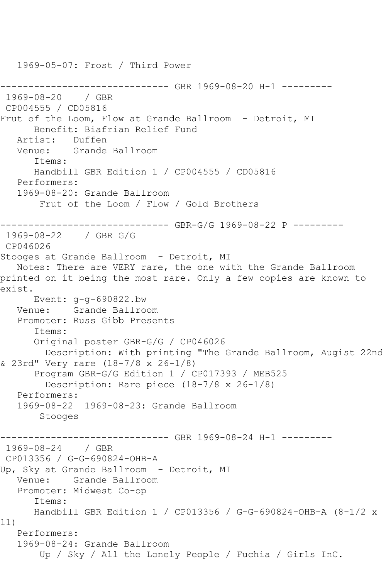1969-05-07: Frost / Third Power ---------- GBR 1969-08-20 H-1 ---------1969-08-20 / GBR CP004555 / CD05816 Frut of the Loom, Flow at Grande Ballroom - Detroit, MI Benefit: Biafrian Relief Fund Artist: Duffen Venue: Grande Ballroom Items: Handbill GBR Edition 1 / CP004555 / CD05816 Performers: 1969-08-20: Grande Ballroom Frut of the Loom / Flow / Gold Brothers ------------------------------ GBR-G/G 1969-08-22 P --------- 1969-08-22 / GBR G/G CP046026 Stooges at Grande Ballroom - Detroit, MI Notes: There are VERY rare, the one with the Grande Ballroom printed on it being the most rare. Only a few copies are known to exist. Event: g-g-690822.bw Venue: Grande Ballroom Promoter: Russ Gibb Presents Items: Original poster GBR-G/G / CP046026 Description: With printing "The Grande Ballroom, Augist 22nd & 23rd" Very rare (18-7/8 x 26-1/8) Program GBR-G/G Edition 1 / CP017393 / MEB525 Description: Rare piece (18-7/8 x 26-1/8) Performers: 1969-08-22 1969-08-23: Grande Ballroom Stooges ------------------------------ GBR 1969-08-24 H-1 --------- 1969-08-24 / GBR CP013356 / G-G-690824-OHB-A Up, Sky at Grande Ballroom - Detroit, MI Venue: Grande Ballroom Promoter: Midwest Co-op Items: Handbill GBR Edition 1 / CP013356 / G-G-690824-OHB-A (8-1/2 x 11) Performers: 1969-08-24: Grande Ballroom Up / Sky / All the Lonely People / Fuchia / Girls InC.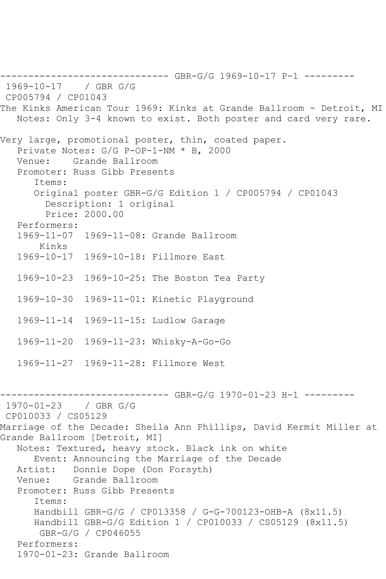------------------------------ GBR-G/G 1969-10-17 P-1 --------- 1969-10-17 / GBR G/G CP005794 / CP01043 The Kinks American Tour 1969: Kinks at Grande Ballroom - Detroit, MI Notes: Only 3-4 known to exist. Both poster and card very rare. Very large, promotional poster, thin, coated paper. Private Notes: G/G P-OP-1-NM \* B, 2000 Venue: Grande Ballroom Promoter: Russ Gibb Presents Items: Original poster GBR-G/G Edition 1 / CP005794 / CP01043 Description: 1 original Price: 2000.00 Performers: 1969-11-07 1969-11-08: Grande Ballroom Kinks 1969-10-17 1969-10-18: Fillmore East 1969-10-23 1969-10-25: The Boston Tea Party 1969-10-30 1969-11-01: Kinetic Playground 1969-11-14 1969-11-15: Ludlow Garage 1969-11-20 1969-11-23: Whisky-A-Go-Go 1969-11-27 1969-11-28: Fillmore West ------- GBR-G/G 1970-01-23 H-1 ---------1970-01-23 / GBR G/G CP010033 / CS05129 Marriage of the Decade: Sheila Ann Phillips, David Kermit Miller at Grande Ballroom [Detroit, MI] Notes: Textured, heavy stock. Black ink on white Event: Announcing the Marriage of the Decade Artist: Donnie Dope (Don Forsyth)<br>Venue: Grande Ballroom Grande Ballroom Promoter: Russ Gibb Presents Items: Handbill GBR-G/G / CP013358 / G-G-700123-OHB-A (8x11.5) Handbill GBR-G/G Edition 1 / CP010033 / CS05129 (8x11.5) GBR-G/G / CP046055 Performers: 1970-01-23: Grande Ballroom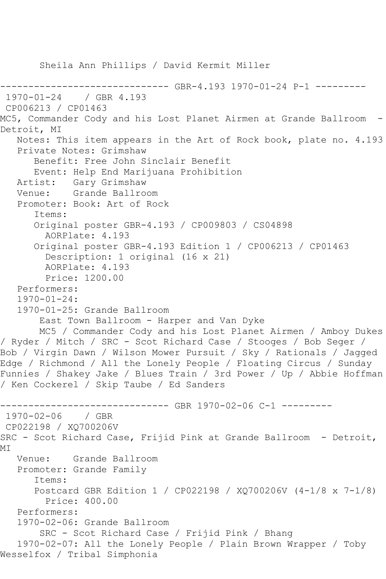```
 Sheila Ann Phillips / David Kermit Miller
                 ------------------------------ GBR-4.193 1970-01-24 P-1 ---------
1970-01-24 / GBR 4.193
CP006213 / CP01463
MC5, Commander Cody and his Lost Planet Airmen at Grande Ballroom -
Detroit, MI
    Notes: This item appears in the Art of Rock book, plate no. 4.193
    Private Notes: Grimshaw
       Benefit: Free John Sinclair Benefit
       Event: Help End Marijuana Prohibition
  Artist: Gary Grimshaw<br>Venue: Grande Ballro
            Grande Ballroom
    Promoter: Book: Art of Rock
       Items:
       Original poster GBR-4.193 / CP009803 / CS04898
         AORPlate: 4.193 
       Original poster GBR-4.193 Edition 1 / CP006213 / CP01463
         Description: 1 original (16 x 21)
         AORPlate: 4.193 
         Price: 1200.00
    Performers:
    1970-01-24:
    1970-01-25: Grande Ballroom
        East Town Ballroom - Harper and Van Dyke
        MC5 / Commander Cody and his Lost Planet Airmen / Amboy Dukes 
/ Ryder / Mitch / SRC - Scot Richard Case / Stooges / Bob Seger / 
Bob / Virgin Dawn / Wilson Mower Pursuit / Sky / Rationals / Jagged 
Edge / Richmond / All the Lonely People / Floating Circus / Sunday 
Funnies / Shakey Jake / Blues Train / 3rd Power / Up / Abbie Hoffman 
/ Ken Cockerel / Skip Taube / Ed Sanders
------------------------------ GBR 1970-02-06 C-1 ---------
1970-02-06 / GBR 
CP022198 / XQ700206V
SRC - Scot Richard Case, Frijid Pink at Grande Ballroom - Detroit,
MI
   Venue: Grande Ballroom
   Promoter: Grande Family
       Items:
       Postcard GBR Edition 1 / CP022198 / XQ700206V (4-1/8 x 7-1/8)
         Price: 400.00
   Performers:
    1970-02-06: Grande Ballroom
        SRC - Scot Richard Case / Frijid Pink / Bhang
    1970-02-07: All the Lonely People / Plain Brown Wrapper / Toby 
Wesselfox / Tribal Simphonia
```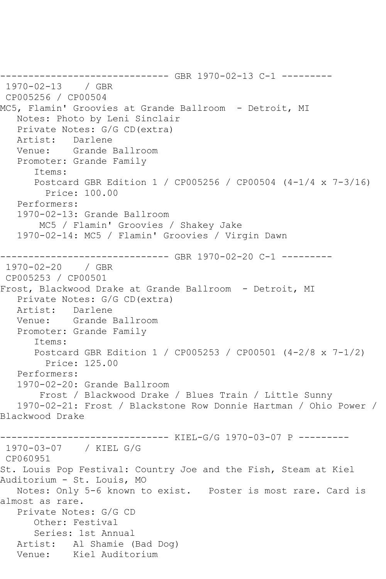------------------------------ GBR 1970-02-13 C-1 --------- 1970-02-13 / GBR CP005256 / CP00504 MC5, Flamin' Groovies at Grande Ballroom - Detroit, MI Notes: Photo by Leni Sinclair Private Notes: G/G CD(extra) Artist: Darlene Venue: Grande Ballroom Promoter: Grande Family Items: Postcard GBR Edition 1 / CP005256 / CP00504 (4-1/4 x 7-3/16) Price: 100.00 Performers: 1970-02-13: Grande Ballroom MC5 / Flamin' Groovies / Shakey Jake 1970-02-14: MC5 / Flamin' Groovies / Virgin Dawn ------------------------------ GBR 1970-02-20 C-1 --------- 1970-02-20 / GBR CP005253 / CP00501 Frost, Blackwood Drake at Grande Ballroom - Detroit, MI Private Notes: G/G CD(extra) Artist: Darlene Venue: Grande Ballroom Promoter: Grande Family Items: Postcard GBR Edition 1 / CP005253 / CP00501 (4-2/8 x 7-1/2) Price: 125.00 Performers: 1970-02-20: Grande Ballroom Frost / Blackwood Drake / Blues Train / Little Sunny 1970-02-21: Frost / Blackstone Row Donnie Hartman / Ohio Power / Blackwood Drake ------------------------------ KIEL-G/G 1970-03-07 P --------- 1970-03-07 / KIEL G/G CP060951 St. Louis Pop Festival: Country Joe and the Fish, Steam at Kiel Auditorium - St. Louis, MO Notes: Only 5-6 known to exist. Poster is most rare. Card is almost as rare. Private Notes: G/G CD Other: Festival Series: 1st Annual Artist: Al Shamie (Bad Dog) Venue: Kiel Auditorium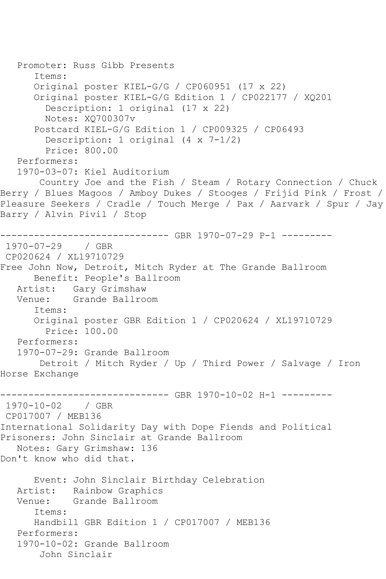```
 Promoter: Russ Gibb Presents
       Items:
       Original poster KIEL-G/G / CP060951 (17 x 22)
       Original poster KIEL-G/G Edition 1 / CP022177 / XQ201
         Description: 1 original (17 x 22)
         Notes: XQ700307v
       Postcard KIEL-G/G Edition 1 / CP009325 / CP06493
         Description: 1 original (4 x 7-1/2)
         Price: 800.00
   Performers:
   1970-03-07: Kiel Auditorium
        Country Joe and the Fish / Steam / Rotary Connection / Chuck 
Berry / Blues Magoos / Amboy Dukes / Stooges / Frijid Pink / Frost / 
Pleasure Seekers / Cradle / Touch Merge / Pax / Aarvark / Spur / Jay 
Barry / Alvin Pivil / Stop
------------------------------ GBR 1970-07-29 P-1 ---------
1970-07-29 / GBR 
CP020624 / XL19710729
Free John Now, Detroit, Mitch Ryder at The Grande Ballroom
      Benefit: People's Ballroom
   Artist: Gary Grimshaw
   Venue: Grande Ballroom
       Items:
       Original poster GBR Edition 1 / CP020624 / XL19710729
        Price: 100.00
   Performers:
   1970-07-29: Grande Ballroom
        Detroit / Mitch Ryder / Up / Third Power / Salvage / Iron 
Horse Exchange
------------------------------ GBR 1970-10-02 H-1 ---------
1970-10-02 / GBR 
CP017007 / MEB136
International Solidarity Day with Dope Fiends and Political 
Prisoners: John Sinclair at Grande Ballroom
   Notes: Gary Grimshaw: 136
Don't know who did that.
       Event: John Sinclair Birthday Celebration
   Artist: Rainbow Graphics
   Venue: Grande Ballroom
       Items:
      Handbill GBR Edition 1 / CP017007 / MEB136
   Performers:
   1970-10-02: Grande Ballroom
        John Sinclair
```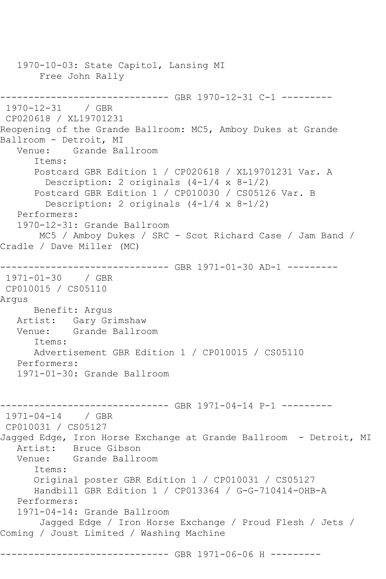1970-10-03: State Capitol, Lansing MI Free John Rally ------------------------------ GBR 1970-12-31 C-1 --------- 1970-12-31 / GBR CP020618 / XL19701231 Reopening of the Grande Ballroom: MC5, Amboy Dukes at Grande Ballroom - Detroit, MI Venue: Grande Ballroom Items: Postcard GBR Edition 1 / CP020618 / XL19701231 Var. A Description: 2 originals (4-1/4 x 8-1/2) Postcard GBR Edition 1 / CP010030 / CS05126 Var. B Description: 2 originals (4-1/4 x 8-1/2) Performers: 1970-12-31: Grande Ballroom MC5 / Amboy Dukes / SRC - Scot Richard Case / Jam Band / Cradle / Dave Miller (MC) ------------------------------ GBR 1971-01-30 AD-1 --------- 1971-01-30 / GBR CP010015 / CS05110 Argus Benefit: Argus Artist: Gary Grimshaw<br>Venue: Grande Ballro Grande Ballroom Items: Advertisement GBR Edition 1 / CP010015 / CS05110 Performers: 1971-01-30: Grande Ballroom ------------------------------ GBR 1971-04-14 P-1 --------- 1971-04-14 / GBR CP010031 / CS05127 Jagged Edge, Iron Horse Exchange at Grande Ballroom - Detroit, MI Artist: Bruce Gibson Venue: Grande Ballroom Items: Original poster GBR Edition 1 / CP010031 / CS05127 Handbill GBR Edition 1 / CP013364 / G-G-710414-OHB-A Performers: 1971-04-14: Grande Ballroom Jagged Edge / Iron Horse Exchange / Proud Flesh / Jets / Coming / Joust Limited / Washing Machine ------------------ GBR 1971-06-06 H ---------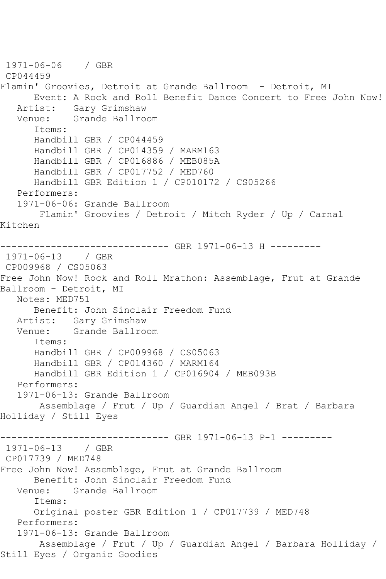1971-06-06 / GBR CP044459 Flamin' Groovies, Detroit at Grande Ballroom - Detroit, MI Event: A Rock and Roll Benefit Dance Concert to Free John Now! Artist: Gary Grimshaw Venue: Grande Ballroom Items: Handbill GBR / CP044459 Handbill GBR / CP014359 / MARM163 Handbill GBR / CP016886 / MEB085A Handbill GBR / CP017752 / MED760 Handbill GBR Edition 1 / CP010172 / CS05266 Performers: 1971-06-06: Grande Ballroom Flamin' Groovies / Detroit / Mitch Ryder / Up / Carnal Kitchen ------------------------------ GBR 1971-06-13 H --------- 1971-06-13 / GBR CP009968 / CS05063 Free John Now! Rock and Roll Mrathon: Assemblage, Frut at Grande Ballroom - Detroit, MI Notes: MED751 Benefit: John Sinclair Freedom Fund Artist: Gary Grimshaw Venue: Grande Ballroom Items: Handbill GBR / CP009968 / CS05063 Handbill GBR / CP014360 / MARM164 Handbill GBR Edition 1 / CP016904 / MEB093B Performers: 1971-06-13: Grande Ballroom Assemblage / Frut / Up / Guardian Angel / Brat / Barbara Holliday / Still Eyes ----------------------------- GBR 1971-06-13 P-1 ---------1971-06-13 / GBR CP017739 / MED748 Free John Now! Assemblage, Frut at Grande Ballroom Benefit: John Sinclair Freedom Fund<br>Venue: Grande Ballroom Venue: Grande Ballroom Items: Original poster GBR Edition 1 / CP017739 / MED748 Performers: 1971-06-13: Grande Ballroom Assemblage / Frut / Up / Guardian Angel / Barbara Holliday / Still Eyes / Organic Goodies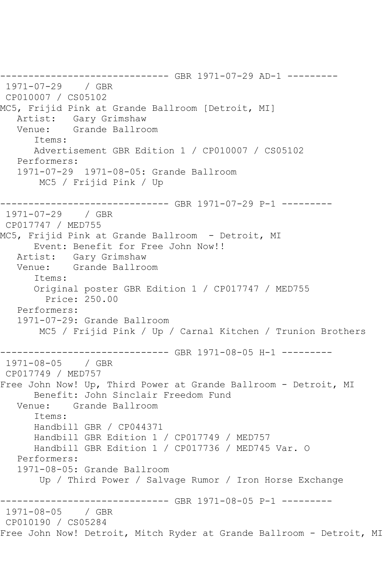------------------------------ GBR 1971-07-29 AD-1 --------- 1971-07-29 / GBR CP010007 / CS05102 MC5, Frijid Pink at Grande Ballroom [Detroit, MI] Artist: Gary Grimshaw Venue: Grande Ballroom Items: Advertisement GBR Edition 1 / CP010007 / CS05102 Performers: 1971-07-29 1971-08-05: Grande Ballroom MC5 / Frijid Pink / Up ------------------------------ GBR 1971-07-29 P-1 --------- 1971-07-29 / GBR CP017747 / MED755 MC5, Frijid Pink at Grande Ballroom - Detroit, MI Event: Benefit for Free John Now!!<br>Artist: Gary Grimshaw Gary Grimshaw Venue: Grande Ballroom Items: Original poster GBR Edition 1 / CP017747 / MED755 Price: 250.00 Performers: 1971-07-29: Grande Ballroom MC5 / Frijid Pink / Up / Carnal Kitchen / Trunion Brothers ------------------------------ GBR 1971-08-05 H-1 --------- 1971-08-05 / GBR CP017749 / MED757 Free John Now! Up, Third Power at Grande Ballroom - Detroit, MI Benefit: John Sinclair Freedom Fund Venue: Grande Ballroom Items: Handbill GBR / CP044371 Handbill GBR Edition 1 / CP017749 / MED757 Handbill GBR Edition 1 / CP017736 / MED745 Var. O Performers: 1971-08-05: Grande Ballroom Up / Third Power / Salvage Rumor / Iron Horse Exchange ------------------------------ GBR 1971-08-05 P-1 --------- 1971-08-05 / GBR CP010190 / CS05284 Free John Now! Detroit, Mitch Ryder at Grande Ballroom - Detroit, MI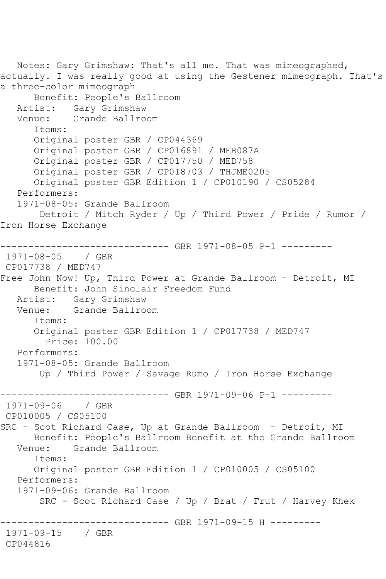Notes: Gary Grimshaw: That's all me. That was mimeographed, actually. I was really good at using the Gestener mimeograph. That's a three-color mimeograph Benefit: People's Ballroom Artist: Gary Grimshaw Venue: Grande Ballroom Items: Original poster GBR / CP044369 Original poster GBR / CP016891 / MEB087A Original poster GBR / CP017750 / MED758 Original poster GBR / CP018703 / THJME0205 Original poster GBR Edition 1 / CP010190 / CS05284 Performers: 1971-08-05: Grande Ballroom Detroit / Mitch Ryder / Up / Third Power / Pride / Rumor / Iron Horse Exchange ------------------------------ GBR 1971-08-05 P-1 --------- 1971-08-05 / GBR CP017738 / MED747 Free John Now! Up, Third Power at Grande Ballroom - Detroit, MI Benefit: John Sinclair Freedom Fund Artist: Gary Grimshaw<br>Venue: Grande Ballro Grande Ballroom Items: Original poster GBR Edition 1 / CP017738 / MED747 Price: 100.00 Performers: 1971-08-05: Grande Ballroom Up / Third Power / Savage Rumo / Iron Horse Exchange ------------------------------ GBR 1971-09-06 P-1 --------- 1971-09-06 / GBR CP010005 / CS05100 SRC - Scot Richard Case, Up at Grande Ballroom - Detroit, MI Benefit: People's Ballroom Benefit at the Grande Ballroom<br>Venue: Grande Ballroom Grande Ballroom Items: Original poster GBR Edition 1 / CP010005 / CS05100 Performers: 1971-09-06: Grande Ballroom SRC - Scot Richard Case / Up / Brat / Frut / Harvey Khek ------------------------------ GBR 1971-09-15 H ---------  $1971 - 09 - 15$ CP044816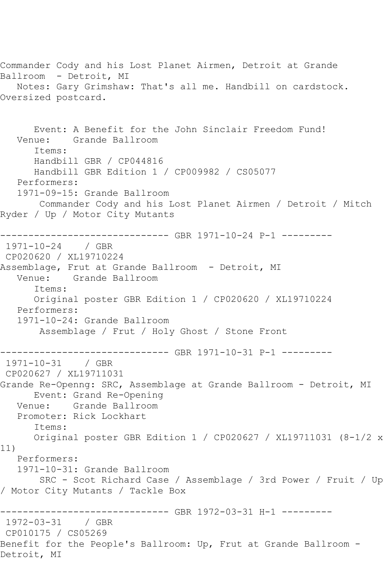Commander Cody and his Lost Planet Airmen, Detroit at Grande Ballroom - Detroit, MI Notes: Gary Grimshaw: That's all me. Handbill on cardstock. Oversized postcard. Event: A Benefit for the John Sinclair Freedom Fund! Venue: Grande Ballroom Items: Handbill GBR / CP044816 Handbill GBR Edition 1 / CP009982 / CS05077 Performers: 1971-09-15: Grande Ballroom Commander Cody and his Lost Planet Airmen / Detroit / Mitch Ryder / Up / Motor City Mutants ------------------------------ GBR 1971-10-24 P-1 --------- 1971-10-24 / GBR CP020620 / XL19710224 Assemblage, Frut at Grande Ballroom - Detroit, MI Venue: Grande Ballroom Items: Original poster GBR Edition 1 / CP020620 / XL19710224 Performers: 1971-10-24: Grande Ballroom Assemblage / Frut / Holy Ghost / Stone Front ------------------------------ GBR 1971-10-31 P-1 ---------  $1971 - 10 - 31$ CP020627 / XL19711031 Grande Re-Openng: SRC, Assemblage at Grande Ballroom - Detroit, MI Event: Grand Re-Opening Venue: Grande Ballroom Promoter: Rick Lockhart Items: Original poster GBR Edition 1 / CP020627 / XL19711031 (8-1/2 x 11) Performers: 1971-10-31: Grande Ballroom SRC - Scot Richard Case / Assemblage / 3rd Power / Fruit / Up / Motor City Mutants / Tackle Box ------------------------------ GBR 1972-03-31 H-1 --------- 1972-03-31 / GBR CP010175 / CS05269 Benefit for the People's Ballroom: Up, Frut at Grande Ballroom - Detroit, MI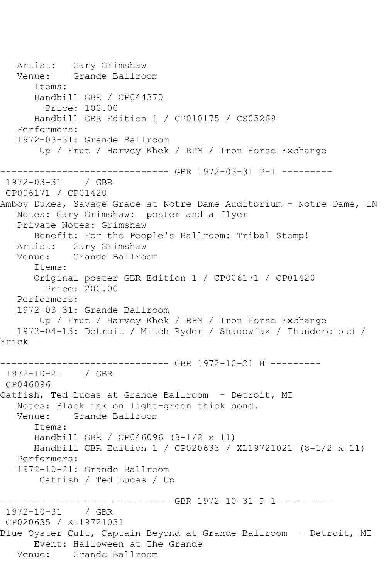Artist: Gary Grimshaw Venue: Grande Ballroom Items: Handbill GBR / CP044370 Price: 100.00 Handbill GBR Edition 1 / CP010175 / CS05269 Performers: 1972-03-31: Grande Ballroom Up / Frut / Harvey Khek / RPM / Iron Horse Exchange ----------------------------- GBR 1972-03-31 P-1 ---------1972-03-31 / GBR CP006171 / CP01420 Amboy Dukes, Savage Grace at Notre Dame Auditorium - Notre Dame, IN Notes: Gary Grimshaw: poster and a flyer Private Notes: Grimshaw Benefit: For the People's Ballroom: Tribal Stomp! Artist: Gary Grimshaw Venue: Grande Ballroom Items: Original poster GBR Edition 1 / CP006171 / CP01420 Price: 200.00 Performers: 1972-03-31: Grande Ballroom Up / Frut / Harvey Khek / RPM / Iron Horse Exchange 1972-04-13: Detroit / Mitch Ryder / Shadowfax / Thundercloud / Frick ----------- GBR 1972-10-21 H ---------1972-10-21 / GBR CP046096 Catfish, Ted Lucas at Grande Ballroom - Detroit, MI Notes: Black ink on light-green thick bond. Venue: Grande Ballroom Items: Handbill GBR / CP046096 (8-1/2 x 11) Handbill GBR Edition 1 / CP020633 / XL19721021 (8-1/2 x 11) Performers: 1972-10-21: Grande Ballroom Catfish / Ted Lucas / Up ------------------------------ GBR 1972-10-31 P-1 --------- 1972-10-31 / GBR CP020635 / XL19721031 Blue Oyster Cult, Captain Beyond at Grande Ballroom - Detroit, MI Event: Halloween at The Grande Venue: Grande Ballroom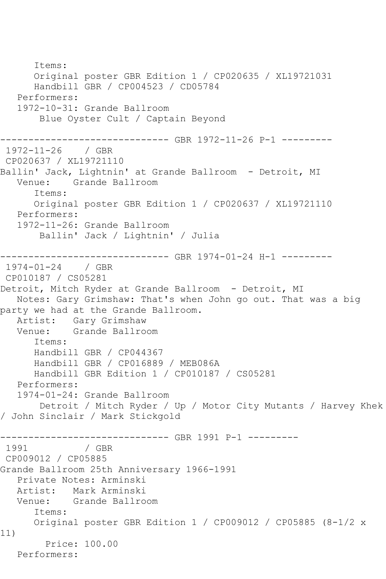Items: Original poster GBR Edition 1 / CP020635 / XL19721031 Handbill GBR / CP004523 / CD05784 Performers: 1972-10-31: Grande Ballroom Blue Oyster Cult / Captain Beyond ------------------------------ GBR 1972-11-26 P-1 --------- 1972-11-26 / GBR CP020637 / XL19721110 Ballin' Jack, Lightnin' at Grande Ballroom - Detroit, MI Venue: Grande Ballroom Items: Original poster GBR Edition 1 / CP020637 / XL19721110 Performers: 1972-11-26: Grande Ballroom Ballin' Jack / Lightnin' / Julia ------------------------------ GBR 1974-01-24 H-1 --------- 1974-01-24 / GBR CP010187 / CS05281 Detroit, Mitch Ryder at Grande Ballroom - Detroit, MI Notes: Gary Grimshaw: That's when John go out. That was a big party we had at the Grande Ballroom. Artist: Gary Grimshaw<br>Venue: Grande Ballro Grande Ballroom Items: Handbill GBR / CP044367 Handbill GBR / CP016889 / MEB086A Handbill GBR Edition 1 / CP010187 / CS05281 Performers: 1974-01-24: Grande Ballroom Detroit / Mitch Ryder / Up / Motor City Mutants / Harvey Khek / John Sinclair / Mark Stickgold ------------------------------ GBR 1991 P-1 --------- / GBR CP009012 / CP05885 Grande Ballroom 25th Anniversary 1966-1991 Private Notes: Arminski Artist: Mark Arminski Venue: Grande Ballroom Items: Original poster GBR Edition 1 / CP009012 / CP05885 (8-1/2 x 11) Price: 100.00 Performers: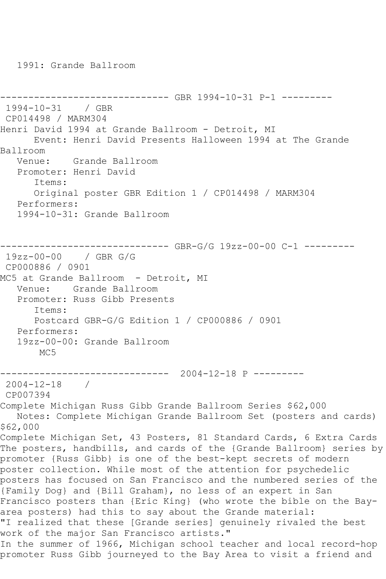```
------------------------------ GBR 1994-10-31 P-1 ---------
1994-10-31 / GBR 
CP014498 / MARM304
Henri David 1994 at Grande Ballroom - Detroit, MI
      Event: Henri David Presents Halloween 1994 at The Grande 
Ballroom
   Venue: Grande Ballroom
   Promoter: Henri David
      Items:
      Original poster GBR Edition 1 / CP014498 / MARM304
   Performers:
   1994-10-31: Grande Ballroom
------------------------------ GBR-G/G 19zz-00-00 C-1 ---------
19zz-00-00 / GBR G/G
CP000886 / 0901
MC5 at Grande Ballroom - Detroit, MI
   Venue: Grande Ballroom
   Promoter: Russ Gibb Presents
      Items:
      Postcard GBR-G/G Edition 1 / CP000886 / 0901
   Performers:
   19zz-00-00: Grande Ballroom
      MC<sub>5</sub>
------------------------------ 2004-12-18 P ---------
2004-12-18 / 
CP007394
Complete Michigan Russ Gibb Grande Ballroom Series $62,000
   Notes: Complete Michigan Grande Ballroom Set (posters and cards) 
$62,000
Complete Michigan Set, 43 Posters, 81 Standard Cards, 6 Extra Cards
The posters, handbills, and cards of the {Grande Ballroom} series by 
promoter {Russ Gibb} is one of the best-kept secrets of modern 
poster collection. While most of the attention for psychedelic 
posters has focused on San Francisco and the numbered series of the 
{Family Dog} and {Bill Graham}, no less of an expert in San 
Francisco posters than {Eric King} (who wrote the bible on the Bay-
area posters) had this to say about the Grande material:
"I realized that these [Grande series] genuinely rivaled the best 
work of the major San Francisco artists."
In the summer of 1966, Michigan school teacher and local record-hop 
promoter Russ Gibb journeyed to the Bay Area to visit a friend and
```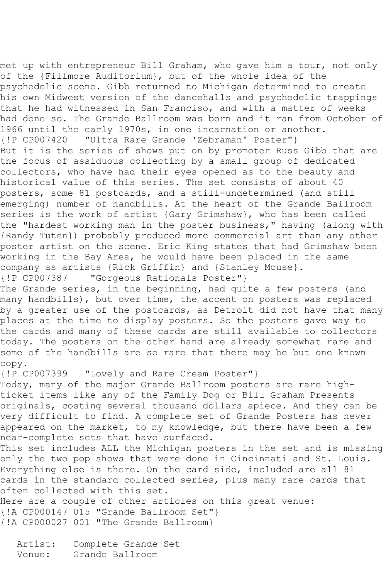met up with entrepreneur Bill Graham, who gave him a tour, not only of the {Fillmore Auditorium}, but of the whole idea of the psychedelic scene. Gibb returned to Michigan determined to create his own Midwest version of the dancehalls and psychedelic trappings that he had witnessed in San Franciso, and with a matter of weeks had done so. The Grande Ballroom was born and it ran from October of 1966 until the early 1970s, in one incarnation or another. {!P CP007420 "Ultra Rare Grande 'Zebraman' Poster"} But it is the series of shows put on by promoter Russ Gibb that are the focus of assiduous collecting by a small group of dedicated collectors, who have had their eyes opened as to the beauty and historical value of this series. The set consists of about 40 posters, some 81 postcards, and a still-undetermined (and still emerging) number of handbills. At the heart of the Grande Ballroom series is the work of artist {Gary Grimshaw}, who has been called the "hardest working man in the poster business," having (along with {Randy Tuten}) probably produced more commercial art than any other poster artist on the scene. Eric King states that had Grimshaw been working in the Bay Area, he would have been placed in the same company as artists {Rick Griffin} and {Stanley Mouse}. "Gorgeous Rationals Poster"} The Grande series, in the beginning, had quite a few posters (and many handbills), but over time, the accent on posters was replaced by a greater use of the postcards, as Detroit did not have that many places at the time to display posters. So the posters gave way to the cards and many of these cards are still available to collectors today. The posters on the other hand are already somewhat rare and some of the handbills are so rare that there may be but one known copy. {!P CP007399 "Lovely and Rare Cream Poster"} Today, many of the major Grande Ballroom posters are rare highticket items like any of the Family Dog or Bill Graham Presents originals, costing several thousand dollars apiece. And they can be very difficult to find. A complete set of Grande Posters has never appeared on the market, to my knowledge, but there have been a few near-complete sets that have surfaced. This set includes ALL the Michigan posters in the set and is missing only the two pop shows that were done in Cincinnati and St. Louis. Everything else is there. On the card side, included are all 81 cards in the standard collected series, plus many rare cards that often collected with this set. Here are a couple of other articles on this great venue: {!A CP000147 015 "Grande Ballroom Set"} {!A CP000027 001 "The Grande Ballroom}

 Artist: Complete Grande Set Venue: Grande Ballroom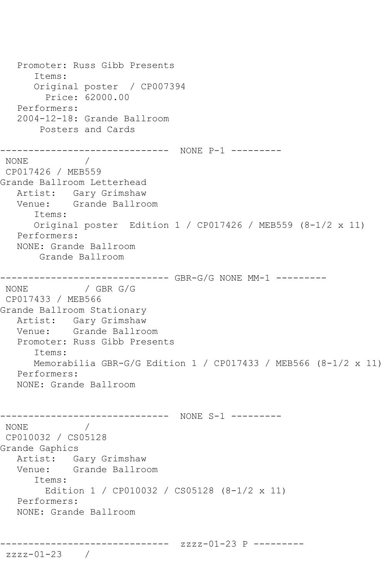Promoter: Russ Gibb Presents Items: Original poster / CP007394 Price: 62000.00 Performers: 2004-12-18: Grande Ballroom Posters and Cards ------------------------------ NONE P-1 --------- NONE / CP017426 / MEB559 Grande Ballroom Letterhead Artist: Gary Grimshaw Venue: Grande Ballroom Items: Original poster Edition 1 / CP017426 / MEB559 (8-1/2 x 11) Performers: NONE: Grande Ballroom Grande Ballroom ------------------------------ GBR-G/G NONE MM-1 --------- NONE / GBR G/G CP017433 / MEB566 Grande Ballroom Stationary Artist: Gary Grimshaw<br>Venue: Grande Ballro Grande Ballroom Promoter: Russ Gibb Presents Items: Memorabilia GBR-G/G Edition  $1 / CP017433 / MEB566 (8-1/2 \times 11)$  Performers: NONE: Grande Ballroom --------------------------------- NONE S-1 ---------NONE / CP010032 / CS05128 Grande Gaphics Artist: Gary Grimshaw Venue: Grande Ballroom Items: Edition 1 / CP010032 / CS05128 (8-1/2 x 11) Performers: NONE: Grande Ballroom ------------------------------ zzzz-01-23 P -------- zzzz-01-23 /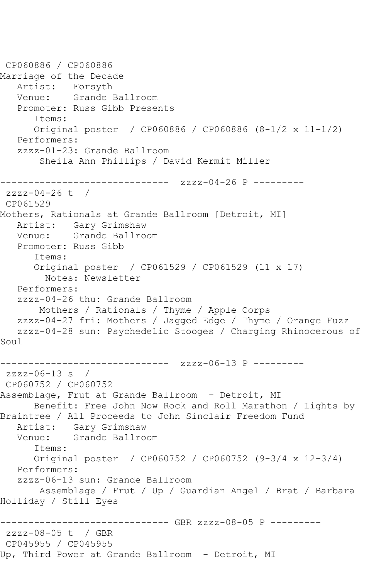CP060886 / CP060886 Marriage of the Decade Artist: Forsyth Venue: Grande Ballroom Promoter: Russ Gibb Presents Items: Original poster / CP060886 / CP060886 (8-1/2 x 11-1/2) Performers: zzzz-01-23: Grande Ballroom Sheila Ann Phillips / David Kermit Miller ------------------------------ zzzz-04-26 P --------  $zzzz-04-26$  t / CP061529 Mothers, Rationals at Grande Ballroom [Detroit, MI] Artist: Gary Grimshaw Venue: Grande Ballroom Promoter: Russ Gibb Items: Original poster / CP061529 / CP061529 (11 x 17) Notes: Newsletter Performers: zzzz-04-26 thu: Grande Ballroom Mothers / Rationals / Thyme / Apple Corps zzzz-04-27 fri: Mothers / Jagged Edge / Thyme / Orange Fuzz zzzz-04-28 sun: Psychedelic Stooges / Charging Rhinocerous of Soul --------------- zzzz-06-13 P --------zzzz-06-13 s / CP060752 / CP060752 Assemblage, Frut at Grande Ballroom - Detroit, MI Benefit: Free John Now Rock and Roll Marathon / Lights by Braintree / All Proceeds to John Sinclair Freedom Fund Artist: Gary Grimshaw Venue: Grande Ballroom Items: Original poster / CP060752 / CP060752 (9-3/4 x 12-3/4) Performers: zzzz-06-13 sun: Grande Ballroom Assemblage / Frut / Up / Guardian Angel / Brat / Barbara Holliday / Still Eyes ------------------------------ GBR zzzz-08-05 P -------- zzzz-08-05 t / GBR CP045955 / CP045955 Up, Third Power at Grande Ballroom - Detroit, MI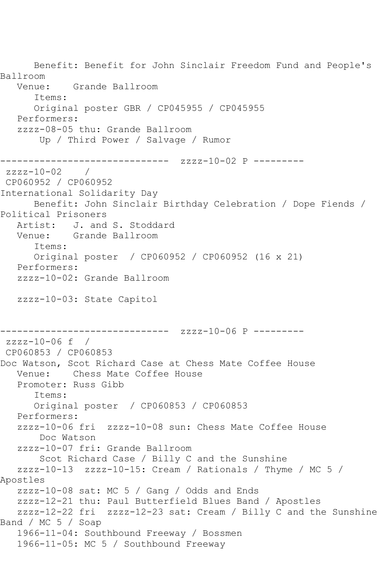Benefit: Benefit for John Sinclair Freedom Fund and People's Ballroom Venue: Grande Ballroom Items: Original poster GBR / CP045955 / CP045955 Performers: zzzz-08-05 thu: Grande Ballroom Up / Third Power / Salvage / Rumor ------------------------------ zzzz-10-02 P -------- zzzz-10-02 / CP060952 / CP060952 International Solidarity Day Benefit: John Sinclair Birthday Celebration / Dope Fiends / Political Prisoners Artist: J. and S. Stoddard Venue: Grande Ballroom Items: Original poster / CP060952 / CP060952 (16 x 21) Performers: zzzz-10-02: Grande Ballroom zzzz-10-03: State Capitol ------------------------------ zzzz-10-06 P -------- zzzz-10-06 f / CP060853 / CP060853 Doc Watson, Scot Richard Case at Chess Mate Coffee House Venue: Chess Mate Coffee House Promoter: Russ Gibb Items: Original poster / CP060853 / CP060853 Performers: zzzz-10-06 fri zzzz-10-08 sun: Chess Mate Coffee House Doc Watson zzzz-10-07 fri: Grande Ballroom Scot Richard Case / Billy C and the Sunshine zzzz-10-13 zzzz-10-15: Cream / Rationals / Thyme / MC 5 / Apostles zzzz-10-08 sat: MC 5 / Gang / Odds and Ends zzzz-12-21 thu: Paul Butterfield Blues Band / Apostles zzzz-12-22 fri zzzz-12-23 sat: Cream / Billy C and the Sunshine Band / MC 5 / Soap 1966-11-04: Southbound Freeway / Bossmen 1966-11-05: MC 5 / Southbound Freeway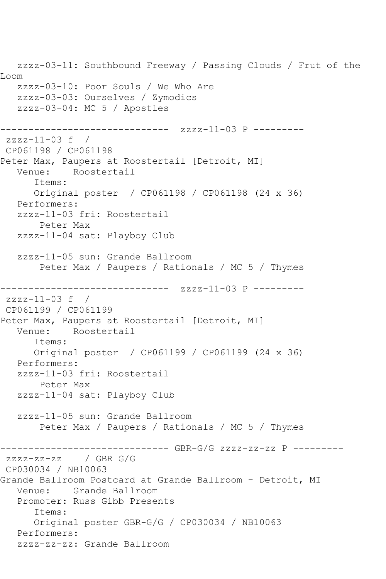zzzz-03-11: Southbound Freeway / Passing Clouds / Frut of the Loom zzzz-03-10: Poor Souls / We Who Are zzzz-03-03: Ourselves / Zymodics zzzz-03-04: MC 5 / Apostles ------------------------------ zzzz-11-03 P -------- zzzz-11-03 f / CP061198 / CP061198 Peter Max, Paupers at Roostertail [Detroit, MI]<br>Venue: Roostertail Roostertail Items: Original poster / CP061198 / CP061198 (24 x 36) Performers: zzzz-11-03 fri: Roostertail Peter Max zzzz-11-04 sat: Playboy Club zzzz-11-05 sun: Grande Ballroom Peter Max / Paupers / Rationals / MC 5 / Thymes ------------------------------ zzzz-11-03 P --------  $zzzz-11-03$  f / CP061199 / CP061199 Peter Max, Paupers at Roostertail [Detroit, MI] Venue: Roostertail Items: Original poster / CP061199 / CP061199 (24 x 36) Performers: zzzz-11-03 fri: Roostertail Peter Max zzzz-11-04 sat: Playboy Club zzzz-11-05 sun: Grande Ballroom Peter Max / Paupers / Rationals / MC 5 / Thymes ------------------------------ GBR-G/G zzzz-zz-zz P -------- zzzz-zz-zz / GBR G/G CP030034 / NB10063 Grande Ballroom Postcard at Grande Ballroom - Detroit, MI Venue: Grande Ballroom Promoter: Russ Gibb Presents Items: Original poster GBR-G/G / CP030034 / NB10063 Performers: zzzz-zz-zz: Grande Ballroom